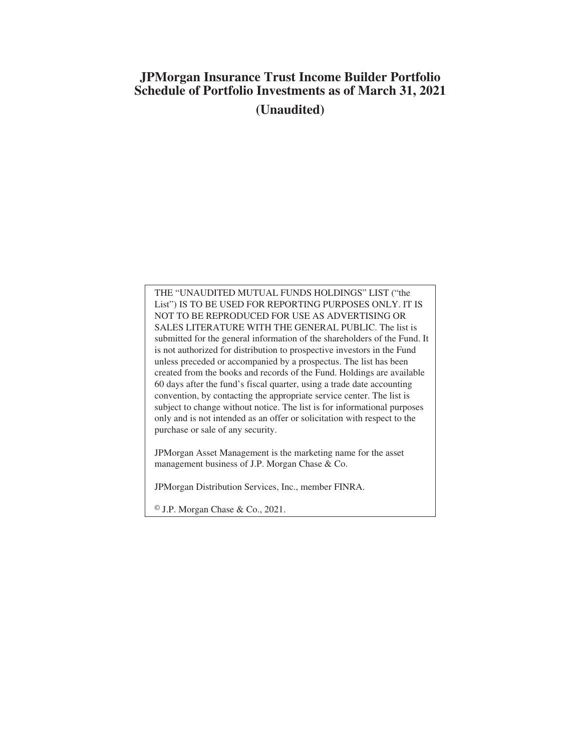# **JPMorgan Insurance Trust Income Builder Portfolio Schedule of Portfolio Investments as of March 31, 2021 (Unaudited)**

THE "UNAUDITED MUTUAL FUNDS HOLDINGS" LIST ("the List") IS TO BE USED FOR REPORTING PURPOSES ONLY. IT IS NOT TO BE REPRODUCED FOR USE AS ADVERTISING OR SALES LITERATURE WITH THE GENERAL PUBLIC. The list is submitted for the general information of the shareholders of the Fund. It is not authorized for distribution to prospective investors in the Fund unless preceded or accompanied by a prospectus. The list has been created from the books and records of the Fund. Holdings are available 60 days after the fund's fiscal quarter, using a trade date accounting convention, by contacting the appropriate service center. The list is subject to change without notice. The list is for informational purposes only and is not intended as an offer or solicitation with respect to the purchase or sale of any security.

JPMorgan Asset Management is the marketing name for the asset management business of J.P. Morgan Chase & Co.

JPMorgan Distribution Services, Inc., member FINRA.

© J.P. Morgan Chase & Co., 2021.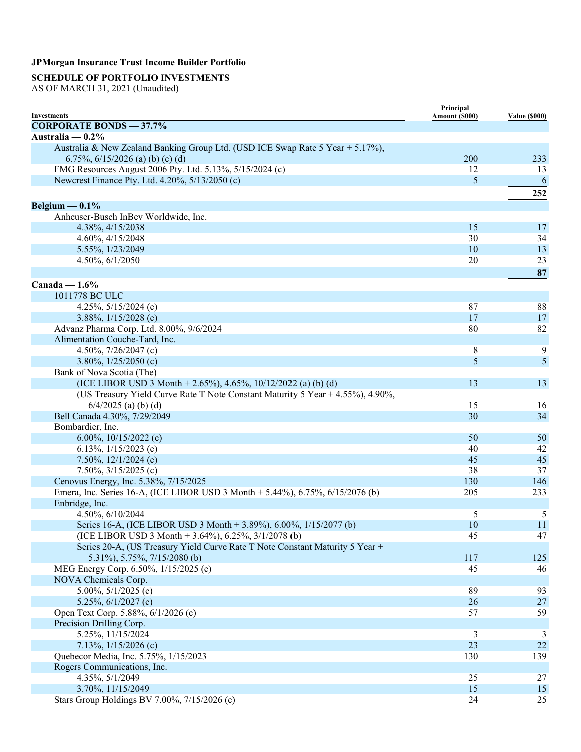## **SCHEDULE OF PORTFOLIO INVESTMENTS**

AS OF MARCH 31, 2021 (Unaudited)

| <b>Investments</b>                                                             | Principal<br>Amount (\$000) | <b>Value (\$000)</b> |
|--------------------------------------------------------------------------------|-----------------------------|----------------------|
| <b>CORPORATE BONDS - 37.7%</b>                                                 |                             |                      |
| Australia — $0.2\%$                                                            |                             |                      |
| Australia & New Zealand Banking Group Ltd. (USD ICE Swap Rate 5 Year + 5.17%), |                             |                      |
| 6.75%, $6/15/2026$ (a) (b) (c) (d)                                             | 200                         | 233                  |
| FMG Resources August 2006 Pty. Ltd. 5.13%, 5/15/2024 (c)                       | 12                          | 13                   |
| Newcrest Finance Pty. Ltd. 4.20%, 5/13/2050 (c)                                | 5                           | 6                    |
|                                                                                |                             | 252                  |
|                                                                                |                             |                      |
| Belgium $-0.1\%$                                                               |                             |                      |
| Anheuser-Busch InBev Worldwide, Inc.                                           |                             |                      |
| 4.38%, 4/15/2038                                                               | 15                          | 17                   |
| 4.60%, 4/15/2048                                                               | 30                          | 34                   |
| 5.55%, 1/23/2049                                                               | 10                          | 13                   |
| 4.50%, 6/1/2050                                                                | 20                          | 23                   |
|                                                                                |                             | 87                   |
| Canada — $1.6\%$                                                               |                             |                      |
| 1011778 BC ULC                                                                 |                             |                      |
| 4.25%, 5/15/2024 (c)                                                           | 87                          | 88                   |
| 3.88%, $1/15/2028$ (c)                                                         | 17                          | 17                   |
| Advanz Pharma Corp. Ltd. 8.00%, 9/6/2024                                       | 80                          | 82                   |
| Alimentation Couche-Tard, Inc.                                                 |                             |                      |
| 4.50%, 7/26/2047 (c)                                                           | 8                           | 9                    |
| 3.80%, $1/25/2050$ (c)                                                         | 5                           | 5                    |
| Bank of Nova Scotia (The)                                                      |                             |                      |
| (ICE LIBOR USD 3 Month + 2.65%), 4.65%, 10/12/2022 (a) (b) (d)                 | 13                          | 13                   |
| (US Treasury Yield Curve Rate T Note Constant Maturity 5 Year + 4.55%), 4.90%, |                             |                      |
| $6/4/2025$ (a) (b) (d)                                                         | 15                          | 16                   |
| Bell Canada 4.30%, 7/29/2049                                                   | 30                          | 34                   |
| Bombardier, Inc.                                                               |                             |                      |
| 6.00%, $10/15/2022$ (c)                                                        | 50                          | 50                   |
| 6.13%, $1/15/2023$ (c)                                                         | 40                          | 42                   |
| 7.50%, $12/1/2024$ (c)                                                         | 45                          | 45                   |
| 7.50%, 3/15/2025 (c)                                                           | 38                          | 37                   |
| Cenovus Energy, Inc. 5.38%, 7/15/2025                                          | 130                         | 146                  |
| Emera, Inc. Series 16-A, (ICE LIBOR USD 3 Month + 5.44%), 6.75%, 6/15/2076 (b) | 205                         | 233                  |
| Enbridge, Inc.                                                                 |                             |                      |
| 4.50%, 6/10/2044                                                               | 5                           | 5                    |
| Series 16-A, (ICE LIBOR USD 3 Month + 3.89%), 6.00%, 1/15/2077 (b)             | 10                          | 11                   |
| (ICE LIBOR USD 3 Month + 3.64%), 6.25%, 3/1/2078 (b)                           | 45                          | 47                   |
| Series 20-A, (US Treasury Yield Curve Rate T Note Constant Maturity 5 Year +   |                             |                      |
| 5.31%), 5.75%, 7/15/2080 (b)                                                   | 117                         | 125                  |
|                                                                                |                             |                      |
| MEG Energy Corp. 6.50%, 1/15/2025 (c)                                          | 45                          | 46                   |
| NOVA Chemicals Corp.                                                           | 89                          |                      |
| 5.00%, $5/1/2025$ (c)                                                          |                             | 93                   |
| 5.25%, $6/1/2027$ (c)                                                          | 26                          | 27                   |
| Open Text Corp. 5.88%, 6/1/2026 (c)                                            | 57                          | 59                   |
| Precision Drilling Corp.                                                       |                             |                      |
| 5.25%, 11/15/2024                                                              | 3                           | 3                    |
| 7.13%, 1/15/2026 (c)                                                           | 23                          | 22                   |
| Quebecor Media, Inc. 5.75%, 1/15/2023                                          | 130                         | 139                  |
| Rogers Communications, Inc.                                                    |                             |                      |
| 4.35%, 5/1/2049                                                                | 25                          | 27                   |
| 3.70%, 11/15/2049                                                              | 15                          | 15                   |
| Stars Group Holdings BV 7.00%, 7/15/2026 (c)                                   | 24                          | 25                   |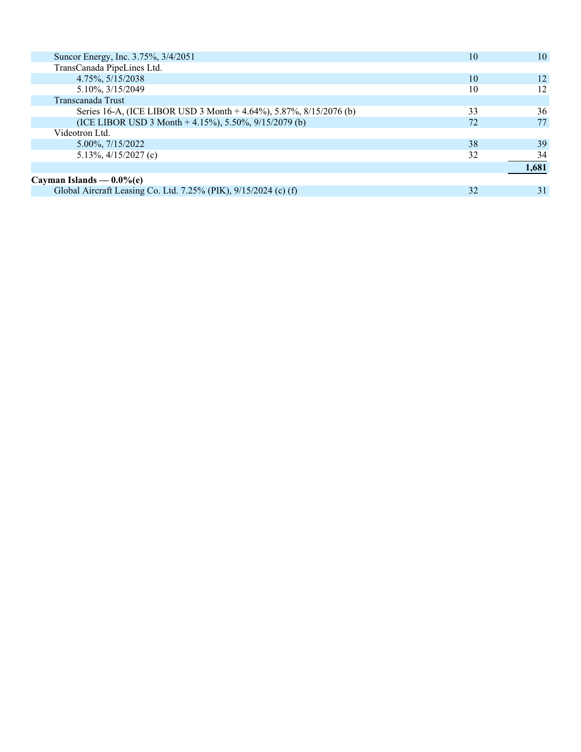| Suncor Energy, Inc. 3.75%, 3/4/2051                                | 10 | 10    |
|--------------------------------------------------------------------|----|-------|
| TransCanada PipeLines Ltd.                                         |    |       |
| 4.75%, 5/15/2038                                                   | 10 | 12    |
| 5.10%, 3/15/2049                                                   | 10 | 12    |
| Transcanada Trust                                                  |    |       |
| Series 16-A, (ICE LIBOR USD 3 Month + 4.64%), 5.87%, 8/15/2076 (b) | 33 | 36    |
| (ICE LIBOR USD 3 Month + 4.15%), 5.50%, $9/15/2079$ (b)            | 72 | 77    |
| Videotron Ltd.                                                     |    |       |
| $5.00\%$ , $7/15/2022$                                             | 38 | 39    |
| 5.13%, $4/15/2027$ (c)                                             | 32 | 34    |
|                                                                    |    | 1,681 |
| Cayman Islands — $0.0\%$ (e)                                       |    |       |
| Global Aircraft Leasing Co. Ltd. 7.25% (PIK), 9/15/2024 (c) (f)    | 32 | 31    |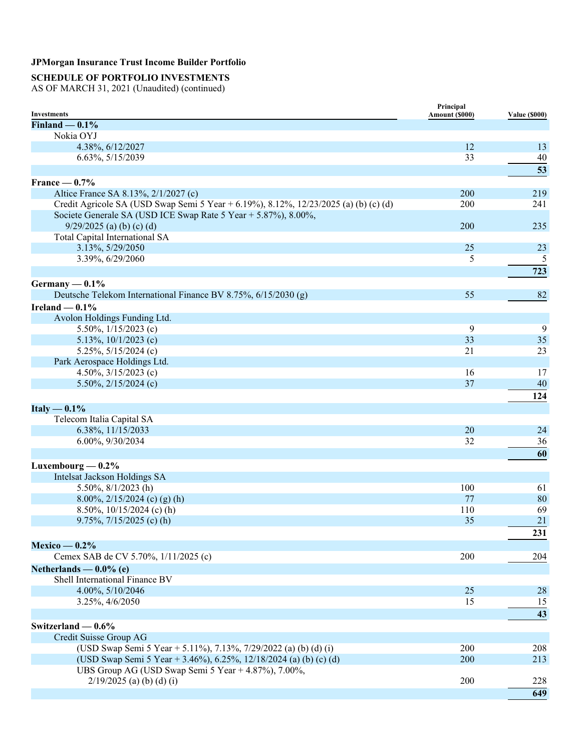## **SCHEDULE OF PORTFOLIO INVESTMENTS**

| <b>Investments</b>                                                                   | Principal<br>Amount (\$000) | <b>Value (\$000)</b> |
|--------------------------------------------------------------------------------------|-----------------------------|----------------------|
| Finland $-0.1%$                                                                      |                             |                      |
| Nokia OYJ                                                                            |                             |                      |
| 4.38%, 6/12/2027                                                                     | 12                          | 13                   |
| 6.63%, 5/15/2039                                                                     | 33                          | 40                   |
|                                                                                      |                             | 53                   |
| France $-0.7%$                                                                       |                             |                      |
| Altice France SA 8.13%, 2/1/2027 (c)                                                 | 200                         | 219                  |
| Credit Agricole SA (USD Swap Semi 5 Year + 6.19%), 8.12%, 12/23/2025 (a) (b) (c) (d) | 200                         | 241                  |
| Societe Generale SA (USD ICE Swap Rate 5 Year + 5.87%), 8.00%,                       |                             |                      |
| $9/29/2025$ (a) (b) (c) (d)                                                          | 200                         | 235                  |
| Total Capital International SA                                                       |                             |                      |
| 3.13%, 5/29/2050                                                                     | 25                          | 23                   |
| 3.39%, 6/29/2060                                                                     | 5                           | 5                    |
|                                                                                      |                             | 723                  |
| Germany $-0.1\%$                                                                     |                             |                      |
| Deutsche Telekom International Finance BV 8.75%, 6/15/2030 (g)                       | 55                          | 82                   |
| Ireland $-0.1\%$                                                                     |                             |                      |
| Avolon Holdings Funding Ltd.                                                         |                             |                      |
| 5.50%, $1/15/2023$ (c)                                                               | 9                           | 9                    |
| 5.13%, $10/1/2023$ (c)                                                               | 33                          | 35                   |
| 5.25%, $5/15/2024$ (c)                                                               | 21                          | 23                   |
| Park Aerospace Holdings Ltd.                                                         |                             |                      |
| 4.50%, $3/15/2023$ (c)                                                               | 16                          | 17                   |
| 5.50%, $2/15/2024$ (c)                                                               | 37                          | 40                   |
|                                                                                      |                             | 124                  |
| Italy $-0.1\%$                                                                       |                             |                      |
| Telecom Italia Capital SA                                                            |                             |                      |
| 6.38%, 11/15/2033                                                                    | 20                          | 24                   |
| 6.00%, 9/30/2034                                                                     | 32                          | 36                   |
|                                                                                      |                             | 60                   |
|                                                                                      |                             |                      |
| Luxembourg $-0.2\%$                                                                  |                             |                      |
| Intelsat Jackson Holdings SA                                                         | 100                         |                      |
| 5.50%, 8/1/2023 (h)                                                                  | 77                          | 61<br>80             |
| 8.00%, $2/15/2024$ (c) (g) (h)<br>8.50%, $10/15/2024$ (c) (h)                        | 110                         | 69                   |
| $9.75\%, 7/15/2025$ (c) (h)                                                          | 35                          | 21                   |
|                                                                                      |                             |                      |
|                                                                                      |                             | 231                  |
| $Mexico - 0.2%$                                                                      |                             |                      |
| Cemex SAB de CV 5.70%, 1/11/2025 (c)                                                 | 200                         | 204                  |
| Netherlands — $0.0\%$ (e)                                                            |                             |                      |
| Shell International Finance BV                                                       |                             |                      |
| 4.00%, 5/10/2046                                                                     | 25                          | 28                   |
| 3.25%, 4/6/2050                                                                      | 15                          | 15                   |
|                                                                                      |                             | 43                   |
| Switzerland $-0.6%$                                                                  |                             |                      |
| Credit Suisse Group AG                                                               |                             |                      |
| (USD Swap Semi 5 Year + 5.11%), 7.13%, 7/29/2022 (a) (b) (d) (i)                     | 200                         | 208                  |
| (USD Swap Semi 5 Year + 3.46%), 6.25%, 12/18/2024 (a) (b) (c) (d)                    | 200                         | 213                  |
| UBS Group AG (USD Swap Semi 5 Year + 4.87%), 7.00%,                                  |                             |                      |
| $2/19/2025$ (a) (b) (d) (i)                                                          | 200                         | 228                  |
|                                                                                      |                             | 649                  |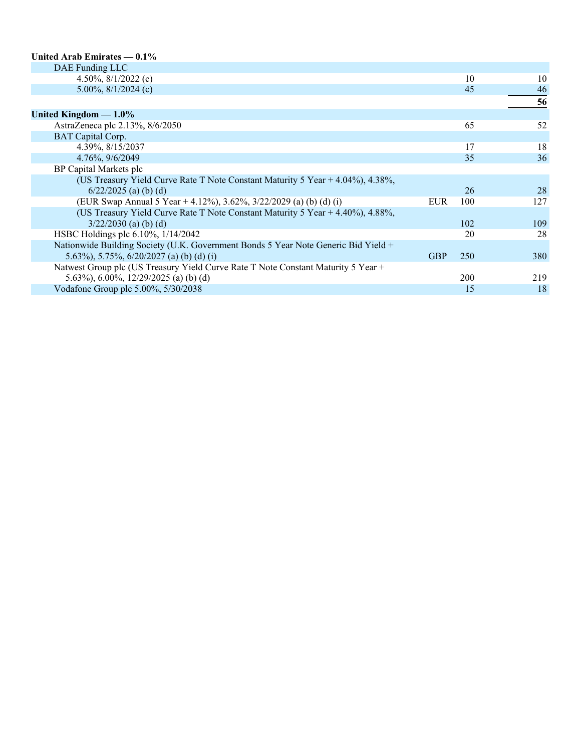#### **United Arab Emirates — 0.1%**

| DAE Funding LLC                                                                    |            |     |     |
|------------------------------------------------------------------------------------|------------|-----|-----|
| 4.50%, $8/1/2022$ (c)                                                              |            | 10  | 10  |
| 5.00%, $8/1/2024$ (c)                                                              |            | 45  | 46  |
|                                                                                    |            |     | 56  |
| United Kingdom $-1.0\%$                                                            |            |     |     |
| AstraZeneca plc 2.13%, 8/6/2050                                                    |            | 65  | 52  |
| <b>BAT</b> Capital Corp.                                                           |            |     |     |
| 4.39%, 8/15/2037                                                                   |            | 17  | 18  |
| 4.76%, 9/6/2049                                                                    |            | 35  | 36  |
| BP Capital Markets plc                                                             |            |     |     |
| (US Treasury Yield Curve Rate T Note Constant Maturity 5 Year + 4.04%), 4.38%,     |            |     |     |
| $6/22/2025$ (a) (b) (d)                                                            |            | 26  | 28  |
| (EUR Swap Annual 5 Year + 4.12%), 3.62%, 3/22/2029 (a) (b) (d) (i)                 | <b>EUR</b> | 100 | 127 |
| (US Treasury Yield Curve Rate T Note Constant Maturity 5 Year $+4.40\%$ ), 4.88%,  |            |     |     |
| $3/22/2030$ (a) (b) (d)                                                            |            | 102 | 109 |
| HSBC Holdings plc 6.10%, 1/14/2042                                                 |            | 20  | 28  |
| Nationwide Building Society (U.K. Government Bonds 5 Year Note Generic Bid Yield + |            |     |     |
| 5.63%), 5.75%, $6/20/2027$ (a) (b) (d) (i)                                         | <b>GBP</b> | 250 | 380 |
| Natwest Group plc (US Treasury Yield Curve Rate T Note Constant Maturity 5 Year +  |            |     |     |
| 5.63%), 6.00%, 12/29/2025 (a) (b) (d)                                              |            | 200 | 219 |
| Vodafone Group plc 5.00%, 5/30/2038                                                |            | 15  | 18  |
|                                                                                    |            |     |     |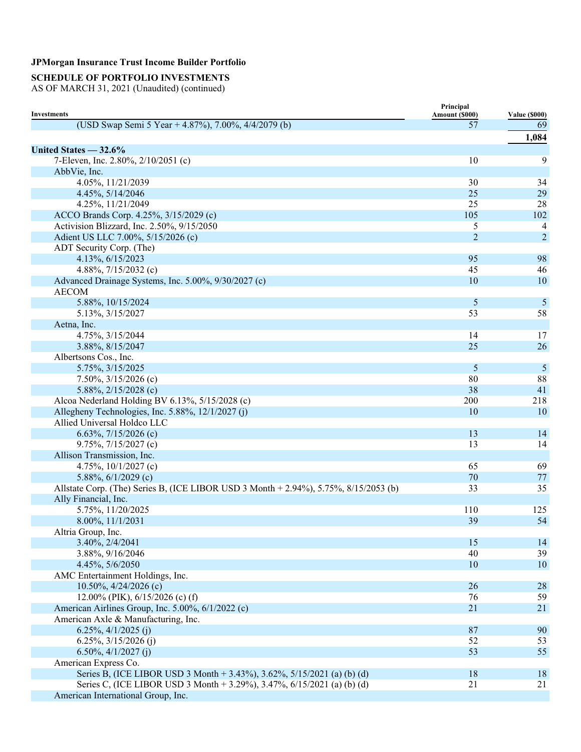## **SCHEDULE OF PORTFOLIO INVESTMENTS**

| <b>Investments</b>                                                                   | Principal            |                            |
|--------------------------------------------------------------------------------------|----------------------|----------------------------|
| (USD Swap Semi 5 Year + 4.87%), 7.00%, 4/4/2079 (b)                                  | Amount (\$000)<br>57 | <b>Value (\$000)</b><br>69 |
|                                                                                      |                      |                            |
|                                                                                      |                      | 1,084                      |
| United States $-32.6%$                                                               |                      |                            |
| 7-Eleven, Inc. 2.80%, 2/10/2051 (c)                                                  | 10                   | 9                          |
| AbbVie, Inc.                                                                         |                      |                            |
| 4.05%, 11/21/2039                                                                    | 30                   | 34                         |
| 4.45%, 5/14/2046                                                                     | 25                   | 29                         |
| 4.25%, 11/21/2049                                                                    | 25                   | 28                         |
| ACCO Brands Corp. 4.25%, 3/15/2029 (c)                                               | 105                  | 102                        |
| Activision Blizzard, Inc. 2.50%, 9/15/2050                                           | 5                    | 4                          |
| Adient US LLC 7.00%, 5/15/2026 (c)                                                   | $\overline{c}$       | $\overline{2}$             |
| ADT Security Corp. (The)                                                             | 95                   | 98                         |
| 4.13%, 6/15/2023                                                                     |                      |                            |
| 4.88%, $7/15/2032$ (c)                                                               | 45<br>10             | 46<br>10                   |
| Advanced Drainage Systems, Inc. 5.00%, 9/30/2027 (c)<br><b>AECOM</b>                 |                      |                            |
|                                                                                      |                      |                            |
| 5.88%, 10/15/2024                                                                    | 5                    | 5                          |
| 5.13%, 3/15/2027                                                                     | 53                   | 58                         |
| Aetna, Inc.                                                                          |                      |                            |
| 4.75%, 3/15/2044                                                                     | 14                   | 17                         |
| 3.88%, 8/15/2047                                                                     | 25                   | 26                         |
| Albertsons Cos., Inc.                                                                |                      |                            |
| 5.75%, 3/15/2025                                                                     | 5                    | 5                          |
| 7.50%, $3/15/2026$ (c)                                                               | 80<br>38             | 88                         |
| 5.88%, $2/15/2028$ (c)                                                               |                      | 41                         |
| Alcoa Nederland Holding BV 6.13%, 5/15/2028 (c)                                      | 200                  | 218                        |
| Allegheny Technologies, Inc. 5.88%, 12/1/2027 (j)                                    | 10                   | 10                         |
| Allied Universal Holdco LLC                                                          |                      |                            |
| 6.63%, $7/15/2026$ (c)                                                               | 13<br>13             | 14                         |
| 9.75%, $7/15/2027$ (c)<br>Allison Transmission, Inc.                                 |                      | 14                         |
| 4.75%, $10/1/2027$ (c)                                                               | 65                   | 69                         |
| 5.88%, $6/1/2029$ (c)                                                                | 70                   | 77                         |
| Allstate Corp. (The) Series B, (ICE LIBOR USD 3 Month + 2.94%), 5.75%, 8/15/2053 (b) | 33                   | 35                         |
| Ally Financial, Inc.                                                                 |                      |                            |
| 5.75%, 11/20/2025                                                                    | 110                  | 125                        |
| 8.00%, 11/1/2031                                                                     | 39                   | 54                         |
| Altria Group, Inc.                                                                   |                      |                            |
| 3.40%, 2/4/2041                                                                      | 15                   | 14                         |
| 3.88%, 9/16/2046                                                                     | 40                   | 39                         |
| 4.45%, 5/6/2050                                                                      | 10                   | 10                         |
| AMC Entertainment Holdings, Inc.                                                     |                      |                            |
| 10.50%, 4/24/2026 (c)                                                                | 26                   | 28                         |
| 12.00% (PIK), $6/15/2026$ (c) (f)                                                    | 76                   | 59                         |
| American Airlines Group, Inc. 5.00%, 6/1/2022 (c)                                    | 21                   | 21                         |
| American Axle & Manufacturing, Inc.                                                  |                      |                            |
| $6.25\%, \frac{4}{1/2025}$ (j)                                                       | 87                   | 90                         |
| 6.25%, $3/15/2026$ (j)                                                               | 52                   | 53                         |
| $6.50\%, \frac{4}{1/2027}$ (j)                                                       | 53                   | 55                         |
| American Express Co.                                                                 |                      |                            |
| Series B, (ICE LIBOR USD 3 Month + 3.43%), 3.62%, 5/15/2021 (a) (b) (d)              | 18                   | 18                         |
| Series C, (ICE LIBOR USD 3 Month + 3.29%), 3.47%, 6/15/2021 (a) (b) (d)              | 21                   | 21                         |
| American International Group, Inc.                                                   |                      |                            |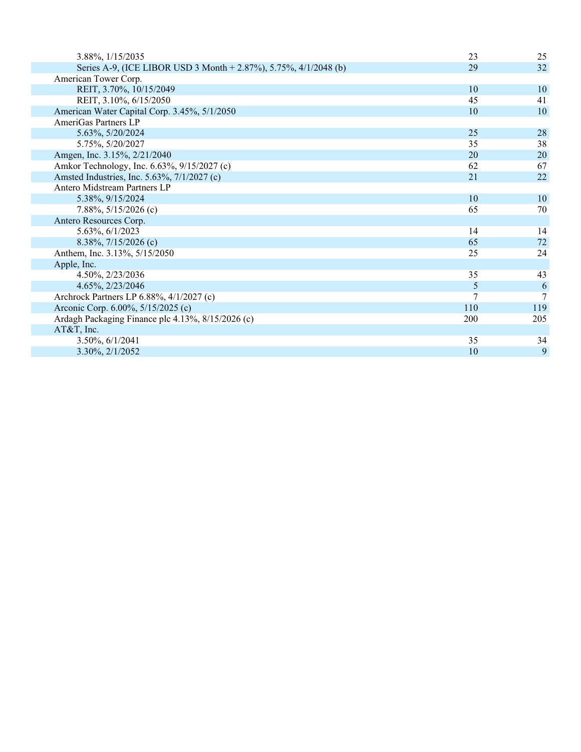| 23  | 25  |
|-----|-----|
| 29  | 32  |
|     |     |
| 10  | 10  |
| 45  | 41  |
| 10  | 10  |
|     |     |
| 25  | 28  |
| 35  | 38  |
| 20  | 20  |
| 62  | 67  |
| 21  | 22  |
|     |     |
| 10  | 10  |
| 65  | 70  |
|     |     |
| 14  | 14  |
| 65  | 72  |
| 25  | 24  |
|     |     |
| 35  | 43  |
| 5   | 6   |
|     | 7   |
| 110 | 119 |
| 200 | 205 |
|     |     |
| 35  | 34  |
| 10  | 9   |
|     | 7   |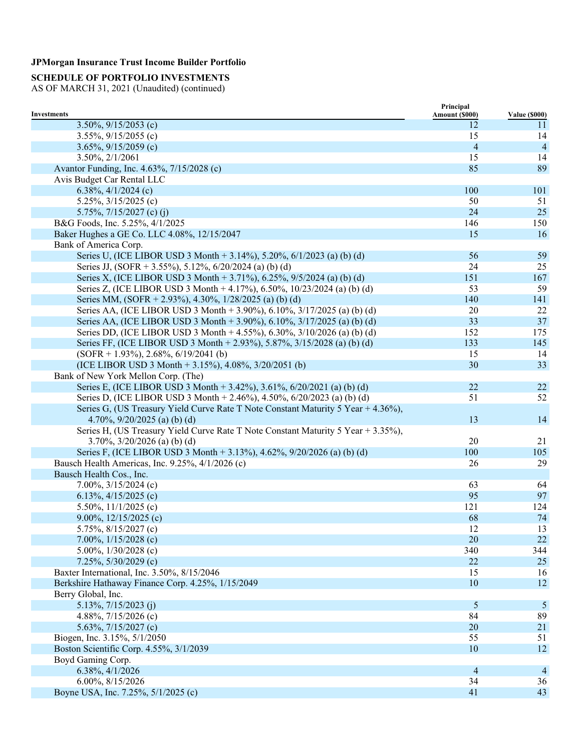## **SCHEDULE OF PORTFOLIO INVESTMENTS**

|                                                                                   | Principal      |                      |
|-----------------------------------------------------------------------------------|----------------|----------------------|
| <b>Investments</b>                                                                | Amount (\$000) | <b>Value (\$000)</b> |
| 3.50%, $9/15/2053$ (c)                                                            | 12             | 11                   |
| 3.55%, $9/15/2055$ (c)                                                            | 15             | 14                   |
| 3.65%, $9/15/2059$ (c)                                                            | $\overline{4}$ | $\overline{4}$       |
| $3.50\%, 2/1/2061$                                                                | 15             | 14                   |
| Avantor Funding, Inc. 4.63%, 7/15/2028 (c)                                        | 85             | 89                   |
| Avis Budget Car Rental LLC                                                        |                |                      |
| 6.38%, $4/1/2024$ (c)                                                             | 100            | 101                  |
| 5.25%, $3/15/2025$ (c)                                                            | 50             | 51                   |
| 5.75%, $7/15/2027$ (c) (j)                                                        | 24             | 25                   |
| B&G Foods, Inc. 5.25%, 4/1/2025                                                   | 146            | 150                  |
| Baker Hughes a GE Co. LLC 4.08%, 12/15/2047                                       | 15             | 16                   |
| Bank of America Corp.                                                             |                |                      |
| Series U, (ICE LIBOR USD 3 Month + 3.14%), 5.20%, 6/1/2023 (a) (b) (d)            | 56             | 59                   |
| Series JJ, (SOFR + 3.55%), 5.12%, 6/20/2024 (a) (b) (d)                           | 24             | 25                   |
| Series X, (ICE LIBOR USD 3 Month + 3.71%), 6.25%, 9/5/2024 (a) (b) (d)            | 151            | 167                  |
| Series Z, (ICE LIBOR USD 3 Month + 4.17%), 6.50%, 10/23/2024 (a) (b) (d)          | 53             | 59                   |
| Series MM, (SOFR + 2.93%), 4.30%, 1/28/2025 (a) (b) (d)                           | 140            | 141                  |
| Series AA, (ICE LIBOR USD 3 Month + 3.90%), 6.10%, 3/17/2025 (a) (b) (d)          | 20             | 22                   |
| Series AA, (ICE LIBOR USD 3 Month + 3.90%), 6.10%, 3/17/2025 (a) (b) (d)          | 33             | 37                   |
| Series DD, (ICE LIBOR USD 3 Month + 4.55%), 6.30%, 3/10/2026 (a) (b) (d)          | 152            | 175                  |
| Series FF, (ICE LIBOR USD 3 Month + 2.93%), 5.87%, 3/15/2028 (a) (b) (d)          | 133            | 145                  |
| $(SOFR + 1.93\%), 2.68\%, 6/19/2041 (b)$                                          | 15             | 14                   |
| (ICE LIBOR USD 3 Month + 3.15%), 4.08%, $3/20/2051$ (b)                           | 30             | 33                   |
| Bank of New York Mellon Corp. (The)                                               |                |                      |
| Series E, (ICE LIBOR USD 3 Month + 3.42%), 3.61%, 6/20/2021 (a) (b) (d)           | 22             | 22                   |
| Series D, (ICE LIBOR USD 3 Month + 2.46%), 4.50%, 6/20/2023 (a) (b) (d)           | 51             | 52                   |
| Series G, (US Treasury Yield Curve Rate T Note Constant Maturity 5 Year + 4.36%), |                |                      |
| 4.70%, $9/20/2025$ (a) (b) (d)                                                    | 13             | 14                   |
| Series H, (US Treasury Yield Curve Rate T Note Constant Maturity 5 Year + 3.35%), |                |                      |
| 3.70%, $3/20/2026$ (a) (b) (d)                                                    | 20             | 21                   |
| Series F, (ICE LIBOR USD 3 Month + 3.13%), 4.62%, 9/20/2026 (a) (b) (d)           | 100            | 105                  |
| Bausch Health Americas, Inc. 9.25%, 4/1/2026 (c)                                  | 26             | 29                   |
| Bausch Health Cos., Inc.                                                          |                |                      |
| 7.00%, $3/15/2024$ (c)                                                            | 63             | 64                   |
|                                                                                   | 95             | 97                   |
| 6.13%, $4/15/2025$ (c)                                                            |                |                      |
| 5.50%, $11/1/2025$ (c)                                                            | 121            | 124                  |
| 9.00%, $12/15/2025$ (c)                                                           | 68             | 74                   |
| 5.75%, 8/15/2027 (c)                                                              | 12             | 13                   |
| 7.00%, $1/15/2028$ (c)                                                            | 20             | 22                   |
| 5.00%, $1/30/2028$ (c)                                                            | 340            | 344                  |
| $7.25\%, 5/30/2029$ (c)                                                           | 22             | $25\,$               |
| Baxter International, Inc. 3.50%, 8/15/2046                                       | 15             | 16                   |
| Berkshire Hathaway Finance Corp. 4.25%, 1/15/2049                                 | 10             | 12                   |
| Berry Global, Inc.                                                                |                |                      |
| 5.13%, $7/15/2023$ (j)                                                            | 5              | 5                    |
| 4.88%, $7/15/2026$ (c)                                                            | 84             | 89                   |
| 5.63%, $7/15/2027$ (c)                                                            | 20             | 21                   |
| Biogen, Inc. 3.15%, 5/1/2050                                                      | 55             | 51                   |
| Boston Scientific Corp. 4.55%, 3/1/2039                                           | 10             | 12                   |
| Boyd Gaming Corp.                                                                 |                |                      |
| 6.38%, 4/1/2026                                                                   | $\overline{4}$ | $\overline{4}$       |
| 6.00%, 8/15/2026                                                                  | 34             | 36                   |
| Boyne USA, Inc. 7.25%, 5/1/2025 (c)                                               | 41             | 43                   |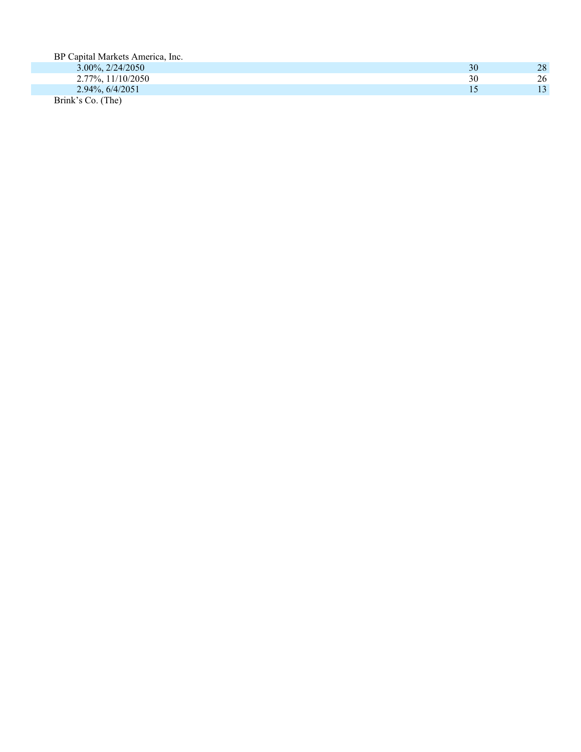| BP Capital Markets America, Inc. |    |                 |
|----------------------------------|----|-----------------|
| $3.00\%, 2/24/2050$              | 30 | 28              |
| $2.77\%$ , $11/10/2050$          | 30 | 26              |
| 2.94%, 6/4/2051                  |    | 13 <sup>°</sup> |
| Brink's Co. (The)                |    |                 |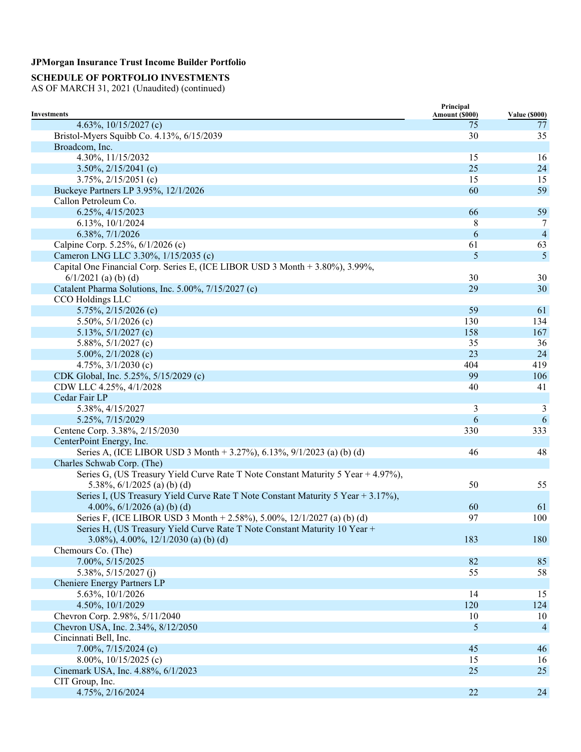## **SCHEDULE OF PORTFOLIO INVESTMENTS**

|                                                                                   | Principal      |                      |
|-----------------------------------------------------------------------------------|----------------|----------------------|
| <b>Investments</b>                                                                | Amount (\$000) | <b>Value (\$000)</b> |
| 4.63%, $10/15/2027$ (c)                                                           | 75<br>30       | 77<br>35             |
| Bristol-Myers Squibb Co. 4.13%, 6/15/2039                                         |                |                      |
| Broadcom, Inc.                                                                    |                |                      |
| 4.30%, 11/15/2032                                                                 | 15             | 16                   |
| $3.50\%, 2/15/2041$ (c)                                                           | 25             | 24                   |
| $3.75\%, 2/15/2051$ (c)                                                           | 15             | 15                   |
| Buckeye Partners LP 3.95%, 12/1/2026                                              | 60             | 59                   |
| Callon Petroleum Co.                                                              |                |                      |
| 6.25%, 4/15/2023                                                                  | 66             | 59                   |
| 6.13%, 10/1/2024                                                                  | 8              | 7                    |
| 6.38%, 7/1/2026                                                                   | 6              | $\overline{4}$       |
| Calpine Corp. 5.25%, 6/1/2026 (c)                                                 | 61             | 63                   |
| Cameron LNG LLC 3.30%, 1/15/2035 (c)                                              | 5              | 5                    |
| Capital One Financial Corp. Series E, (ICE LIBOR USD 3 Month + 3.80%), 3.99%,     |                |                      |
| $6/1/2021$ (a) (b) (d)                                                            | 30             | 30                   |
| Catalent Pharma Solutions, Inc. 5.00%, 7/15/2027 (c)                              | 29             | 30                   |
| CCO Holdings LLC                                                                  |                |                      |
| 5.75%, 2/15/2026 (c)                                                              | 59             | 61                   |
| 5.50%, $5/1/2026$ (c)                                                             | 130            | 134                  |
| 5.13%, $5/1/2027$ (c)                                                             | 158            | 167                  |
| 5.88%, $5/1/2027$ (c)                                                             | 35             | 36                   |
| 5.00%, $2/1/2028$ (c)                                                             | 23             | 24                   |
| 4.75%, $3/1/2030$ (c)                                                             | 404            | 419                  |
| CDK Global, Inc. 5.25%, 5/15/2029 (c)                                             | 99             | 106                  |
| CDW LLC 4.25%, 4/1/2028                                                           | 40             | 41                   |
| Cedar Fair LP                                                                     |                |                      |
|                                                                                   |                |                      |
| 5.38%, 4/15/2027                                                                  | 3              | 3                    |
| 5.25%, 7/15/2029                                                                  | 6              | 6                    |
| Centene Corp. 3.38%, 2/15/2030                                                    | 330            | 333                  |
| CenterPoint Energy, Inc.                                                          |                |                      |
| Series A, (ICE LIBOR USD 3 Month + 3.27%), 6.13%, 9/1/2023 (a) (b) (d)            | 46             | 48                   |
| Charles Schwab Corp. (The)                                                        |                |                      |
| Series G, (US Treasury Yield Curve Rate T Note Constant Maturity 5 Year + 4.97%), |                |                      |
| 5.38%, $6/1/2025$ (a) (b) (d)                                                     | 50             | 55                   |
| Series I, (US Treasury Yield Curve Rate T Note Constant Maturity 5 Year + 3.17%), |                |                      |
| 4.00%, $6/1/2026$ (a) (b) (d)                                                     | 60             | 61                   |
| Series F, (ICE LIBOR USD 3 Month + 2.58%), 5.00%, 12/1/2027 (a) (b) (d)           | 97             | 100                  |
| Series H, (US Treasury Yield Curve Rate T Note Constant Maturity 10 Year +        |                |                      |
| 3.08%), 4.00%, $12/1/2030$ (a) (b) (d)                                            | 183            | 180                  |
| Chemours Co. (The)                                                                |                |                      |
| 7.00%, 5/15/2025                                                                  | 82             | 85                   |
| 5.38%, 5/15/2027 (j)                                                              | 55             | 58                   |
| Cheniere Energy Partners LP                                                       |                |                      |
| 5.63%, 10/1/2026                                                                  | 14             | 15                   |
| 4.50%, 10/1/2029                                                                  | 120            | 124                  |
| Chevron Corp. 2.98%, 5/11/2040                                                    | 10             | 10                   |
| Chevron USA, Inc. 2.34%, 8/12/2050                                                | 5              | $\overline{4}$       |
| Cincinnati Bell, Inc.                                                             |                |                      |
| 7.00%, $7/15/2024$ (c)                                                            | 45             | 46                   |
| 8.00%, $10/15/2025$ (c)                                                           | 15             | 16                   |
| Cinemark USA, Inc. 4.88%, 6/1/2023                                                | 25             | 25                   |
| CIT Group, Inc.                                                                   |                |                      |
|                                                                                   | 22             | 24                   |
| 4.75%, 2/16/2024                                                                  |                |                      |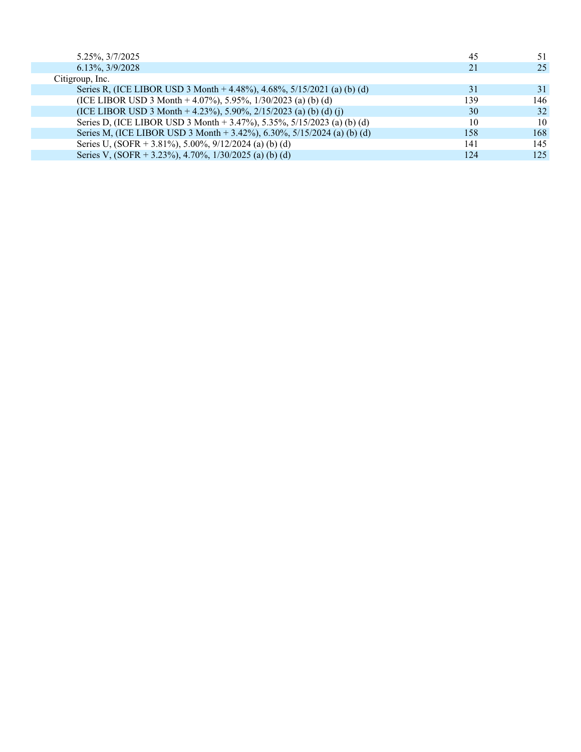| 5.25%, 3/7/2025                                                         | 45  | 51  |
|-------------------------------------------------------------------------|-----|-----|
| 6.13%, 3/9/2028                                                         | 21  | 25  |
| Citigroup, Inc.                                                         |     |     |
| Series R, (ICE LIBOR USD 3 Month + 4.48%), 4.68%, 5/15/2021 (a) (b) (d) | 31  | 31  |
| (ICE LIBOR USD 3 Month + 4.07%), 5.95%, $1/30/2023$ (a) (b) (d)         | 139 | 146 |
| (ICE LIBOR USD 3 Month + 4.23%), 5.90%, 2/15/2023 (a) (b) (d) (j)       | 30  | 32  |
| Series D, (ICE LIBOR USD 3 Month + 3.47%), 5.35%, 5/15/2023 (a) (b) (d) | 10  | 10  |
| Series M, (ICE LIBOR USD 3 Month + 3.42%), 6.30%, 5/15/2024 (a) (b) (d) | 158 | 168 |
| Series U, $(SOR + 3.81\%)$ , 5.00%, 9/12/2024 (a) (b) (d)               | 141 | 145 |
| Series V, (SOFR + 3.23%), 4.70%, $1/30/2025$ (a) (b) (d)                | 124 | 125 |
|                                                                         |     |     |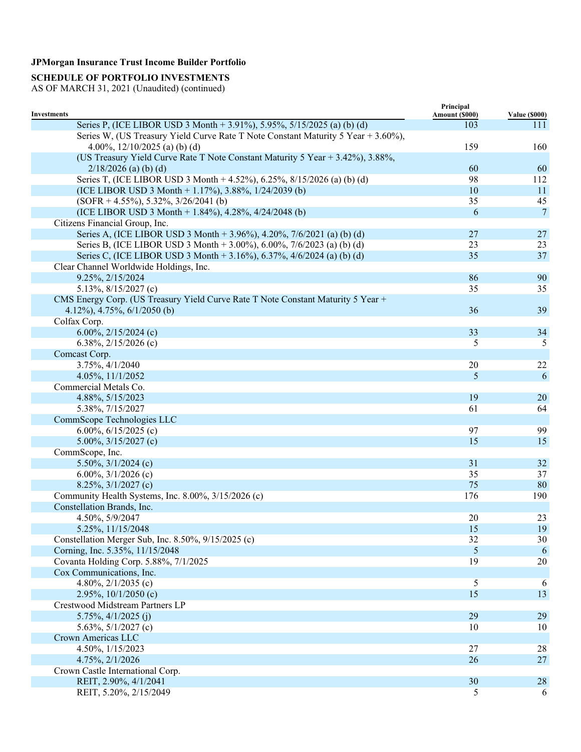## **SCHEDULE OF PORTFOLIO INVESTMENTS**

| <b>Investments</b>                                                                | Principal<br>Amount (\$000) | <b>Value (\$000)</b> |
|-----------------------------------------------------------------------------------|-----------------------------|----------------------|
| Series P, (ICE LIBOR USD 3 Month + 3.91%), 5.95%, 5/15/2025 (a) (b) (d)           | 103                         | 111                  |
| Series W, (US Treasury Yield Curve Rate T Note Constant Maturity 5 Year + 3.60%), |                             |                      |
| 4.00%, $12/10/2025$ (a) (b) (d)                                                   | 159                         | 160                  |
| (US Treasury Yield Curve Rate T Note Constant Maturity 5 Year + 3.42%), 3.88%,    |                             |                      |
| $2/18/2026$ (a) (b) (d)                                                           | 60                          | 60                   |
| Series T, (ICE LIBOR USD 3 Month + 4.52%), 6.25%, 8/15/2026 (a) (b) (d)           | 98                          | 112                  |
| (ICE LIBOR USD 3 Month + 1.17%), 3.88%, $1/24/2039$ (b)                           | 10                          | 11                   |
| $(SOFR + 4.55\%), 5.32\%, 3/26/2041(b)$                                           | 35                          | 45                   |
| (ICE LIBOR USD 3 Month + 1.84%), 4.28%, 4/24/2048 (b)                             | 6                           | $\tau$               |
| Citizens Financial Group, Inc.                                                    |                             |                      |
| Series A, (ICE LIBOR USD 3 Month + 3.96%), 4.20%, 7/6/2021 (a) (b) (d)            | 27                          | 27                   |
| Series B, (ICE LIBOR USD 3 Month + 3.00%), 6.00%, 7/6/2023 (a) (b) (d)            | 23                          | 23                   |
| Series C, (ICE LIBOR USD 3 Month + 3.16%), 6.37%, 4/6/2024 (a) (b) (d)            | 35                          | 37                   |
| Clear Channel Worldwide Holdings, Inc.                                            |                             |                      |
| 9.25%, 2/15/2024                                                                  | 86                          | 90                   |
| 5.13%, $8/15/2027$ (c)                                                            | 35                          | 35                   |
| CMS Energy Corp. (US Treasury Yield Curve Rate T Note Constant Maturity 5 Year +  |                             |                      |
| 4.12%), 4.75%, $6/1/2050$ (b)                                                     | 36                          | 39                   |
| Colfax Corp.                                                                      |                             |                      |
| 6.00%, $2/15/2024$ (c)                                                            | 33                          | 34                   |
| 6.38%, $2/15/2026$ (c)                                                            | 5                           | 5                    |
| Comcast Corp.                                                                     |                             |                      |
| 3.75%, 4/1/2040                                                                   | 20                          | 22                   |
| 4.05%, 11/1/2052                                                                  | 5                           | 6                    |
| Commercial Metals Co.                                                             |                             |                      |
| 4.88%, 5/15/2023                                                                  | 19                          | 20                   |
| 5.38%, 7/15/2027                                                                  | 61                          | 64                   |
|                                                                                   |                             |                      |
| CommScope Technologies LLC                                                        | 97                          | 99                   |
| 6.00%, $6/15/2025$ (c)                                                            |                             |                      |
| 5.00%, $3/15/2027$ (c)                                                            | 15                          | 15                   |
| CommScope, Inc.                                                                   |                             |                      |
| 5.50%, $3/1/2024$ (c)                                                             | 31                          | 32                   |
| 6.00%, $3/1/2026$ (c)                                                             | 35<br>75                    | 37                   |
| $8.25\%, \frac{3}{1/2027}$ (c)                                                    |                             | 80                   |
| Community Health Systems, Inc. 8.00%, 3/15/2026 (c)                               | 176                         | 190                  |
| Constellation Brands, Inc.                                                        |                             |                      |
| 4.50%, 5/9/2047                                                                   | 20                          | 23                   |
| 5.25%, 11/15/2048                                                                 | 15                          | 19                   |
| Constellation Merger Sub, Inc. 8.50%, 9/15/2025 (c)                               | 32                          | 30                   |
| Corning, Inc. 5.35%, 11/15/2048                                                   | 5                           | 6                    |
| Covanta Holding Corp. 5.88%, 7/1/2025                                             | 19                          | 20                   |
| Cox Communications, Inc.                                                          |                             |                      |
| 4.80%, $2/1/2035$ (c)                                                             | 5                           | 6                    |
| 2.95%, $10/1/2050$ (c)                                                            | 15                          | 13                   |
| Crestwood Midstream Partners LP                                                   |                             |                      |
| $5.75\%, \frac{4}{1/2025}$ (j)                                                    | 29                          | 29                   |
| 5.63%, $5/1/2027$ (c)                                                             | 10                          | 10                   |
| Crown Americas LLC                                                                |                             |                      |
| 4.50%, 1/15/2023                                                                  | $27\,$                      | 28                   |
| 4.75%, 2/1/2026                                                                   | 26                          | 27                   |
| Crown Castle International Corp.                                                  |                             |                      |
| REIT, 2.90%, 4/1/2041                                                             | 30                          | 28                   |
| REIT, 5.20%, 2/15/2049                                                            | 5                           | 6                    |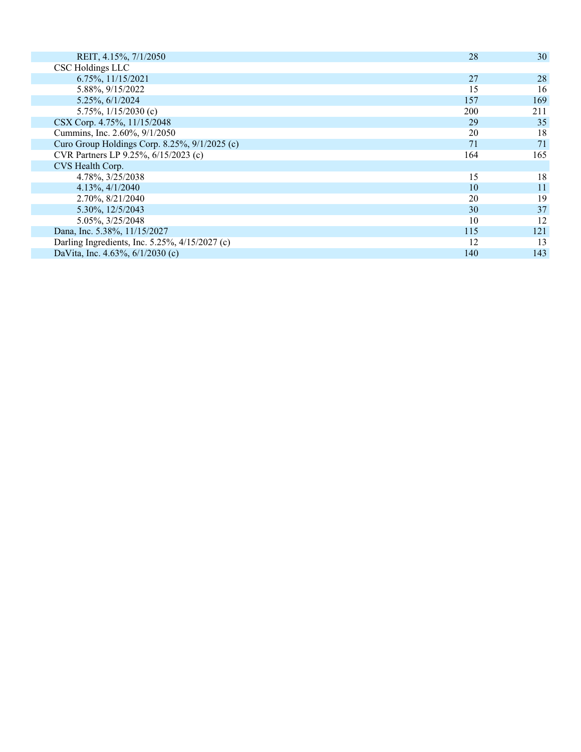| REIT, 4.15%, 7/1/2050                           | 28  | 30  |
|-------------------------------------------------|-----|-----|
| CSC Holdings LLC                                |     |     |
| 6.75%, 11/15/2021                               | 27  | 28  |
| 5.88%, 9/15/2022                                | 15  | 16  |
| 5.25%, 6/1/2024                                 | 157 | 169 |
| 5.75\%, $1/15/2030$ (c)                         | 200 | 211 |
| CSX Corp. 4.75%, 11/15/2048                     | 29  | 35  |
| Cummins, Inc. 2.60%, 9/1/2050                   | 20  | 18  |
| Curo Group Holdings Corp. 8.25%, $9/1/2025$ (c) | 71  | 71  |
| CVR Partners LP 9.25%, 6/15/2023 (c)            | 164 | 165 |
| CVS Health Corp.                                |     |     |
| 4.78%, 3/25/2038                                | 15  | 18  |
| $4.13\%, \frac{4}{1/2040}$                      | 10  | 11  |
| 2.70%, 8/21/2040                                | 20  | 19  |
| 5.30%, 12/5/2043                                | 30  | 37  |
| 5.05%, 3/25/2048                                | 10  | 12  |
| Dana, Inc. 5.38%, 11/15/2027                    | 115 | 121 |
| Darling Ingredients, Inc. 5.25%, 4/15/2027 (c)  | 12  | 13  |
| DaVita, Inc. 4.63%, 6/1/2030 (c)                | 140 | 143 |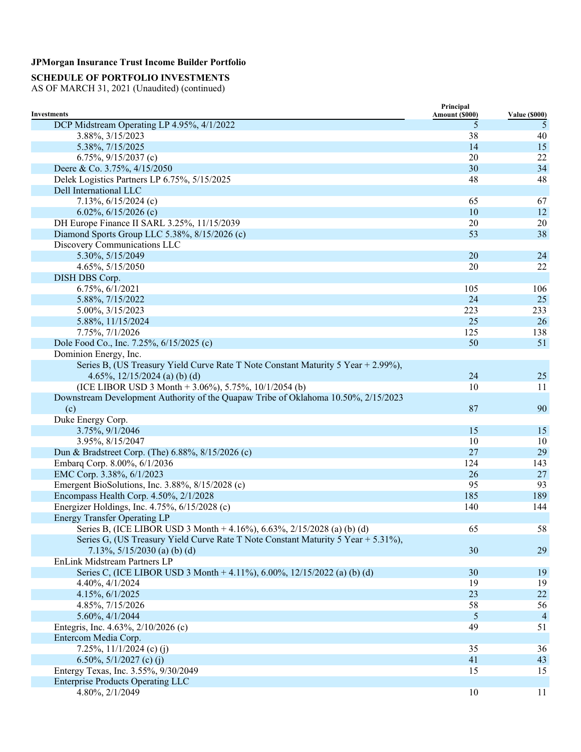## **SCHEDULE OF PORTFOLIO INVESTMENTS**

|                                                                                    | Principal      |                      |
|------------------------------------------------------------------------------------|----------------|----------------------|
| <b>Investments</b>                                                                 | Amount (\$000) | <b>Value (\$000)</b> |
| DCP Midstream Operating LP 4.95%, 4/1/2022                                         | 5              | 5                    |
| 3.88%, 3/15/2023                                                                   | 38             | 40                   |
| 5.38%, 7/15/2025                                                                   | 14             | 15                   |
| 6.75%, $9/15/2037$ (c)                                                             | 20             | 22                   |
| Deere & Co. 3.75%, 4/15/2050                                                       | 30             | 34                   |
| Delek Logistics Partners LP 6.75%, 5/15/2025                                       | 48             | 48                   |
| Dell International LLC                                                             |                |                      |
| 7.13%, $6/15/2024$ (c)                                                             | 65             | 67                   |
| 6.02%, $6/15/2026$ (c)                                                             | 10             | 12                   |
| DH Europe Finance II SARL 3.25%, 11/15/2039                                        | 20             | 20                   |
| Diamond Sports Group LLC 5.38%, 8/15/2026 (c)                                      | 53             | 38                   |
| Discovery Communications LLC                                                       |                |                      |
| 5.30%, 5/15/2049                                                                   | 20             | 24                   |
| 4.65%, 5/15/2050                                                                   | 20             | 22                   |
| DISH DBS Corp.                                                                     |                |                      |
| 6.75%, 6/1/2021                                                                    | 105            | 106                  |
| 5.88%, 7/15/2022                                                                   | 24             | 25                   |
| 5.00%, 3/15/2023                                                                   | 223            | 233                  |
| 5.88%, 11/15/2024                                                                  | 25             | 26                   |
| 7.75%, 7/1/2026                                                                    | 125            | 138                  |
| Dole Food Co., Inc. 7.25%, 6/15/2025 (c)                                           | 50             | 51                   |
| Dominion Energy, Inc.                                                              |                |                      |
| Series B, (US Treasury Yield Curve Rate T Note Constant Maturity 5 Year + 2.99%),  |                |                      |
| 4.65%, $12/15/2024$ (a) (b) (d)                                                    | 24             | 25                   |
| (ICE LIBOR USD 3 Month + 3.06%), 5.75%, $10/1/2054$ (b)                            | 10             | 11                   |
| Downstream Development Authority of the Quapaw Tribe of Oklahoma 10.50%, 2/15/2023 |                |                      |
| (c)                                                                                | 87             | 90                   |
| Duke Energy Corp.                                                                  |                |                      |
| 3.75%, 9/1/2046                                                                    | 15             | 15                   |
| 3.95%, 8/15/2047                                                                   | 10             | 10                   |
| Dun & Bradstreet Corp. (The) 6.88%, 8/15/2026 (c)                                  | 27             | 29                   |
| Embarq Corp. 8.00%, 6/1/2036                                                       | 124            | 143                  |
| EMC Corp. 3.38%, 6/1/2023                                                          | 26             | 27                   |
| Emergent BioSolutions, Inc. 3.88%, 8/15/2028 (c)                                   | 95             | 93                   |
| Encompass Health Corp. 4.50%, 2/1/2028                                             | 185            | 189                  |
| Energizer Holdings, Inc. 4.75%, 6/15/2028 (c)                                      | 140            | 144                  |
| <b>Energy Transfer Operating LP</b>                                                |                |                      |
| Series B, (ICE LIBOR USD 3 Month + 4.16%), 6.63%, 2/15/2028 (a) (b) (d)            | 65             | 58                   |
| Series G, (US Treasury Yield Curve Rate T Note Constant Maturity 5 Year + 5.31%),  |                |                      |
| 7.13%, $5/15/2030$ (a) (b) (d)                                                     | 30             | 29                   |
| EnLink Midstream Partners LP                                                       |                |                      |
| Series C, (ICE LIBOR USD 3 Month + 4.11%), 6.00%, 12/15/2022 (a) (b) (d)           | 30             | 19                   |
| 4.40%, 4/1/2024                                                                    | 19             | 19                   |
| 4.15%, 6/1/2025                                                                    | 23             | $22\,$               |
| 4.85%, 7/15/2026                                                                   | 58             | 56                   |
| 5.60%, 4/1/2044                                                                    | 5              | $\overline{4}$       |
| Entegris, Inc. 4.63%, 2/10/2026 (c)                                                | 49             | 51                   |
| Entercom Media Corp.                                                               |                |                      |
| 7.25%, $11/1/2024$ (c) (j)                                                         | 35             | 36                   |
| 6.50%, $5/1/2027$ (c) (j)                                                          | 41             | 43                   |
| Entergy Texas, Inc. 3.55%, 9/30/2049                                               | 15             | 15                   |
| <b>Enterprise Products Operating LLC</b>                                           |                |                      |
| 4.80%, 2/1/2049                                                                    | 10             | 11                   |
|                                                                                    |                |                      |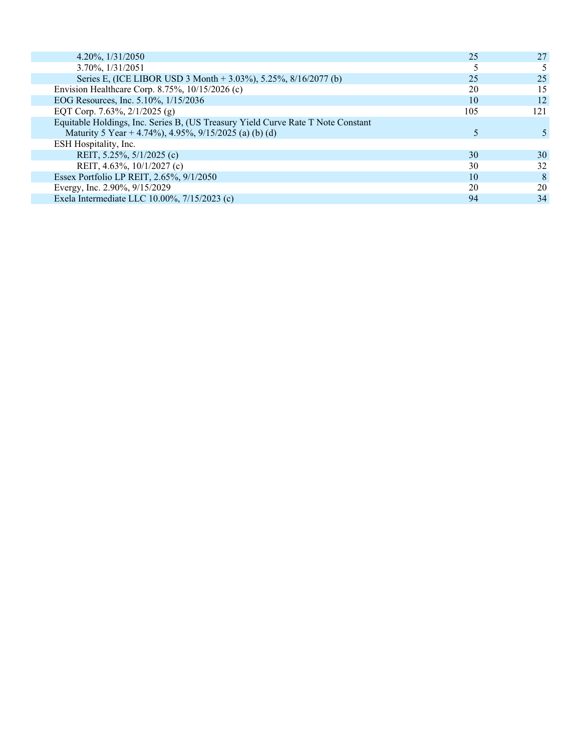| $4.20\%$ , $1/31/2050$                                                           | 25  | 27  |
|----------------------------------------------------------------------------------|-----|-----|
| 3.70%, 1/31/2051                                                                 |     |     |
| Series E, (ICE LIBOR USD 3 Month + 3.03%), 5.25%, 8/16/2077 (b)                  | 25  | 25  |
| Envision Healthcare Corp. 8.75%, 10/15/2026 (c)                                  | 20  | 15  |
| EOG Resources, Inc. 5.10%, 1/15/2036                                             | 10  | 12  |
| EQT Corp. 7.63%, $2/1/2025$ (g)                                                  | 105 | 121 |
| Equitable Holdings, Inc. Series B, (US Treasury Yield Curve Rate T Note Constant |     |     |
| Maturity 5 Year + 4.74%), 4.95%, 9/15/2025 (a) (b) (d)                           |     |     |
| ESH Hospitality, Inc.                                                            |     |     |
| REIT, 5.25%, 5/1/2025 (c)                                                        | 30  | 30  |
| REIT, 4.63%, 10/1/2027 (c)                                                       | 30  | 32  |
| Essex Portfolio LP REIT, 2.65%, 9/1/2050                                         | 10  | 8   |
| Evergy, Inc. 2.90%, 9/15/2029                                                    | 20  | 20  |
| Exela Intermediate LLC 10.00%, 7/15/2023 (c)                                     | 94  | 34  |
|                                                                                  |     |     |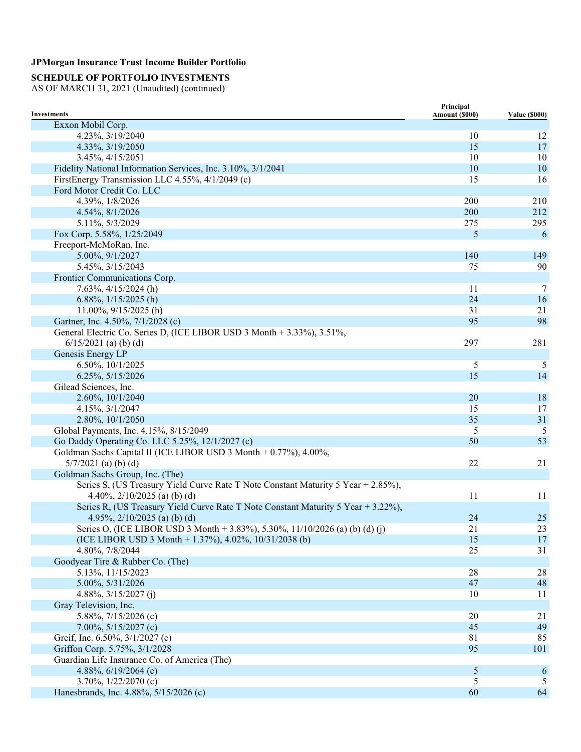## **SCHEDULE OF PORTFOLIO INVESTMENTS**

| <b>Investments</b>                                                                                             | Principal<br>Amount (\$000) | <b>Value (\$000)</b> |
|----------------------------------------------------------------------------------------------------------------|-----------------------------|----------------------|
| Exxon Mobil Corp.                                                                                              |                             |                      |
| 4.23%, 3/19/2040                                                                                               | 10                          | 12                   |
| 4.33%, 3/19/2050                                                                                               | 15                          | 17                   |
| 3.45%, 4/15/2051                                                                                               | 10                          | 10                   |
| Fidelity National Information Services, Inc. 3.10%, 3/1/2041                                                   | 10                          | 10                   |
| FirstEnergy Transmission LLC 4.55%, 4/1/2049 (c)                                                               | 15                          | 16                   |
| Ford Motor Credit Co. LLC                                                                                      |                             |                      |
| 4.39%, 1/8/2026                                                                                                | 200                         | 210                  |
| 4.54%, 8/1/2026                                                                                                | 200                         | 212                  |
| 5.11%, 5/3/2029                                                                                                | 275                         | 295                  |
| Fox Corp. 5.58%, 1/25/2049                                                                                     | 5                           | 6                    |
| Freeport-McMoRan, Inc.                                                                                         |                             |                      |
| 5.00%, 9/1/2027                                                                                                | 140                         | 149                  |
| 5.45%, 3/15/2043                                                                                               | 75                          | 90                   |
| Frontier Communications Corp.                                                                                  |                             |                      |
| $7.63\%, \frac{4}{15/2024}$ (h)                                                                                | 11                          | 7                    |
| 6.88%, $1/15/2025$ (h)                                                                                         | 24                          | 16                   |
| $11.00\%$ , $9/15/2025$ (h)                                                                                    | 31                          | 21                   |
| Gartner, Inc. 4.50%, 7/1/2028 (c)                                                                              | 95                          | 98                   |
| General Electric Co. Series D, (ICE LIBOR USD 3 Month + 3.33%), 3.51%,                                         |                             |                      |
| $6/15/2021$ (a) (b) (d)                                                                                        | 297                         | 281                  |
| Genesis Energy LP                                                                                              |                             |                      |
| 6.50%, 10/1/2025                                                                                               | 5                           | 5                    |
| 6.25%, 5/15/2026                                                                                               | 15                          | 14                   |
| Gilead Sciences, Inc.                                                                                          |                             |                      |
| 2.60%, 10/1/2040                                                                                               | 20                          | 18                   |
| 4.15%, 3/1/2047                                                                                                | 15                          | 17                   |
| 2.80%, 10/1/2050                                                                                               | 35                          | 31                   |
| Global Payments, Inc. 4.15%, 8/15/2049                                                                         | 5                           | 5                    |
| Go Daddy Operating Co. LLC 5.25%, 12/1/2027 (c)                                                                | 50                          | 53                   |
| Goldman Sachs Capital II (ICE LIBOR USD 3 Month + 0.77%), 4.00%,                                               |                             |                      |
| $5/7/2021$ (a) (b) (d)                                                                                         | 22                          | 21                   |
| Goldman Sachs Group, Inc. (The)                                                                                |                             |                      |
| Series S, (US Treasury Yield Curve Rate T Note Constant Maturity 5 Year + 2.85%),                              |                             |                      |
|                                                                                                                |                             |                      |
| 4.40%, $2/10/2025$ (a) (b) (d)                                                                                 | 11                          | 11                   |
| Series R, (US Treasury Yield Curve Rate T Note Constant Maturity 5 Year + 3.22%),                              |                             |                      |
| 4.95%, $2/10/2025$ (a) (b) (d)<br>Series O, (ICE LIBOR USD 3 Month + 3.83%), 5.30%, 11/10/2026 (a) (b) (d) (j) | 24                          | 25<br>23             |
| (ICE LIBOR USD 3 Month + 1.37%), 4.02%, 10/31/2038 (b)                                                         | 21                          |                      |
|                                                                                                                | 15<br>25                    | 17<br>31             |
| 4.80%, 7/8/2044                                                                                                |                             |                      |
| Goodyear Tire & Rubber Co. (The)<br>5.13%, 11/15/2023                                                          |                             |                      |
|                                                                                                                | $28\,$                      | $28\,$               |
| 5.00%, 5/31/2026                                                                                               | 47                          | 48                   |
| 4.88%, $3/15/2027$ (j)                                                                                         | 10                          | 11                   |
| Gray Television, Inc.                                                                                          |                             |                      |
| 5.88%, $7/15/2026$ (c)                                                                                         | 20                          | 21                   |
| 7.00%, 5/15/2027 (c)                                                                                           | 45                          | 49                   |
| Greif, Inc. 6.50%, 3/1/2027 (c)                                                                                | 81                          | 85                   |
| Griffon Corp. 5.75%, 3/1/2028                                                                                  | 95                          | 101                  |
| Guardian Life Insurance Co. of America (The)                                                                   |                             |                      |
| 4.88%, 6/19/2064 (c)                                                                                           | $\mathfrak{S}$              | 6                    |
| 3.70%, $1/22/2070$ (c)                                                                                         | 5                           | 5                    |
| Hanesbrands, Inc. 4.88%, 5/15/2026 (c)                                                                         | 60                          | 64                   |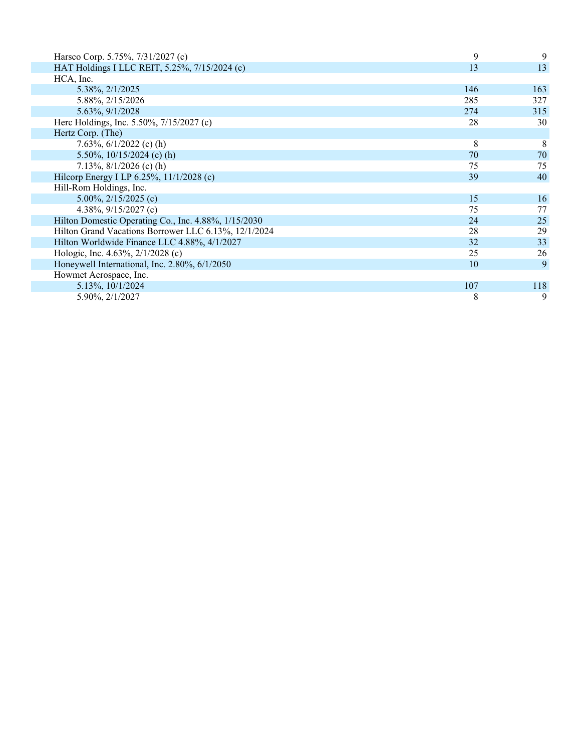| Harsco Corp. 5.75%, 7/31/2027 (c)                    | 9   | 9   |
|------------------------------------------------------|-----|-----|
| HAT Holdings I LLC REIT, 5.25%, 7/15/2024 (c)        | 13  | 13  |
| HCA, Inc.                                            |     |     |
| 5.38%, 2/1/2025                                      | 146 | 163 |
| 5.88%, 2/15/2026                                     | 285 | 327 |
| 5.63%, 9/1/2028                                      | 274 | 315 |
| Herc Holdings, Inc. 5.50%, 7/15/2027 (c)             | 28  | 30  |
| Hertz Corp. (The)                                    |     |     |
| 7.63%, $6/1/2022$ (c) (h)                            | 8   | 8   |
| 5.50%, $10/15/2024$ (c) (h)                          | 70  | 70  |
| 7.13%, $8/1/2026$ (c) (h)                            | 75  | 75  |
| Hilcorp Energy I LP 6.25%, 11/1/2028 (c)             | 39  | 40  |
| Hill-Rom Holdings, Inc.                              |     |     |
| 5.00%, $2/15/2025$ (c)                               | 15  | 16  |
| 4.38%, $9/15/2027$ (c)                               | 75  | 77  |
| Hilton Domestic Operating Co., Inc. 4.88%, 1/15/2030 | 24  | 25  |
| Hilton Grand Vacations Borrower LLC 6.13%, 12/1/2024 | 28  | 29  |
| Hilton Worldwide Finance LLC 4.88%, 4/1/2027         | 32  | 33  |
| Hologic, Inc. 4.63%, 2/1/2028 (c)                    | 25  | 26  |
| Honeywell International, Inc. 2.80%, 6/1/2050        | 10  | 9   |
| Howmet Aerospace, Inc.                               |     |     |
| 5.13%, 10/1/2024                                     | 107 | 118 |
| 5.90%, 2/1/2027                                      | 8   | 9   |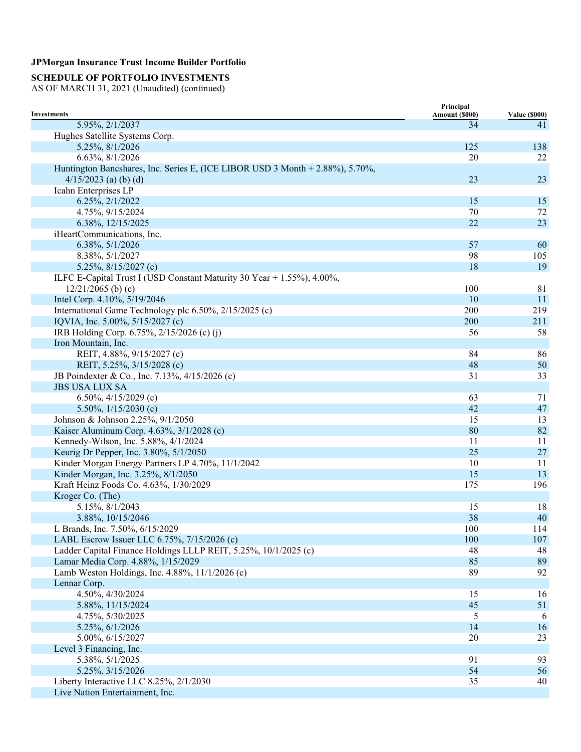## **SCHEDULE OF PORTFOLIO INVESTMENTS**

|                                                                               | Principal      |                      |
|-------------------------------------------------------------------------------|----------------|----------------------|
| <b>Investments</b><br>5.95%, 2/1/2037                                         | Amount (\$000) | <b>Value (\$000)</b> |
| Hughes Satellite Systems Corp.                                                | 34             | 41                   |
| 5.25%, 8/1/2026                                                               | 125            | 138                  |
|                                                                               | 20             |                      |
| 6.63%, 8/1/2026                                                               |                | 22                   |
| Huntington Bancshares, Inc. Series E, (ICE LIBOR USD 3 Month + 2.88%), 5.70%, | 23             |                      |
| $4/15/2023$ (a) (b) (d)                                                       |                | 23                   |
| Icahn Enterprises LP                                                          | 15             |                      |
| 6.25%, 2/1/2022                                                               |                | 15                   |
| 4.75%, 9/15/2024                                                              | 70<br>22       | 72                   |
| 6.38%, 12/15/2025                                                             |                | 23                   |
| iHeartCommunications, Inc.                                                    |                |                      |
| 6.38%, 5/1/2026                                                               | 57             | 60                   |
| 8.38%, 5/1/2027                                                               | 98             | 105                  |
| 5.25%, $8/15/2027$ (c)                                                        | 18             | 19                   |
| ILFC E-Capital Trust I (USD Constant Maturity 30 Year + 1.55%), 4.00%,        |                |                      |
| $12/21/2065$ (b) (c)                                                          | 100            | 81                   |
| Intel Corp. 4.10%, 5/19/2046                                                  | 10             | 11                   |
| International Game Technology plc 6.50%, 2/15/2025 (c)                        | 200            | 219                  |
| IQVIA, Inc. 5.00%, 5/15/2027 (c)                                              | 200            | 211                  |
| IRB Holding Corp. 6.75%, 2/15/2026 (c) (j)                                    | 56             | 58                   |
| Iron Mountain, Inc.                                                           |                |                      |
| REIT, 4.88%, 9/15/2027 (c)                                                    | 84             | 86                   |
| REIT, 5.25%, 3/15/2028 (c)                                                    | 48             | 50                   |
| JB Poindexter & Co., Inc. 7.13%, 4/15/2026 (c)                                | 31             | 33                   |
| <b>JBS USA LUX SA</b>                                                         |                |                      |
| 6.50%, $4/15/2029$ (c)                                                        | 63             | 71                   |
| 5.50%, $1/15/2030$ (c)                                                        | 42             | 47                   |
| Johnson & Johnson 2.25%, 9/1/2050                                             | 15             | 13                   |
| Kaiser Aluminum Corp. 4.63%, 3/1/2028 (c)                                     | 80             | 82                   |
| Kennedy-Wilson, Inc. 5.88%, 4/1/2024                                          | 11             | 11                   |
| Keurig Dr Pepper, Inc. 3.80%, 5/1/2050                                        | 25             | $27\,$               |
| Kinder Morgan Energy Partners LP 4.70%, 11/1/2042                             | 10             | 11                   |
| Kinder Morgan, Inc. 3.25%, 8/1/2050                                           | 15             | 13                   |
| Kraft Heinz Foods Co. 4.63%, 1/30/2029                                        | 175            | 196                  |
| Kroger Co. (The)                                                              |                |                      |
| 5.15%, 8/1/2043                                                               | 15             | 18                   |
| 3.88%, 10/15/2046                                                             | 38             | 40                   |
| L Brands, Inc. 7.50%, 6/15/2029                                               | 100            | 114                  |
| LABL Escrow Issuer LLC 6.75%, 7/15/2026 (c)                                   | 100            | 107                  |
| Ladder Capital Finance Holdings LLLP REIT, 5.25%, 10/1/2025 (c)               | 48             | 48                   |
| Lamar Media Corp. 4.88%, 1/15/2029                                            | 85             | 89                   |
| Lamb Weston Holdings, Inc. 4.88%, 11/1/2026 (c)                               | 89             | 92                   |
| Lennar Corp.                                                                  |                |                      |
| 4.50%, 4/30/2024                                                              | 15             | 16                   |
| 5.88%, 11/15/2024                                                             | 45             | 51                   |
| 4.75%, 5/30/2025                                                              | 5              | 6                    |
| 5.25%, 6/1/2026                                                               | 14             | 16                   |
| 5.00%, 6/15/2027                                                              | 20             | 23                   |
| Level 3 Financing, Inc.                                                       |                |                      |
| 5.38%, 5/1/2025                                                               | 91             | 93                   |
| 5.25%, 3/15/2026                                                              | 54             | 56                   |
| Liberty Interactive LLC 8.25%, 2/1/2030                                       | 35             | 40                   |
| Live Nation Entertainment, Inc.                                               |                |                      |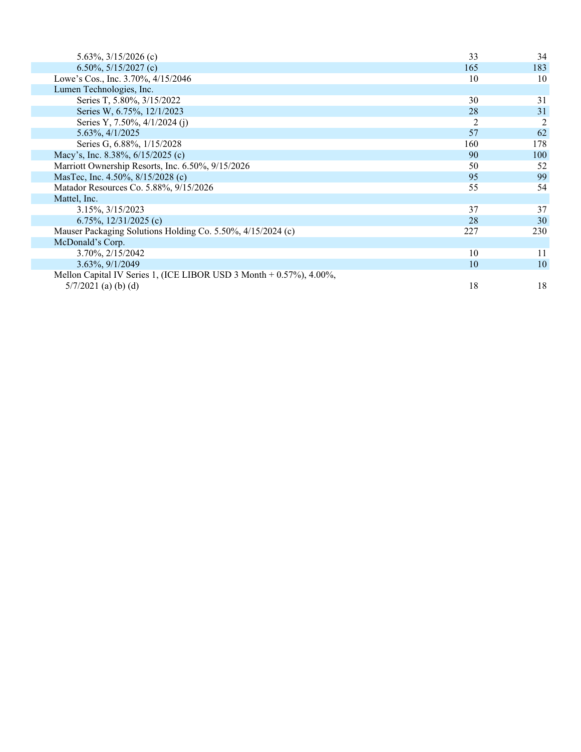| 5.63\%, $3/15/2026$ (c)                                               | 33             | 34             |
|-----------------------------------------------------------------------|----------------|----------------|
| 6.50%, $5/15/2027$ (c)                                                | 165            | 183            |
| Lowe's Cos., Inc. 3.70%, 4/15/2046                                    | 10             | 10             |
| Lumen Technologies, Inc.                                              |                |                |
| Series T, 5.80%, 3/15/2022                                            | 30             | 31             |
| Series W, 6.75%, 12/1/2023                                            | 28             | 31             |
| Series Y, 7.50%, 4/1/2024 (j)                                         | $\overline{2}$ | $\overline{c}$ |
| 5.63%, 4/1/2025                                                       | 57             | 62             |
| Series G, 6.88%, 1/15/2028                                            | 160            | 178            |
| Macy's, Inc. 8.38%, 6/15/2025 (c)                                     | 90             | 100            |
| Marriott Ownership Resorts, Inc. 6.50%, 9/15/2026                     | 50             | 52             |
| MasTec, Inc. 4.50%, 8/15/2028 (c)                                     | 95             | 99             |
| Matador Resources Co. 5.88%, 9/15/2026                                | 55             | 54             |
| Mattel, Inc.                                                          |                |                |
| 3.15%, 3/15/2023                                                      | 37             | 37             |
| 6.75%, $12/31/2025$ (c)                                               | 28             | 30             |
| Mauser Packaging Solutions Holding Co. 5.50%, 4/15/2024 (c)           | 227            | 230            |
| McDonald's Corp.                                                      |                |                |
| 3.70%, 2/15/2042                                                      | 10             | 11             |
| 3.63%, 9/1/2049                                                       | 10             | 10             |
| Mellon Capital IV Series 1, (ICE LIBOR USD 3 Month $+$ 0.57%), 4.00%, |                |                |
| $5/7/2021$ (a) (b) (d)                                                | 18             | 18             |
|                                                                       |                |                |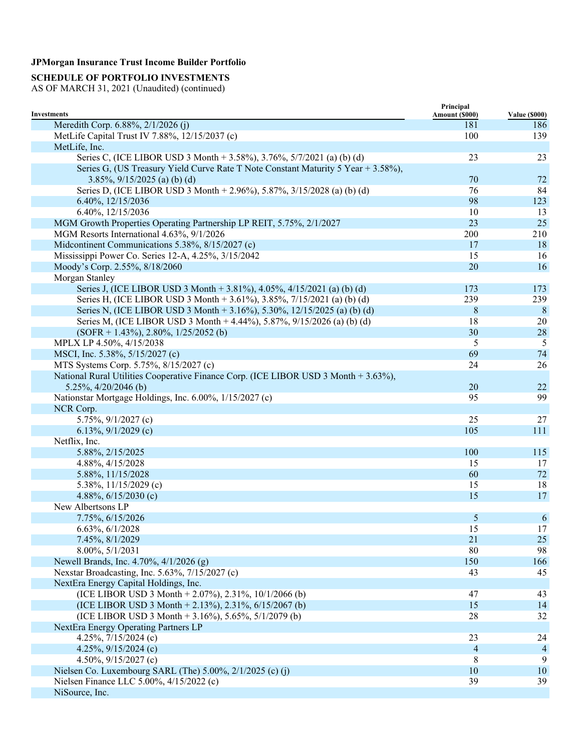## **SCHEDULE OF PORTFOLIO INVESTMENTS**

|                                                                                     | Principal      |                      |
|-------------------------------------------------------------------------------------|----------------|----------------------|
| <b>Investments</b>                                                                  | Amount (\$000) | <b>Value (\$000)</b> |
| Meredith Corp. 6.88%, 2/1/2026 (j)                                                  | 181            | 186                  |
| MetLife Capital Trust IV 7.88%, 12/15/2037 (c)                                      | 100            | 139                  |
| MetLife, Inc.                                                                       |                |                      |
| Series C, (ICE LIBOR USD 3 Month + 3.58%), 3.76%, 5/7/2021 (a) (b) (d)              | 23             | 23                   |
| Series G, (US Treasury Yield Curve Rate T Note Constant Maturity 5 Year + 3.58%),   |                |                      |
| $3.85\%$ , $9/15/2025$ (a) (b) (d)                                                  | 70             | 72                   |
| Series D, (ICE LIBOR USD 3 Month + 2.96%), 5.87%, 3/15/2028 (a) (b) (d)             | 76             | 84                   |
| 6.40%, 12/15/2036                                                                   | 98             | 123                  |
| 6.40%, 12/15/2036                                                                   | 10             | 13                   |
| MGM Growth Properties Operating Partnership LP REIT, 5.75%, 2/1/2027                | 23             | 25                   |
| MGM Resorts International 4.63%, 9/1/2026                                           | 200            | 210                  |
| Midcontinent Communications 5.38%, 8/15/2027 (c)                                    | 17             | 18                   |
| Mississippi Power Co. Series 12-A, 4.25%, 3/15/2042                                 | 15             | 16                   |
| Moody's Corp. 2.55%, 8/18/2060                                                      | 20             | 16                   |
| Morgan Stanley                                                                      |                |                      |
| Series J, (ICE LIBOR USD 3 Month + 3.81%), 4.05%, 4/15/2021 (a) (b) (d)             | 173            | 173                  |
| Series H, (ICE LIBOR USD 3 Month + 3.61%), 3.85%, 7/15/2021 (a) (b) (d)             | 239            | 239                  |
| Series N, (ICE LIBOR USD 3 Month + 3.16%), 5.30%, 12/15/2025 (a) (b) (d)            | 8              | 8                    |
| Series M, (ICE LIBOR USD 3 Month + 4.44%), 5.87%, 9/15/2026 (a) (b) (d)             | 18             | 20                   |
| $(SOFR + 1.43\%), 2.80\%, 1/25/2052$ (b)                                            | 30             | 28                   |
| MPLX LP 4.50%, 4/15/2038                                                            | 5              | 5                    |
| MSCI, Inc. 5.38%, 5/15/2027 (c)                                                     | 69             | 74                   |
| MTS Systems Corp. 5.75%, 8/15/2027 (c)                                              | 24             | 26                   |
| National Rural Utilities Cooperative Finance Corp. (ICE LIBOR USD 3 Month + 3.63%), |                |                      |
| 5.25%, $4/20/2046$ (b)                                                              | 20             | 22                   |
| Nationstar Mortgage Holdings, Inc. 6.00%, 1/15/2027 (c)                             | 95             | 99                   |
| NCR Corp.                                                                           |                |                      |
| 5.75%, 9/1/2027 (c)                                                                 | 25             | 27                   |
| 6.13%, $9/1/2029$ (c)                                                               | 105            | 111                  |
| Netflix, Inc.                                                                       |                |                      |
| 5.88%, 2/15/2025                                                                    | 100            | 115                  |
| 4.88%, 4/15/2028                                                                    | 15             | 17                   |
| 5.88%, 11/15/2028                                                                   | 60             | $72\,$               |
| 5.38%, $11/15/2029$ (c)                                                             | 15             | 18                   |
| 4.88%, $6/15/2030$ (c)                                                              | 15             | 17                   |
| New Albertsons LP                                                                   |                |                      |
| 7.75%, 6/15/2026                                                                    | 5              |                      |
|                                                                                     |                | 6                    |
| 6.63%, 6/1/2028                                                                     | 15             | 17                   |
| 7.45%, 8/1/2029                                                                     | 21             | 25                   |
| 8.00%, 5/1/2031                                                                     | 80             | 98                   |
| Newell Brands, Inc. 4.70%, 4/1/2026 (g)                                             | 150            | 166                  |
| Nexstar Broadcasting, Inc. 5.63%, 7/15/2027 (c)                                     | 43             | 45                   |
| NextEra Energy Capital Holdings, Inc.                                               |                |                      |
| (ICE LIBOR USD 3 Month + 2.07%), 2.31%, $10/1/2066$ (b)                             | 47             | 43                   |
| (ICE LIBOR USD 3 Month + 2.13%), 2.31%, $6/15/2067$ (b)                             | 15             | 14                   |
| (ICE LIBOR USD 3 Month + 3.16%), 5.65%, 5/1/2079 (b)                                | 28             | 32                   |
| NextEra Energy Operating Partners LP                                                |                |                      |
| 4.25%, $7/15/2024$ (c)                                                              | 23             | 24                   |
| 4.25%, $9/15/2024$ (c)                                                              | $\overline{4}$ | $\overline{4}$       |
| 4.50%, $9/15/2027$ (c)                                                              | 8              | 9                    |
| Nielsen Co. Luxembourg SARL (The) 5.00%, 2/1/2025 (c) (j)                           | 10             | 10                   |
| Nielsen Finance LLC 5.00%, 4/15/2022 (c)                                            | 39             | 39                   |
| NiSource, Inc.                                                                      |                |                      |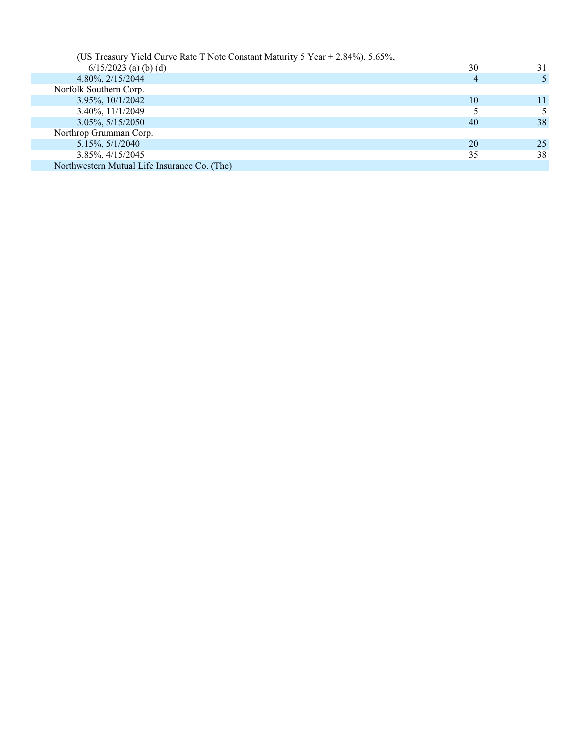| (US Treasury Yield Curve Rate T Note Constant Maturity 5 Year + 2.84%), 5.65%, |    |    |
|--------------------------------------------------------------------------------|----|----|
| $6/15/2023$ (a) (b) (d)                                                        | 30 | 31 |
| 4.80%, 2/15/2044                                                               | 4  |    |
| Norfolk Southern Corp.                                                         |    |    |
| $3.95\%$ , $10/1/2042$                                                         | 10 | 11 |
| 3.40%, 11/1/2049                                                               |    |    |
| $3.05\%, 5/15/2050$                                                            | 40 | 38 |
| Northrop Grumman Corp.                                                         |    |    |
| $5.15\%, 5/1/2040$                                                             | 20 | 25 |
| 3.85%, 4/15/2045                                                               | 35 | 38 |
| Northwestern Mutual Life Insurance Co. (The)                                   |    |    |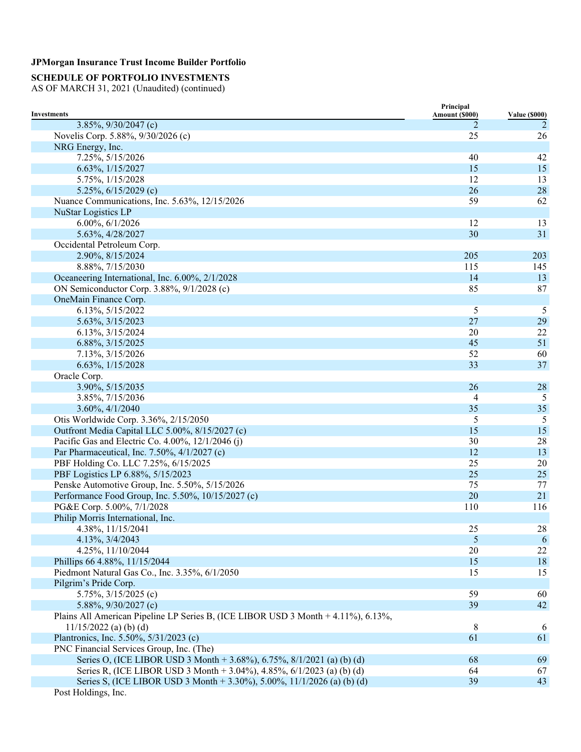## **SCHEDULE OF PORTFOLIO INVESTMENTS**

|                                                                                   | Principal      |                      |
|-----------------------------------------------------------------------------------|----------------|----------------------|
| <b>Investments</b>                                                                | Amount (\$000) | <b>Value (\$000)</b> |
| 3.85%, 9/30/2047 (c)<br>Novelis Corp. 5.88%, 9/30/2026 (c)                        | 2<br>25        | 2<br>26              |
| NRG Energy, Inc.                                                                  |                |                      |
|                                                                                   | 40             | 42                   |
| 7.25%, 5/15/2026                                                                  | 15             | 15                   |
| 6.63%, 1/15/2027                                                                  | 12             |                      |
| 5.75%, $1/15/2028$                                                                |                | 13                   |
| 5.25%, $6/15/2029$ (c)                                                            | 26<br>59       | $28\,$               |
| Nuance Communications, Inc. 5.63%, 12/15/2026                                     |                | 62                   |
| <b>NuStar Logistics LP</b>                                                        |                |                      |
| 6.00%, 6/1/2026                                                                   | 12             | 13                   |
| 5.63%, 4/28/2027                                                                  | 30             | 31                   |
| Occidental Petroleum Corp.                                                        |                |                      |
| 2.90%, 8/15/2024                                                                  | 205            | 203                  |
| 8.88%, 7/15/2030                                                                  | 115            | 145                  |
| Oceaneering International, Inc. 6.00%, 2/1/2028                                   | 14             | 13                   |
| ON Semiconductor Corp. 3.88%, 9/1/2028 (c)                                        | 85             | 87                   |
| OneMain Finance Corp.                                                             |                |                      |
| 6.13%, 5/15/2022                                                                  | 5              | 5                    |
| 5.63%, 3/15/2023                                                                  | 27             | 29                   |
| 6.13%, 3/15/2024                                                                  | 20             | 22                   |
| 6.88%, 3/15/2025                                                                  | 45             | 51                   |
| 7.13%, 3/15/2026                                                                  | 52             | 60                   |
| 6.63%, 1/15/2028                                                                  | 33             | 37                   |
| Oracle Corp.                                                                      |                |                      |
| 3.90%, 5/15/2035                                                                  | 26             | 28                   |
| 3.85%, 7/15/2036                                                                  | 4              | 5                    |
| 3.60%, 4/1/2040                                                                   | 35             | 35                   |
| Otis Worldwide Corp. 3.36%, 2/15/2050                                             | 5              | 5                    |
| Outfront Media Capital LLC 5.00%, 8/15/2027 (c)                                   | 15             | 15                   |
| Pacific Gas and Electric Co. 4.00%, 12/1/2046 (j)                                 | 30             | 28                   |
| Par Pharmaceutical, Inc. 7.50%, 4/1/2027 (c)                                      | 12             | 13                   |
| PBF Holding Co. LLC 7.25%, 6/15/2025                                              | 25             | 20                   |
| PBF Logistics LP 6.88%, 5/15/2023                                                 | 25             | 25                   |
| Penske Automotive Group, Inc. 5.50%, 5/15/2026                                    | 75             | 77                   |
| Performance Food Group, Inc. 5.50%, 10/15/2027 (c)                                | 20             | 21                   |
| PG&E Corp. 5.00%, 7/1/2028                                                        | 110            | 116                  |
| Philip Morris International, Inc.                                                 |                |                      |
| 4.38%, 11/15/2041                                                                 | 25             | $28\,$               |
| 4.13%, 3/4/2043                                                                   | 5              | 6                    |
| 4.25%, 11/10/2044                                                                 | 20             | $22\,$               |
| Phillips 66 4.88%, 11/15/2044                                                     | 15             | 18                   |
| Piedmont Natural Gas Co., Inc. 3.35%, 6/1/2050                                    | 15             | 15                   |
| Pilgrim's Pride Corp.                                                             |                |                      |
| 5.75%, $3/15/2025$ (c)                                                            | 59             | 60                   |
| 5.88%, $9/30/2027$ (c)                                                            | 39             | 42                   |
| Plains All American Pipeline LP Series B, (ICE LIBOR USD 3 Month + 4.11%), 6.13%, |                |                      |
| $11/15/2022$ (a) (b) (d)                                                          | 8              | 6                    |
| Plantronics, Inc. 5.50%, 5/31/2023 (c)                                            | 61             | 61                   |
| PNC Financial Services Group, Inc. (The)                                          |                |                      |
| Series O, (ICE LIBOR USD 3 Month + 3.68%), 6.75%, 8/1/2021 (a) (b) (d)            | 68             | 69                   |
| Series R, (ICE LIBOR USD 3 Month + 3.04%), 4.85%, 6/1/2023 (a) (b) (d)            | 64             | 67                   |
| Series S, (ICE LIBOR USD 3 Month + 3.30%), 5.00%, 11/1/2026 (a) (b) (d)           | 39             | 43                   |
| Post Holdings, Inc.                                                               |                |                      |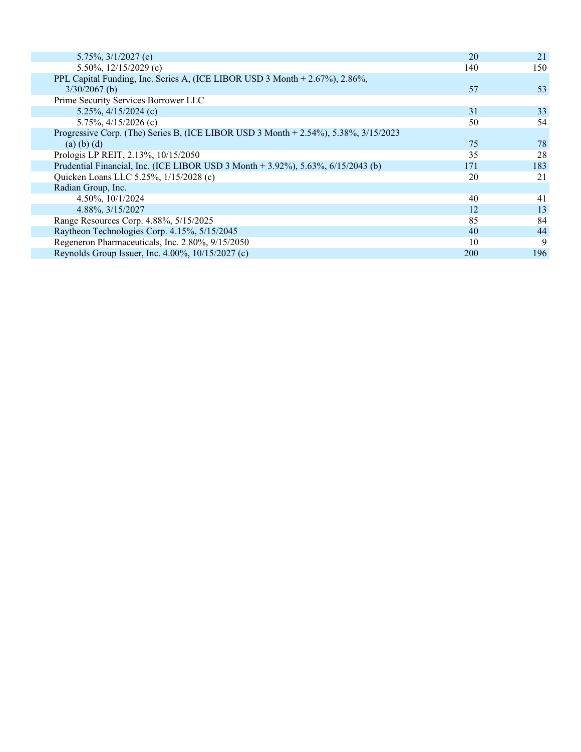| 5.75%, $3/1/2027$ (c)                                                               | 20         | 21  |
|-------------------------------------------------------------------------------------|------------|-----|
| 5.50%, $12/15/2029$ (c)                                                             | 140        | 150 |
| PPL Capital Funding, Inc. Series A, (ICE LIBOR USD 3 Month + 2.67%), 2.86%,         |            |     |
| $3/30/2067$ (b)                                                                     | 57         | 53  |
| Prime Security Services Borrower LLC                                                |            |     |
| 5.25%, $4/15/2024$ (c)                                                              | 31         | 33  |
| 5.75%, $4/15/2026$ (c)                                                              | 50         | 54  |
| Progressive Corp. (The) Series B, (ICE LIBOR USD 3 Month + 2.54%), 5.38%, 3/15/2023 |            |     |
| $(a)$ (b) (d)                                                                       | 75         | 78  |
| Prologis LP REIT, 2.13%, 10/15/2050                                                 | 35         | 28  |
| Prudential Financial, Inc. (ICE LIBOR USD 3 Month + 3.92%), 5.63%, 6/15/2043 (b)    | 171        | 183 |
| Quicken Loans LLC 5.25%, 1/15/2028 (c)                                              | 20         | 21  |
| Radian Group, Inc.                                                                  |            |     |
| 4.50%, 10/1/2024                                                                    | 40         | 41  |
| 4.88%, 3/15/2027                                                                    | 12         | 13  |
| Range Resources Corp. 4.88%, 5/15/2025                                              | 85         | 84  |
| Raytheon Technologies Corp. 4.15%, 5/15/2045                                        | 40         | 44  |
| Regeneron Pharmaceuticals, Inc. 2.80%, 9/15/2050                                    | 10         | 9   |
| Reynolds Group Issuer, Inc. 4.00%, 10/15/2027 (c)                                   | <b>200</b> | 196 |
|                                                                                     |            |     |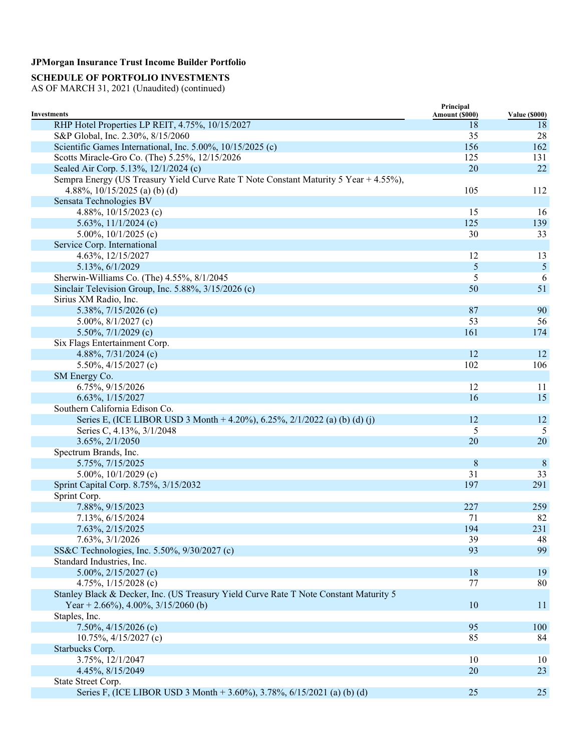## **SCHEDULE OF PORTFOLIO INVESTMENTS**

|                                                                                       | Principal      |                      |
|---------------------------------------------------------------------------------------|----------------|----------------------|
| Investments                                                                           | Amount (\$000) | <b>Value (\$000)</b> |
| RHP Hotel Properties LP REIT, 4.75%, 10/15/2027                                       | 18             | 18                   |
| S&P Global, Inc. 2.30%, 8/15/2060                                                     | 35             | 28                   |
| Scientific Games International, Inc. 5.00%, 10/15/2025 (c)                            | 156            | 162                  |
| Scotts Miracle-Gro Co. (The) 5.25%, 12/15/2026                                        | 125            | 131                  |
| Sealed Air Corp. 5.13%, 12/1/2024 (c)                                                 | 20             | 22                   |
| Sempra Energy (US Treasury Yield Curve Rate T Note Constant Maturity 5 Year + 4.55%), |                |                      |
| 4.88%, $10/15/2025$ (a) (b) (d)                                                       | 105            | 112                  |
| Sensata Technologies BV                                                               |                |                      |
| 4.88%, $10/15/2023$ (c)                                                               | 15             | 16                   |
| 5.63%, $11/1/2024$ (c)                                                                | 125            | 139                  |
| 5.00%, $10/1/2025$ (c)                                                                | 30             | 33                   |
| Service Corp. International                                                           |                |                      |
| 4.63%, 12/15/2027                                                                     | 12             | 13                   |
| 5.13%, 6/1/2029                                                                       | $\mathfrak{S}$ | $\mathfrak{S}$       |
| Sherwin-Williams Co. (The) 4.55%, 8/1/2045                                            | 5              | 6                    |
| Sinclair Television Group, Inc. 5.88%, 3/15/2026 (c)                                  | 50             | 51                   |
| Sirius XM Radio, Inc.                                                                 |                |                      |
| 5.38%, 7/15/2026 (c)                                                                  | 87             | 90                   |
| 5.00%, $8/1/2027$ (c)                                                                 | 53             | 56                   |
| 5.50%, $7/1/2029$ (c)                                                                 | 161            | 174                  |
| Six Flags Entertainment Corp.                                                         |                |                      |
| 4.88%, $7/31/2024$ (c)                                                                | 12             | 12                   |
| 5.50%, $4/15/2027$ (c)                                                                | 102            | 106                  |
| SM Energy Co.                                                                         |                |                      |
| 6.75%, 9/15/2026                                                                      | 12             | 11                   |
| 6.63%, 1/15/2027                                                                      | 16             | 15                   |
| Southern California Edison Co.                                                        |                |                      |
| Series E, (ICE LIBOR USD 3 Month + 4.20%), 6.25%, 2/1/2022 (a) (b) (d) (j)            | 12             | 12                   |
| Series C, 4.13%, 3/1/2048                                                             | 5              | 5                    |
| 3.65%, 2/1/2050                                                                       | 20             | 20                   |
| Spectrum Brands, Inc.                                                                 |                |                      |
| 5.75%, 7/15/2025                                                                      | $8\,$          | $8\phantom{.0}$      |
| 5.00%, $10/1/2029$ (c)                                                                | 31             | 33                   |
| Sprint Capital Corp. 8.75%, 3/15/2032                                                 | 197            | 291                  |
| Sprint Corp.                                                                          |                |                      |
| 7.88%, 9/15/2023                                                                      | 227            | 259                  |
| 7.13%, 6/15/2024                                                                      | 71             | 82                   |
| 7.63%, 2/15/2025                                                                      | 194            | 231                  |
| 7.63%, 3/1/2026                                                                       | 39             | 48                   |
| SS&C Technologies, Inc. 5.50%, 9/30/2027 (c)                                          | 93             | 99                   |
| Standard Industries, Inc.                                                             |                |                      |
| 5.00%, $2/15/2027$ (c)                                                                | 18             | 19                   |
| 4.75%, $1/15/2028$ (c)                                                                | 77             | 80                   |
| Stanley Black & Decker, Inc. (US Treasury Yield Curve Rate T Note Constant Maturity 5 |                |                      |
| Year + 2.66%), 4.00%, $3/15/2060$ (b)                                                 | 10             | <sup>11</sup>        |
| Staples, Inc.                                                                         |                |                      |
| 7.50%, $4/15/2026$ (c)                                                                | 95             | 100                  |
| $10.75\%, \frac{4}{15/2027}$ (c)                                                      | 85             | 84                   |
| Starbucks Corp.                                                                       |                |                      |
| 3.75%, 12/1/2047                                                                      | 10             | 10                   |
| 4.45%, 8/15/2049                                                                      | 20             | 23                   |
| State Street Corp.                                                                    |                |                      |
| Series F, (ICE LIBOR USD 3 Month + 3.60%), 3.78%, 6/15/2021 (a) (b) (d)               | 25             | 25                   |
|                                                                                       |                |                      |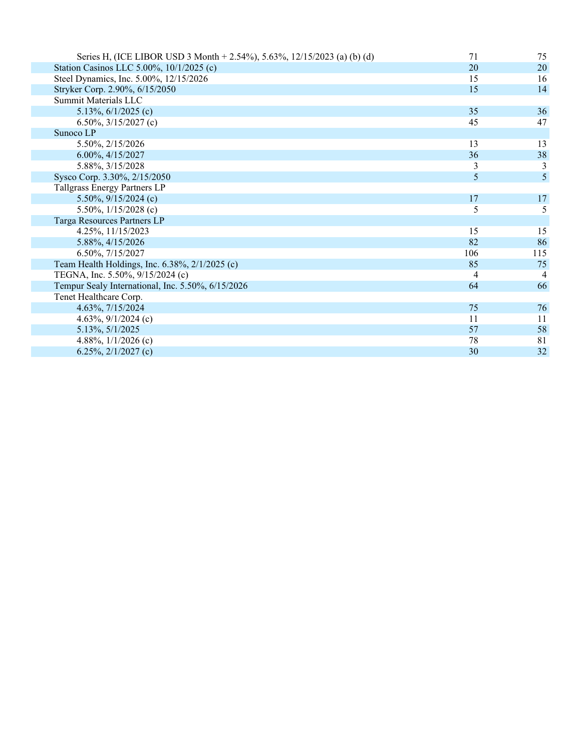| Series H, (ICE LIBOR USD 3 Month + 2.54%), 5.63%, 12/15/2023 (a) (b) (d) | 71  | 75  |
|--------------------------------------------------------------------------|-----|-----|
| Station Casinos LLC 5.00%, 10/1/2025 (c)                                 | 20  | 20  |
| Steel Dynamics, Inc. 5.00%, 12/15/2026                                   | 15  | 16  |
| Stryker Corp. 2.90%, 6/15/2050                                           | 15  | 14  |
| Summit Materials LLC                                                     |     |     |
| 5.13%, $6/1/2025$ (c)                                                    | 35  | 36  |
| 6.50%, $3/15/2027$ (c)                                                   | 45  | 47  |
| Sunoco LP                                                                |     |     |
| 5.50%, 2/15/2026                                                         | 13  | 13  |
| 6.00%, 4/15/2027                                                         | 36  | 38  |
| 5.88%, 3/15/2028                                                         | 3   | 3   |
| Sysco Corp. 3.30%, 2/15/2050                                             | 5   | 5   |
| Tallgrass Energy Partners LP                                             |     |     |
| 5.50%, $9/15/2024$ (c)                                                   | 17  | 17  |
| 5.50%, $1/15/2028$ (c)                                                   | 5   | 5   |
| Targa Resources Partners LP                                              |     |     |
| 4.25%, 11/15/2023                                                        | 15  | 15  |
| 5.88%, 4/15/2026                                                         | 82  | 86  |
| 6.50%, 7/15/2027                                                         | 106 | 115 |
| Team Health Holdings, Inc. 6.38%, 2/1/2025 (c)                           | 85  | 75  |
| TEGNA, Inc. 5.50%, 9/15/2024 (c)                                         | 4   | 4   |
| Tempur Sealy International, Inc. 5.50%, 6/15/2026                        | 64  | 66  |
| Tenet Healthcare Corp.                                                   |     |     |
| 4.63%, 7/15/2024                                                         | 75  | 76  |
| 4.63%, $9/1/2024$ (c)                                                    | 11  | 11  |
| 5.13%, 5/1/2025                                                          | 57  | 58  |
| 4.88%, $1/1/2026$ (c)                                                    | 78  | 81  |
| 6.25%, $2/1/2027$ (c)                                                    | 30  | 32  |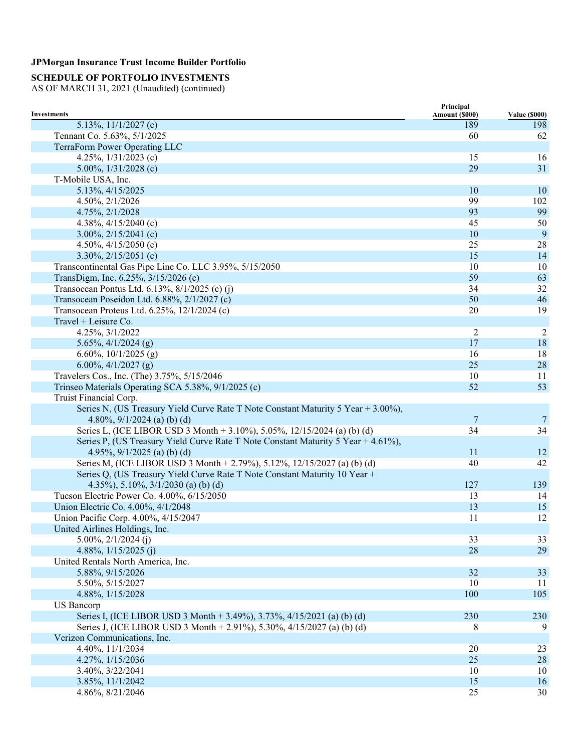## **SCHEDULE OF PORTFOLIO INVESTMENTS**

|                                                                                   | Principal      |                      |
|-----------------------------------------------------------------------------------|----------------|----------------------|
| <b>Investments</b>                                                                | Amount (\$000) | <b>Value (\$000)</b> |
| 5.13%, $11/1/2027$ (c)                                                            | 189            | 198                  |
| Tennant Co. 5.63%, 5/1/2025                                                       | 60             | 62                   |
| TerraForm Power Operating LLC                                                     |                |                      |
| 4.25%, $1/31/2023$ (c)                                                            | 15             | 16                   |
| 5.00%, $1/31/2028$ (c)                                                            | 29             | 31                   |
| T-Mobile USA, Inc.                                                                |                |                      |
| 5.13%, 4/15/2025                                                                  | 10             | 10                   |
| 4.50%, 2/1/2026                                                                   | 99             | 102                  |
| 4.75%, 2/1/2028                                                                   | 93             | 99                   |
| 4.38%, $4/15/2040$ (c)                                                            | 45             | 50                   |
| 3.00%, $2/15/2041$ (c)                                                            | 10             | 9                    |
| 4.50%, $4/15/2050$ (c)                                                            | 25             | 28                   |
| 3.30%, $2/15/2051$ (c)                                                            | 15             | 14                   |
| Transcontinental Gas Pipe Line Co. LLC 3.95%, 5/15/2050                           | 10             | 10                   |
| TransDigm, Inc. 6.25%, 3/15/2026 (c)                                              | 59             | 63                   |
| Transocean Pontus Ltd. 6.13%, 8/1/2025 (c) (j)                                    | 34             | 32                   |
| Transocean Poseidon Ltd. 6.88%, 2/1/2027 (c)                                      | 50             | 46                   |
| Transocean Proteus Ltd. 6.25%, 12/1/2024 (c)                                      | 20             | 19                   |
| Travel + Leisure Co.                                                              |                |                      |
| 4.25%, 3/1/2022                                                                   | 2              | $\overline{2}$       |
| 5.65%, $4/1/2024$ (g)                                                             | 17             | 18                   |
| 6.60%, $10/1/2025$ (g)                                                            | 16             | 18                   |
| 6.00%, $4/1/2027$ (g)                                                             | 25             | 28                   |
| Travelers Cos., Inc. (The) 3.75%, 5/15/2046                                       | 10             | 11                   |
| Trinseo Materials Operating SCA 5.38%, 9/1/2025 (c)                               | 52             | 53                   |
| Truist Financial Corp.                                                            |                |                      |
| Series N, (US Treasury Yield Curve Rate T Note Constant Maturity 5 Year + 3.00%), |                |                      |
| 4.80%, $9/1/2024$ (a) (b) (d)                                                     | 7              | 7                    |
| Series L, (ICE LIBOR USD 3 Month + 3.10%), 5.05%, 12/15/2024 (a) (b) (d)          | 34             | 34                   |
| Series P, (US Treasury Yield Curve Rate T Note Constant Maturity 5 Year + 4.61%), |                |                      |
| 4.95%, $9/1/2025$ (a) (b) (d)                                                     | 11             | 12                   |
| Series M, (ICE LIBOR USD 3 Month + 2.79%), 5.12%, 12/15/2027 (a) (b) (d)          | 40             | 42                   |
| Series Q, (US Treasury Yield Curve Rate T Note Constant Maturity 10 Year +        |                |                      |
| 4.35%), 5.10%, $3/1/2030$ (a) (b) (d)                                             | 127            | 139                  |
| Tucson Electric Power Co. 4.00%, 6/15/2050                                        | 13             | 14                   |
| Union Electric Co. 4.00%, 4/1/2048                                                | 13             | 15                   |
| Union Pacific Corp. 4.00%, 4/15/2047                                              | 11             | 12                   |
| United Airlines Holdings, Inc.                                                    |                |                      |
| $5.00\%, 2/1/2024$ (j)                                                            | 33             | 33                   |
| 4.88%, $1/15/2025$ (j)                                                            | 28             | 29                   |
| United Rentals North America, Inc.                                                |                |                      |
| 5.88%, 9/15/2026                                                                  | 32             | 33                   |
| 5.50%, 5/15/2027                                                                  | 10             | 11                   |
| 4.88%, 1/15/2028                                                                  | 100            | 105                  |
| <b>US</b> Bancorp                                                                 |                |                      |
| Series I, (ICE LIBOR USD 3 Month + 3.49%), 3.73%, 4/15/2021 (a) (b) (d)           | 230            | 230                  |
| Series J, (ICE LIBOR USD 3 Month + 2.91%), 5.30%, 4/15/2027 (a) (b) (d)           | 8              | 9                    |
| Verizon Communications, Inc.                                                      |                |                      |
| 4.40%, 11/1/2034                                                                  | $20\,$         | 23                   |
| 4.27%, 1/15/2036                                                                  | 25             | 28                   |
| 3.40%, 3/22/2041                                                                  | 10             | 10                   |
| 3.85%, 11/1/2042                                                                  | 15             | 16                   |
| 4.86%, 8/21/2046                                                                  | 25             | 30                   |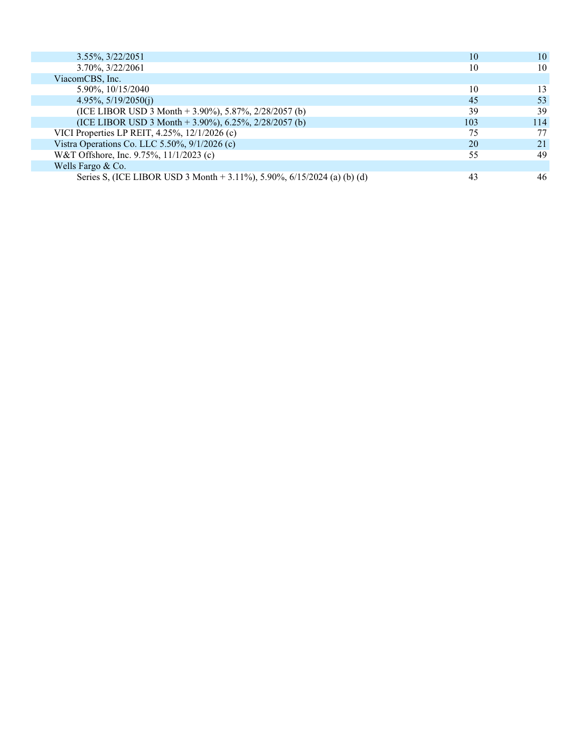| 3.55%, 3/22/2051                                                        | 10  | 10  |
|-------------------------------------------------------------------------|-----|-----|
| 3.70%, 3/22/2061                                                        | 10  | 10  |
| ViacomCBS, Inc.                                                         |     |     |
| 5.90%, 10/15/2040                                                       | 10  | 13  |
| $4.95\%, 5/19/2050(i)$                                                  | 45  | 53  |
| (ICE LIBOR USD 3 Month + 3.90%), 5.87%, $2/28/2057$ (b)                 | 39  | 39  |
| (ICE LIBOR USD 3 Month + 3.90%), 6.25%, $2/28/2057$ (b)                 | 103 | 114 |
| VICI Properties LP REIT, 4.25%, 12/1/2026 (c)                           | 75  | 77  |
| Vistra Operations Co. LLC 5.50%, 9/1/2026 (c)                           | 20  | 21  |
| W&T Offshore, Inc. 9.75%, 11/1/2023 (c)                                 | 55  | 49  |
| Wells Fargo & Co.                                                       |     |     |
| Series S, (ICE LIBOR USD 3 Month + 3.11%), 5.90%, 6/15/2024 (a) (b) (d) | 43  | 46  |
|                                                                         |     |     |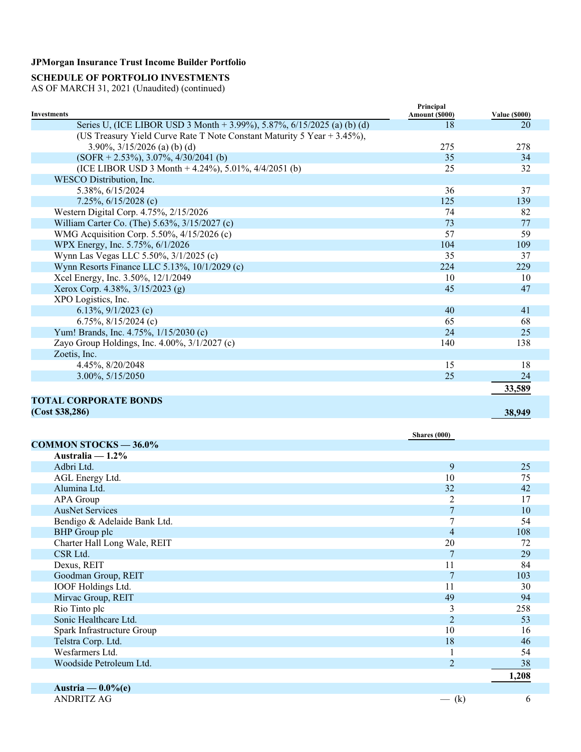## **SCHEDULE OF PORTFOLIO INVESTMENTS**

| <b>Investments</b>                                                      | Principal<br>Amount (\$000) | <b>Value (\$000)</b> |
|-------------------------------------------------------------------------|-----------------------------|----------------------|
| Series U, (ICE LIBOR USD 3 Month + 3.99%), 5.87%, 6/15/2025 (a) (b) (d) | 18                          | 20                   |
| (US Treasury Yield Curve Rate T Note Constant Maturity 5 Year + 3.45%), |                             |                      |
| 3.90%, $3/15/2026$ (a) (b) (d)                                          | 275                         | 278                  |
| $(SOFR + 2.53\%), 3.07\%, 4/30/2041$ (b)                                | 35                          | 34                   |
| (ICE LIBOR USD 3 Month $+$ 4.24%), 5.01%, 4/4/2051 (b)                  | 25                          | 32                   |
| WESCO Distribution, Inc.                                                |                             |                      |
| 5.38%, 6/15/2024                                                        | 36                          | 37                   |
| 7.25%, $6/15/2028$ (c)                                                  | 125                         | 139                  |
| Western Digital Corp. 4.75%, 2/15/2026                                  | 74                          | 82                   |
| William Carter Co. (The) 5.63%, 3/15/2027 (c)                           | 73                          | 77                   |
| WMG Acquisition Corp. 5.50%, 4/15/2026 (c)                              | 57                          | 59                   |
| WPX Energy, Inc. 5.75%, 6/1/2026                                        | 104                         | 109                  |
| Wynn Las Vegas LLC 5.50%, 3/1/2025 (c)                                  | 35                          | 37                   |
| Wynn Resorts Finance LLC 5.13%, 10/1/2029 (c)                           | 224                         | 229                  |
| Xcel Energy, Inc. 3.50%, 12/1/2049                                      | 10                          | 10                   |
| Xerox Corp. 4.38%, 3/15/2023 (g)                                        | 45                          | 47                   |
| XPO Logistics, Inc.                                                     |                             |                      |
| 6.13%, $9/1/2023$ (c)                                                   | 40                          | 41                   |
| 6.75%, $8/15/2024$ (c)                                                  | 65                          | 68                   |
| Yum! Brands, Inc. 4.75%, 1/15/2030 (c)                                  | 24                          | 25                   |
| Zayo Group Holdings, Inc. 4.00%, 3/1/2027 (c)                           | 140                         | 138                  |
| Zoetis, Inc.                                                            |                             |                      |
| 4.45%, 8/20/2048                                                        | 15                          | 18                   |
| 3.00%, 5/15/2050                                                        | 25                          | 24                   |
|                                                                         |                             | 33,589               |
| <b>TOTAL CORPORATE BONDS</b>                                            |                             |                      |
| (Cost \$38,286)                                                         |                             | 38,949               |

|                              | Shares (000)    |       |
|------------------------------|-----------------|-------|
| <b>COMMON STOCKS — 36.0%</b> |                 |       |
| Australia $-1.2\%$           |                 |       |
| Adbri Ltd.                   | 9               | 25    |
| AGL Energy Ltd.              | 10              | 75    |
| Alumina Ltd.                 | 32              | 42    |
| APA Group                    | 2               | 17    |
| <b>AusNet Services</b>       | $7\phantom{.0}$ | 10    |
| Bendigo & Adelaide Bank Ltd. | $\overline{7}$  | 54    |
| <b>BHP</b> Group plc         | $\overline{4}$  | 108   |
| Charter Hall Long Wale, REIT | 20              | 72    |
| CSR Ltd.                     | $\overline{7}$  | 29    |
| Dexus, REIT                  | 11              | 84    |
| Goodman Group, REIT          | $\overline{7}$  | 103   |
| IOOF Holdings Ltd.           | 11              | 30    |
| Mirvac Group, REIT           | 49              | 94    |
| Rio Tinto plc                | 3               | 258   |
| Sonic Healthcare Ltd.        | 2               | 53    |
| Spark Infrastructure Group   | 10              | 16    |
| Telstra Corp. Ltd.           | 18              | 46    |
| Wesfarmers Ltd.              |                 | 54    |
| Woodside Petroleum Ltd.      | $\overline{2}$  | 38    |
|                              |                 | 1,208 |
| Austria — $0.0\%$ (e)        |                 |       |
| <b>ANDRITZ AG</b>            | $-$ (k)         | 6     |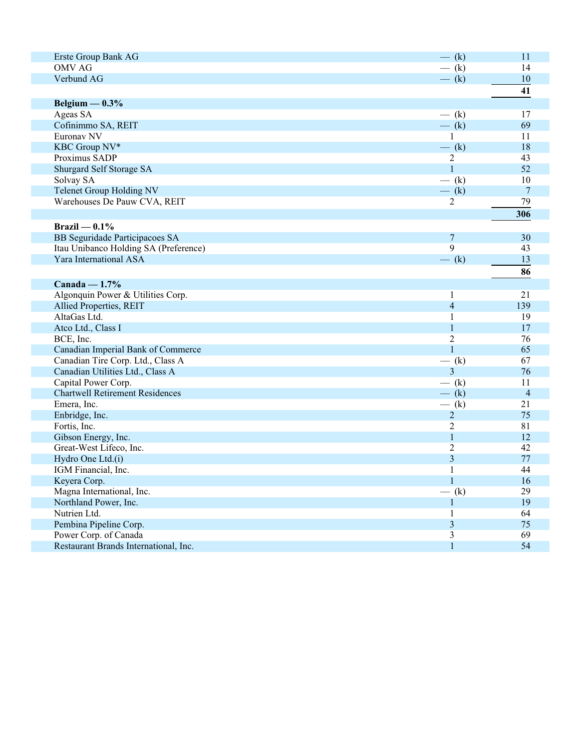| Erste Group Bank AG                    | $-$ (k)        | 11             |
|----------------------------------------|----------------|----------------|
| <b>OMV AG</b>                          | $-$ (k)        | 14             |
| Verbund AG                             | $-$ (k)        | 10             |
|                                        |                | 41             |
| Belgium $-0.3\%$                       |                |                |
| Ageas SA                               | $-$ (k)        | 17             |
| Cofinimmo SA, REIT                     | $-$ (k)        | 69             |
| Euronav NV                             | 1              | 11             |
| KBC Group NV*                          | $-$ (k)        | 18             |
| Proximus SADP                          | $\overline{2}$ | 43             |
| Shurgard Self Storage SA               | $\mathbf{1}$   | 52             |
| Solvay SA                              | $-$ (k)        | 10             |
| <b>Telenet Group Holding NV</b>        | $-$ (k)        | $\overline{7}$ |
| Warehouses De Pauw CVA, REIT           | 2              | 79             |
|                                        |                |                |
|                                        |                | 306            |
| Brazil — $0.1\%$                       |                |                |
| BB Seguridade Participacoes SA         | 7              | 30             |
| Itau Unibanco Holding SA (Preference)  | 9              | 43             |
| Yara International ASA                 | $-$ (k)        | 13             |
|                                        |                | 86             |
| Canada — $1.7\%$                       |                |                |
| Algonquin Power & Utilities Corp.      | 1              | 21             |
| Allied Properties, REIT                | $\overline{4}$ | 139            |
| AltaGas Ltd.                           | 1              | 19             |
| Atco Ltd., Class I                     | 1              | 17             |
| BCE, Inc.                              | $\overline{2}$ | 76             |
| Canadian Imperial Bank of Commerce     | $\mathbf{1}$   | 65             |
| Canadian Tire Corp. Ltd., Class A      | $-$ (k)        | 67             |
| Canadian Utilities Ltd., Class A       | 3              | 76             |
| Capital Power Corp.                    | $-$ (k)        | 11             |
| <b>Chartwell Retirement Residences</b> | $-$ (k)        | $\overline{4}$ |
| Emera, Inc.                            | $-$ (k)        | 21             |
| Enbridge, Inc.                         | $\overline{2}$ | 75             |
| Fortis, Inc.                           | $\overline{2}$ | 81             |
| Gibson Energy, Inc.                    | $\mathbf{1}$   | 12             |
| Great-West Lifeco, Inc.                | 2              | 42             |
| Hydro One Ltd.(i)                      | 3              | 77             |
| IGM Financial, Inc.                    | $\mathbf{1}$   | 44             |
| Keyera Corp.                           | $\mathbf{1}$   | 16             |
| Magna International, Inc.              | $-$ (k)        | 29             |
| Northland Power, Inc.                  | $\mathbf{1}$   | 19             |
| Nutrien Ltd.                           |                | 64             |
|                                        | 1<br>3         | 75             |
| Pembina Pipeline Corp.                 |                | 69             |
| Power Corp. of Canada                  | 3              |                |
| Restaurant Brands International, Inc.  | $\mathbf{1}$   | 54             |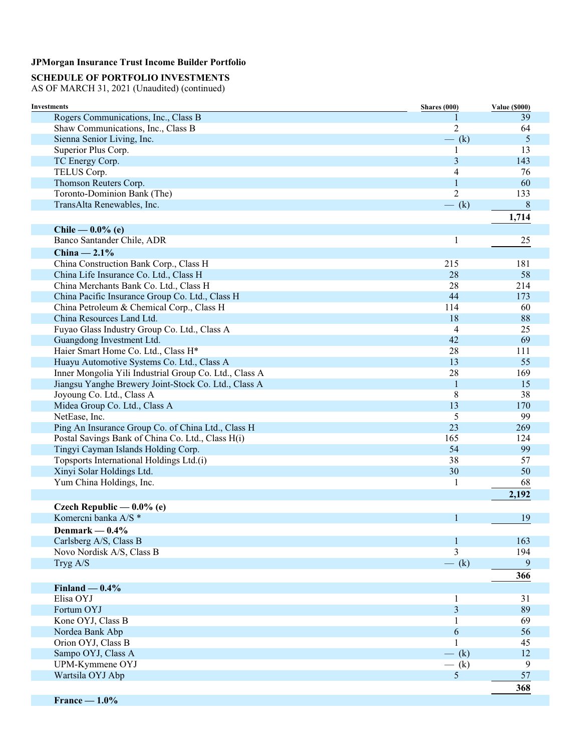## **SCHEDULE OF PORTFOLIO INVESTMENTS**

| <b>Investments</b>                                                                       | Shares (000)   | <b>Value (\$000)</b> |
|------------------------------------------------------------------------------------------|----------------|----------------------|
| Rogers Communications, Inc., Class B                                                     |                | 39                   |
| Shaw Communications, Inc., Class B                                                       | $\overline{2}$ | 64                   |
| Sienna Senior Living, Inc.                                                               | $-$ (k)        | 5                    |
| Superior Plus Corp.                                                                      | 1              | 13                   |
| TC Energy Corp.                                                                          | 3              | 143                  |
| TELUS Corp.                                                                              | 4              | 76                   |
| Thomson Reuters Corp.                                                                    | $\mathbf{1}$   | 60                   |
| Toronto-Dominion Bank (The)                                                              | $\overline{2}$ | 133                  |
| TransAlta Renewables, Inc.                                                               | $-$ (k)        | 8                    |
|                                                                                          |                | 1,714                |
| Chile — $0.0\%$ (e)                                                                      |                |                      |
| Banco Santander Chile, ADR                                                               | 1              | 25                   |
| China $-2.1\%$                                                                           |                |                      |
| China Construction Bank Corp., Class H                                                   | 215            | 181                  |
| China Life Insurance Co. Ltd., Class H                                                   | 28             | 58                   |
| China Merchants Bank Co. Ltd., Class H                                                   | 28             | 214                  |
| China Pacific Insurance Group Co. Ltd., Class H                                          | 44             | 173                  |
| China Petroleum & Chemical Corp., Class H                                                | 114            | 60                   |
| China Resources Land Ltd.                                                                | 18             | 88                   |
| Fuyao Glass Industry Group Co. Ltd., Class A                                             | $\overline{4}$ | 25                   |
| Guangdong Investment Ltd.                                                                | 42             | 69                   |
| Haier Smart Home Co. Ltd., Class H*                                                      | 28             | 111                  |
| Huayu Automotive Systems Co. Ltd., Class A                                               | 13             | 55                   |
| Inner Mongolia Yili Industrial Group Co. Ltd., Class A                                   | 28             | 169                  |
| Jiangsu Yanghe Brewery Joint-Stock Co. Ltd., Class A                                     | $\mathbf{1}$   | 15                   |
| Joyoung Co. Ltd., Class A                                                                | 8              | 38                   |
| Midea Group Co. Ltd., Class A                                                            | 13             | 170                  |
| NetEase, Inc.                                                                            | 5              | 99                   |
| Ping An Insurance Group Co. of China Ltd., Class H                                       | 23<br>165      | 269                  |
| Postal Savings Bank of China Co. Ltd., Class H(i)<br>Tingyi Cayman Islands Holding Corp. | 54             | 124<br>99            |
| Topsports International Holdings Ltd.(i)                                                 | 38             | 57                   |
| Xinyi Solar Holdings Ltd.                                                                | 30             | 50                   |
| Yum China Holdings, Inc.                                                                 | 1              | 68                   |
|                                                                                          |                | 2,192                |
|                                                                                          |                |                      |
| Czech Republic — $0.0\%$ (e)                                                             |                |                      |
| Komercni banka A/S *                                                                     | $\mathbf{1}$   | 19                   |
| Denmark $-0.4%$                                                                          |                |                      |
| Carlsberg A/S, Class B                                                                   | 1              | 163                  |
| Novo Nordisk A/S, Class B                                                                | 3              | 194                  |
| Tryg A/S                                                                                 | $-$ (k)        | 9                    |
|                                                                                          |                | 366                  |
| $Finland - 0.4%$                                                                         |                |                      |
| Elisa OYJ                                                                                | 1              | 31                   |
| Fortum OYJ                                                                               | 3              | 89                   |
| Kone OYJ, Class B                                                                        | 1              | 69                   |
| Nordea Bank Abp                                                                          | 6              | 56                   |
| Orion OYJ, Class B                                                                       | 1              | 45                   |
| Sampo OYJ, Class A                                                                       | $-$ (k)        | 12                   |
| UPM-Kymmene OYJ<br>Wartsila OYJ Abp                                                      | $-$ (k)<br>5   | 9<br>57              |
|                                                                                          |                |                      |
|                                                                                          |                | 368                  |
| $France - 1.0\%$                                                                         |                |                      |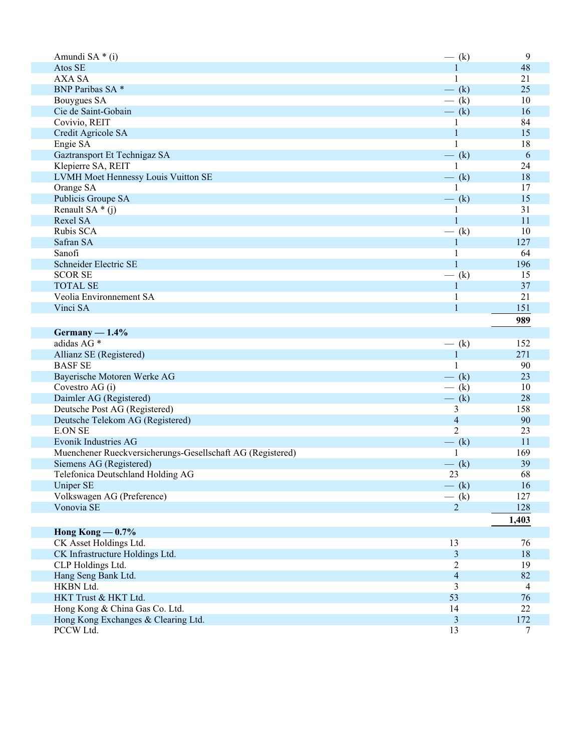| Amundi SA * (i)                                            | $-$ (k)                 | 9              |
|------------------------------------------------------------|-------------------------|----------------|
| Atos SE                                                    | 1                       | 48             |
| <b>AXA SA</b>                                              | $\mathbf{1}$            | 21             |
| BNP Paribas SA *                                           | $-$ (k)                 | 25             |
| Bouygues SA                                                | $-$ (k)                 | 10             |
| Cie de Saint-Gobain                                        | $-$ (k)                 | 16             |
| Covivio, REIT                                              | 1                       | 84             |
| Credit Agricole SA                                         | $\mathbf{1}$            | 15             |
| Engie SA                                                   | 1                       | 18             |
| Gaztransport Et Technigaz SA                               | $-$ (k)                 | 6              |
| Klepierre SA, REIT                                         | 1                       | 24             |
| LVMH Moet Hennessy Louis Vuitton SE                        | $-$ (k)                 | 18             |
| Orange SA                                                  |                         | 17             |
| Publicis Groupe SA                                         | $-$ (k)                 | 15             |
| Renault SA $*(i)$                                          |                         | 31             |
| Rexel SA                                                   | $\mathbf{1}$            | 11             |
| Rubis SCA                                                  | $-$ (k)                 | 10             |
| Safran SA                                                  | 1                       | 127            |
| Sanofi                                                     |                         | 64             |
| Schneider Electric SE                                      | $\mathbf{1}$            | 196            |
| <b>SCOR SE</b>                                             | $-$ (k)                 | 15             |
| <b>TOTAL SE</b>                                            | 1                       | 37             |
| Veolia Environnement SA                                    | 1                       | 21             |
| Vinci SA                                                   | $\mathbf{1}$            | 151            |
|                                                            |                         |                |
|                                                            |                         | 989            |
| $Germany - 1.4%$                                           |                         |                |
| adidas AG <sup>*</sup>                                     | $-$ (k)                 | 152            |
| Allianz SE (Registered)                                    | $\mathbf{1}$            | 271            |
| <b>BASF SE</b>                                             | $\mathbf{1}$            | 90             |
| Bayerische Motoren Werke AG                                | $-$ (k)                 | 23             |
| Covestro AG (i)                                            | $-$ (k)                 | 10             |
| Daimler AG (Registered)                                    | $-$ (k)                 | 28             |
| Deutsche Post AG (Registered)                              | 3                       | 158            |
| Deutsche Telekom AG (Registered)                           | $\overline{4}$          | 90             |
| <b>E.ON SE</b>                                             | $\overline{2}$          | 23             |
| <b>Evonik Industries AG</b>                                | $-$ (k)                 | 11             |
| Muenchener Rueckversicherungs-Gesellschaft AG (Registered) | 1                       | 169            |
| Siemens AG (Registered)                                    | $-$ (k)                 | 39             |
| Telefonica Deutschland Holding AG                          | 23                      | 68             |
| Uniper SE                                                  | $-$ (k)                 | 16             |
| Volkswagen AG (Preference)                                 | $-$ (k)                 | 127            |
| Vonovia SE                                                 | $\overline{2}$          | 128            |
|                                                            |                         | 1,403          |
| Hong Kong $-0.7\%$                                         |                         |                |
| CK Asset Holdings Ltd.                                     | 13                      | 76             |
| CK Infrastructure Holdings Ltd.                            | $\overline{\mathbf{3}}$ | 18             |
| CLP Holdings Ltd.                                          | 2                       | 19             |
| Hang Seng Bank Ltd.                                        | $\overline{4}$          | 82             |
| HKBN Ltd.                                                  | 3                       | $\overline{4}$ |
| HKT Trust & HKT Ltd.                                       | 53                      | 76             |
| Hong Kong & China Gas Co. Ltd.                             | 14                      | 22             |
| Hong Kong Exchanges & Clearing Ltd.                        | 3                       | 172            |
| PCCW Ltd.                                                  | 13                      | 7              |
|                                                            |                         |                |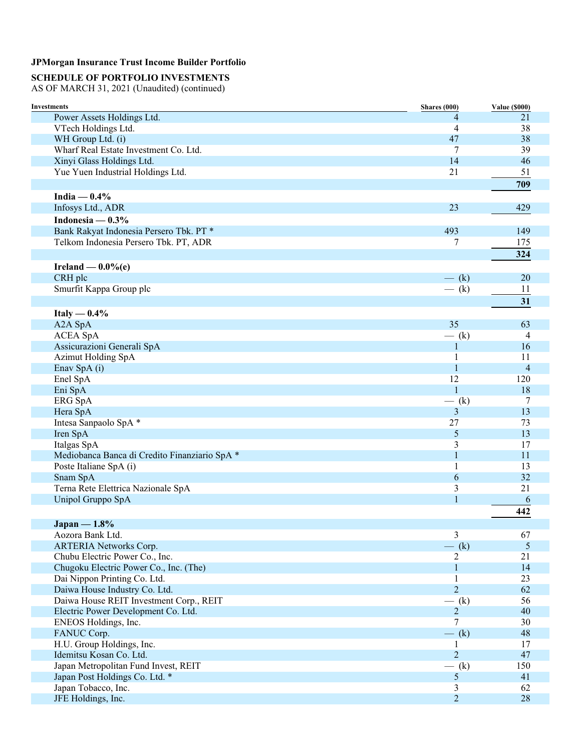## **SCHEDULE OF PORTFOLIO INVESTMENTS**

| Investments                                          | Shares (000)        | <b>Value (\$000)</b> |
|------------------------------------------------------|---------------------|----------------------|
| Power Assets Holdings Ltd.                           | 4                   | 21                   |
| VTech Holdings Ltd.                                  | 4                   | 38                   |
| WH Group Ltd. (i)                                    | 47                  | 38                   |
| Wharf Real Estate Investment Co. Ltd.                | 7                   | 39                   |
| Xinyi Glass Holdings Ltd.                            | 14                  | 46                   |
| Yue Yuen Industrial Holdings Ltd.                    | 21                  | 51                   |
|                                                      |                     | 709                  |
| India $-0.4%$                                        |                     |                      |
| Infosys Ltd., ADR                                    | 23                  | 429                  |
| Indonesia — $0.3\%$                                  |                     |                      |
| Bank Rakyat Indonesia Persero Tbk. PT *              | 493                 | 149                  |
| Telkom Indonesia Persero Tbk. PT, ADR                | 7                   | 175                  |
|                                                      |                     | 324                  |
| Ireland $-0.0\%$ (e)                                 |                     |                      |
| CRH plc                                              | $-$ (k)             | 20                   |
| Smurfit Kappa Group plc                              | $-$ (k)             | 11                   |
|                                                      |                     | 31                   |
|                                                      |                     |                      |
| Italy $-0.4\%$                                       |                     |                      |
| A2A SpA                                              | 35                  | 63                   |
| <b>ACEA SpA</b>                                      | $-$ (k)             | $\overline{4}$       |
| Assicurazioni Generali SpA                           | 1                   | 16                   |
| <b>Azimut Holding SpA</b>                            | 1                   | 11                   |
| Enav SpA (i)                                         | $\mathbf{1}$        | $\overline{4}$       |
| Enel SpA                                             | 12                  | 120                  |
| Eni SpA                                              | $\mathbf{1}$        | 18                   |
| ERG SpA                                              | $-$ (k)             | 7                    |
| Hera SpA                                             | 3                   | 13                   |
| Intesa Sanpaolo SpA *                                | 27                  | 73                   |
| Iren SpA                                             | 5                   | 13                   |
| Italgas SpA                                          | 3<br>$\mathbf{1}$   | 17<br>11             |
| Mediobanca Banca di Credito Finanziario SpA *        |                     | 13                   |
| Poste Italiane SpA (i)<br>Snam SpA                   | 1<br>6              | 32                   |
| Terna Rete Elettrica Nazionale SpA                   | 3                   | 21                   |
| Unipol Gruppo SpA                                    | $\mathbf{1}$        | 6                    |
|                                                      |                     |                      |
|                                                      |                     | 442                  |
| Japan $-1.8%$                                        |                     |                      |
| Aozora Bank Ltd.                                     | 3                   | 67                   |
| <b>ARTERIA Networks Corp.</b>                        | $-$ (k)             | $\overline{5}$       |
| Chubu Electric Power Co., Inc.                       | 2                   | 21                   |
| Chugoku Electric Power Co., Inc. (The)               | $\mathbf{1}$        | 14                   |
| Dai Nippon Printing Co. Ltd.                         | 1                   | 23                   |
| Daiwa House Industry Co. Ltd.                        | $\overline{2}$      | 62                   |
| Daiwa House REIT Investment Corp., REIT              | $-$ (k)             | 56                   |
| Electric Power Development Co. Ltd.                  | $\overline{2}$      | 40                   |
| ENEOS Holdings, Inc.                                 | 7                   | 30                   |
| FANUC Corp.                                          | $-$ (k)             | 48                   |
| H.U. Group Holdings, Inc.<br>Idemitsu Kosan Co. Ltd. | 1<br>$\overline{2}$ | 17                   |
|                                                      |                     | 47                   |
| Japan Metropolitan Fund Invest, REIT                 | $-$ (k)             | 150<br>41            |
| Japan Post Holdings Co. Ltd. *                       | 5<br>3              | 62                   |
| Japan Tobacco, Inc.<br>JFE Holdings, Inc.            | $\overline{2}$      | 28                   |
|                                                      |                     |                      |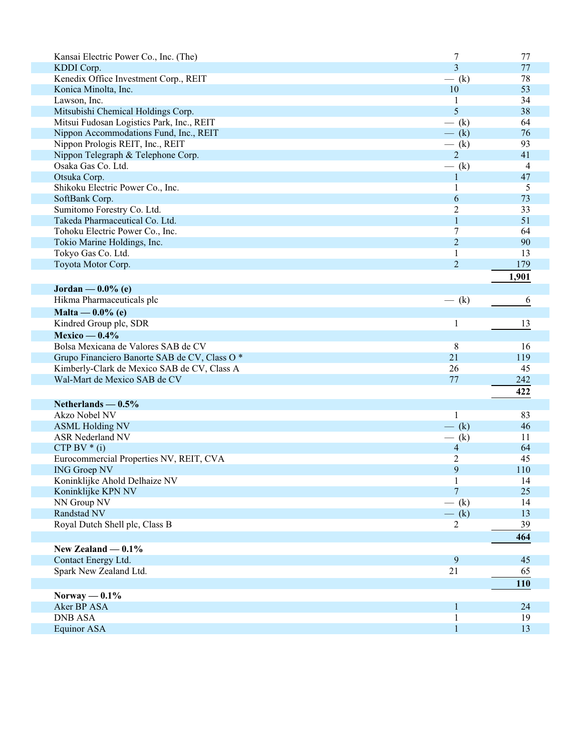| Kansai Electric Power Co., Inc. (The)        | 7                                                                      | 77             |
|----------------------------------------------|------------------------------------------------------------------------|----------------|
| KDDI Corp.                                   | 3                                                                      | 77             |
| Kenedix Office Investment Corp., REIT        | $-$ (k)                                                                | 78             |
| Konica Minolta, Inc.                         | 10                                                                     | 53             |
| Lawson, Inc.                                 | 1                                                                      | 34             |
| Mitsubishi Chemical Holdings Corp.           | 5                                                                      | 38             |
| Mitsui Fudosan Logistics Park, Inc., REIT    | $-$ (k)                                                                | 64             |
| Nippon Accommodations Fund, Inc., REIT       | $-$ (k)                                                                | 76             |
| Nippon Prologis REIT, Inc., REIT             | $-$ (k)                                                                | 93             |
| Nippon Telegraph & Telephone Corp.           | $\overline{2}$                                                         | 41             |
| Osaka Gas Co. Ltd.                           | (k)                                                                    | $\overline{4}$ |
| Otsuka Corp.                                 | $\mathbf{1}$                                                           | 47             |
| Shikoku Electric Power Co., Inc.             | 1                                                                      | 5              |
| SoftBank Corp.                               | 6                                                                      | 73             |
| Sumitomo Forestry Co. Ltd.                   | 2                                                                      | 33             |
| Takeda Pharmaceutical Co. Ltd.               | $\mathbf{1}$                                                           | 51             |
| Tohoku Electric Power Co., Inc.              | 7                                                                      | 64             |
| Tokio Marine Holdings, Inc.                  | $\overline{2}$                                                         | 90             |
| Tokyo Gas Co. Ltd.                           | 1                                                                      | 13             |
| Toyota Motor Corp.                           | $\overline{2}$                                                         | 179            |
|                                              |                                                                        | 1,901          |
| Jordan — $0.0\%$ (e)                         |                                                                        |                |
| Hikma Pharmaceuticals plc                    | (k)<br>$\overline{\phantom{0}}$                                        | 6              |
| Malta — $0.0\%$ (e)                          |                                                                        |                |
| Kindred Group plc, SDR                       | 1                                                                      | 13             |
| Mexico — $0.4\%$                             |                                                                        |                |
| Bolsa Mexicana de Valores SAB de CV          | 8                                                                      | 16             |
| Grupo Financiero Banorte SAB de CV, Class O* | 21                                                                     | 119            |
| Kimberly-Clark de Mexico SAB de CV, Class A  | 26                                                                     | 45             |
| Wal-Mart de Mexico SAB de CV                 | 77                                                                     | 242            |
|                                              |                                                                        |                |
|                                              |                                                                        | 422            |
| Netherlands $-0.5%$                          |                                                                        |                |
| Akzo Nobel NV                                | 1                                                                      | 83             |
| <b>ASML Holding NV</b>                       | (k)<br>$\frac{1}{\sqrt{2\pi}}\left( \frac{1}{\sqrt{2\pi}}\right) ^{2}$ | 46             |
| ASR Nederland NV                             | $-$ (k)                                                                | 11             |
| CTP BV $*(i)$                                | 4                                                                      | 64             |
| Eurocommercial Properties NV, REIT, CVA      | 2                                                                      | 45             |
| <b>ING Groep NV</b>                          | 9                                                                      | 110            |
| Koninklijke Ahold Delhaize NV                | $\mathbf{1}$<br>$\overline{7}$                                         | 14             |
| Koninklijke KPN NV                           |                                                                        | 25             |
| NN Group NV                                  | $-$ (k)                                                                | 14             |
| Randstad NV                                  | $- (k)$                                                                | 13             |
| Royal Dutch Shell plc, Class B               | 2                                                                      | 39             |
|                                              |                                                                        | 464            |
| New Zealand $-0.1\%$                         |                                                                        |                |
| Contact Energy Ltd.                          | 9                                                                      | 45             |
| Spark New Zealand Ltd.                       | 21                                                                     | 65             |
|                                              |                                                                        | 110            |
| Norway $-0.1\%$                              |                                                                        |                |
| Aker BP ASA                                  | 1                                                                      | 24             |
| <b>DNB ASA</b>                               | 1                                                                      | 19             |
| <b>Equinor ASA</b>                           | $\mathbf{1}$                                                           | 13             |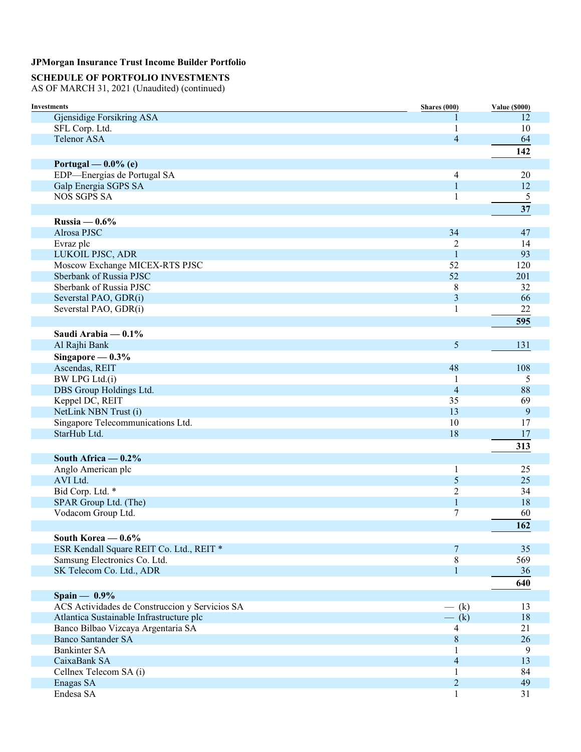## **SCHEDULE OF PORTFOLIO INVESTMENTS**

| <b>Investments</b>                             | <b>Shares</b> (000)      | <b>Value (\$000)</b> |
|------------------------------------------------|--------------------------|----------------------|
| Gjensidige Forsikring ASA                      |                          | 12                   |
| SFL Corp. Ltd.                                 | 1                        | 10                   |
| <b>Telenor ASA</b>                             | $\overline{4}$           | 64                   |
|                                                |                          | 142                  |
| Portugal — $0.0\%$ (e)                         |                          |                      |
| EDP-Energias de Portugal SA                    | 4                        | 20                   |
| Galp Energia SGPS SA                           | $\mathbf{1}$             | 12                   |
| <b>NOS SGPS SA</b>                             | 1                        | 5                    |
|                                                |                          | 37                   |
| Russia $-0.6%$                                 |                          |                      |
| Alrosa PJSC                                    | 34                       | 47                   |
| Evraz plc                                      | $\overline{2}$           | 14                   |
| LUKOIL PJSC, ADR                               | $\mathbf{1}$             | 93                   |
| Moscow Exchange MICEX-RTS PJSC                 | 52                       | 120                  |
| Sberbank of Russia PJSC                        | 52                       | 201                  |
| Sberbank of Russia PJSC                        | 8                        | 32                   |
| Severstal PAO, GDR(i)                          | 3                        | 66                   |
| Severstal PAO, GDR(i)                          | 1                        | 22                   |
|                                                |                          | 595                  |
| Saudi Arabia — 0.1%                            |                          |                      |
| Al Rajhi Bank                                  | 5                        | 131                  |
| Singapore $-0.3%$                              |                          |                      |
| Ascendas, REIT                                 | 48                       | 108                  |
| BW LPG Ltd.(i)                                 |                          | 5                    |
| DBS Group Holdings Ltd.                        | $\overline{\mathcal{L}}$ | 88                   |
| Keppel DC, REIT                                | 35                       | 69                   |
| NetLink NBN Trust (i)                          | 13                       | 9                    |
| Singapore Telecommunications Ltd.              | 10                       | 17                   |
| StarHub Ltd.                                   | 18                       | 17                   |
|                                                |                          | 313                  |
| South Africa $-0.2\%$                          |                          |                      |
| Anglo American plc                             | $\mathbf{1}$             | 25                   |
| AVI Ltd.                                       | 5                        | 25                   |
| Bid Corp. Ltd. *                               | 2                        | 34                   |
| SPAR Group Ltd. (The)                          | $\mathbf{1}$             | 18                   |
| Vodacom Group Ltd.                             | $\boldsymbol{7}$         | 60                   |
|                                                |                          | 162                  |
| South Korea $-0.6\%$                           |                          |                      |
| ESR Kendall Square REIT Co. Ltd., REIT *       | 7                        | 35                   |
| Samsung Electronics Co. Ltd.                   | 8                        | 569                  |
| SK Telecom Co. Ltd., ADR                       | $\mathbf{1}$             | 36                   |
|                                                |                          | 640                  |
| Spain $-$ 0.9%                                 |                          |                      |
| ACS Actividades de Construccion y Servicios SA | $-$ (k)                  | 13                   |
| Atlantica Sustainable Infrastructure plc       | $-$ (k)                  | 18                   |
| Banco Bilbao Vizcaya Argentaria SA             | 4                        | 21                   |
| <b>Banco Santander SA</b>                      | $8\,$                    | 26                   |
| <b>Bankinter SA</b>                            | 1                        | 9                    |
| CaixaBank SA                                   | $\overline{4}$           | 13                   |
| Cellnex Telecom SA (i)                         | 1                        | 84                   |
| Enagas SA                                      | $\overline{2}$           | 49                   |
| Endesa SA                                      | $\mathbf{1}$             | 31                   |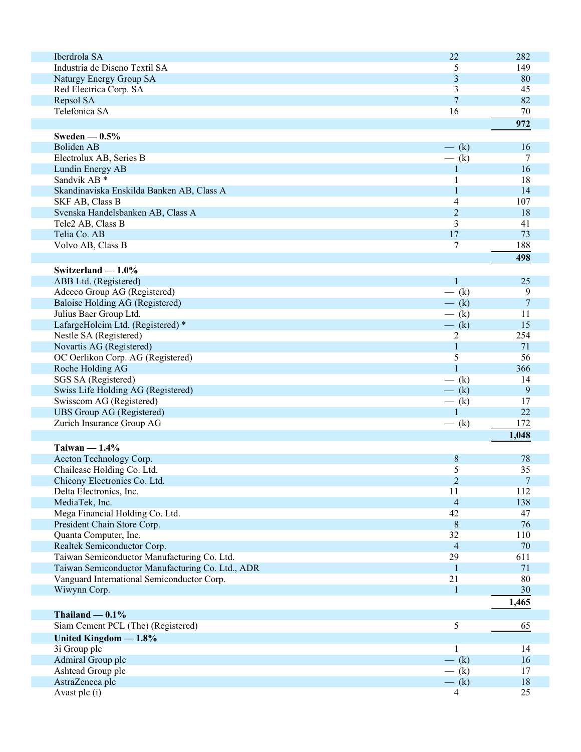| Iberdrola SA                                     | 22             | 282            |
|--------------------------------------------------|----------------|----------------|
| Industria de Diseno Textil SA                    | 5              | 149            |
| Naturgy Energy Group SA                          | 3              | 80             |
| Red Electrica Corp. SA                           | 3              | 45             |
|                                                  | $\overline{7}$ |                |
| Repsol SA                                        |                | 82             |
| Telefonica SA                                    | 16             | 70             |
|                                                  |                | 972            |
| Sweden $-0.5%$                                   |                |                |
| Boliden AB                                       |                | 16             |
|                                                  | $-$ (k)        |                |
| Electrolux AB, Series B                          | $-$ (k)        | 7              |
| Lundin Energy AB                                 | 1              | 16             |
| Sandvik AB <sup>*</sup>                          | 1              | 18             |
| Skandinaviska Enskilda Banken AB, Class A        | 1              | 14             |
| SKF AB, Class B                                  | 4              | 107            |
| Svenska Handelsbanken AB, Class A                | $\overline{2}$ | 18             |
| Tele2 AB, Class B                                | 3              | 41             |
|                                                  | 17             | 73             |
| Telia Co. AB                                     |                |                |
| Volvo AB, Class B                                | 7              | 188            |
|                                                  |                | 498            |
| Switzerland $-1.0\%$                             |                |                |
| ABB Ltd. (Registered)                            | 1              | 25             |
| Adecco Group AG (Registered)                     | $-$ (k)        | 9              |
|                                                  |                |                |
| Baloise Holding AG (Registered)                  | $-$ (k)        | $\overline{7}$ |
| Julius Baer Group Ltd.                           | $-$ (k)        | 11             |
| LafargeHolcim Ltd. (Registered) *                | $-$ (k)        | 15             |
| Nestle SA (Registered)                           | $\overline{2}$ | 254            |
| Novartis AG (Registered)                         | $\mathbf{1}$   | 71             |
| OC Oerlikon Corp. AG (Registered)                | 5              | 56             |
| Roche Holding AG                                 | $\mathbf{1}$   | 366            |
| SGS SA (Registered)                              | $-$ (k)        | 14             |
|                                                  |                |                |
| Swiss Life Holding AG (Registered)               | $-$ (k)        | 9              |
| Swisscom AG (Registered)                         | $-$ (k)        | 17             |
| <b>UBS Group AG (Registered)</b>                 | $\mathbf{1}$   | 22             |
| Zurich Insurance Group AG                        | $-$ (k)        | 172            |
|                                                  |                | 1,048          |
| Taiwan $-1.4\%$                                  |                |                |
| Accton Technology Corp.                          | 8              | 78             |
|                                                  |                |                |
| Chailease Holding Co. Ltd.                       | 5              | 35             |
| Chicony Electronics Co. Ltd.                     | $\sqrt{2}$     | $\overline{7}$ |
| Delta Electronics, Inc.                          | 11             | 112            |
| MediaTek, Inc.                                   | $\overline{4}$ | 138            |
| Mega Financial Holding Co. Ltd.                  | 42             | 47             |
| President Chain Store Corp.                      | $\, 8$         | 76             |
| Quanta Computer, Inc.                            | 32             | 110            |
| Realtek Semiconductor Corp.                      | $\overline{4}$ | 70             |
|                                                  |                |                |
| Taiwan Semiconductor Manufacturing Co. Ltd.      | 29             | 611            |
| Taiwan Semiconductor Manufacturing Co. Ltd., ADR | $\mathbf{1}$   | 71             |
| Vanguard International Semiconductor Corp.       | 21             | 80             |
| Wiwynn Corp.                                     | 1              | 30             |
|                                                  |                | 1,465          |
|                                                  |                |                |
| Thailand $-0.1\%$                                |                |                |
| Siam Cement PCL (The) (Registered)               | 5              | 65             |
| United Kingdom $-1.8\%$                          |                |                |
| 3i Group plc                                     | 1              | 14             |
| Admiral Group plc                                | $-$ (k)        | 16             |
| Ashtead Group plc                                | $-$ (k)        | 17             |
| AstraZeneca plc                                  | $-$ (k)        | 18             |
|                                                  |                | 25             |
| Avast plc (i)                                    | 4              |                |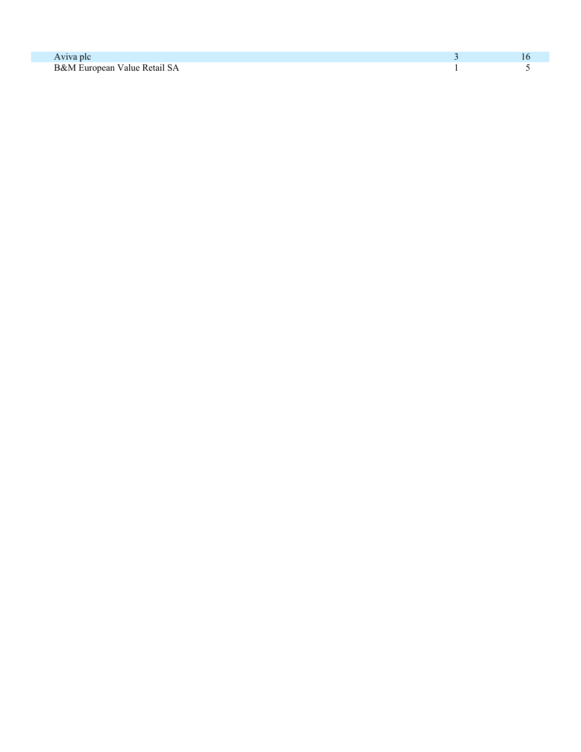| Aviva plc                    |  |
|------------------------------|--|
| B&M European Value Retail SA |  |
|                              |  |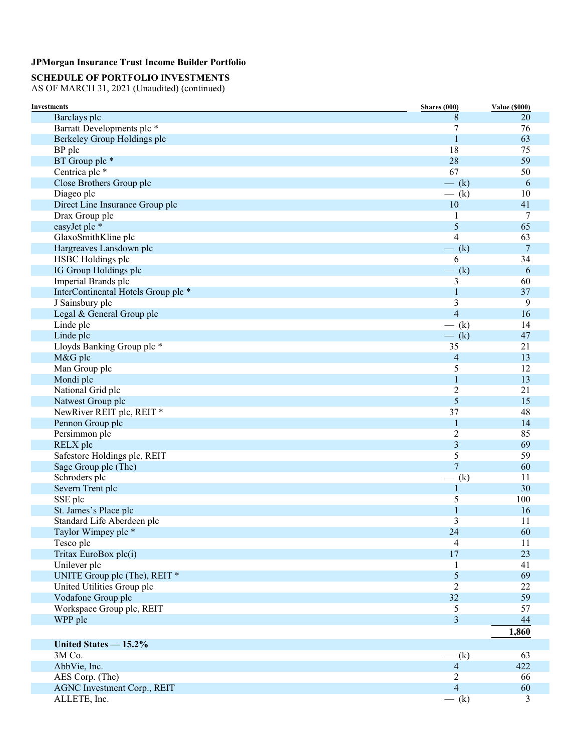## **SCHEDULE OF PORTFOLIO INVESTMENTS**

| <b>Investments</b>                                    | Shares (000)                 | <b>Value (\$000)</b> |
|-------------------------------------------------------|------------------------------|----------------------|
| Barclays plc                                          | 8                            | 20                   |
| Barratt Developments plc *                            | 7                            | 76                   |
| Berkeley Group Holdings plc                           | 1                            | 63                   |
| BP plc                                                | 18                           | 75                   |
| BT Group plc *                                        | 28                           | 59                   |
| Centrica plc *                                        | 67                           | 50                   |
| Close Brothers Group plc                              | $-$ (k)                      | 6                    |
| Diageo plc                                            | $-$ (k)                      | 10                   |
| Direct Line Insurance Group plc                       | 10                           | 41                   |
| Drax Group plc                                        | 1                            | 7                    |
| easyJet plc *                                         | 5                            | 65                   |
| GlaxoSmithKline plc                                   | 4                            | 63                   |
| Hargreaves Lansdown plc                               | $-$ (k)                      | $\overline{7}$       |
| HSBC Holdings plc                                     | 6                            | 34                   |
| IG Group Holdings plc                                 | $-$ (k)                      | 6                    |
| Imperial Brands plc                                   | 3                            | 60                   |
| InterContinental Hotels Group plc *                   | 1                            | 37                   |
| J Sainsbury plc                                       | 3                            | 9                    |
| Legal & General Group plc                             | $\overline{4}$               | 16                   |
| Linde plc                                             | $-$ (k)                      | 14                   |
| Linde plc                                             | $-$ (k)                      | 47                   |
| Lloyds Banking Group plc *                            | 35                           | 21                   |
| M&G plc                                               | 4                            | 13                   |
| Man Group plc                                         | 5                            | 12                   |
| Mondi plc                                             | 1                            | 13                   |
| National Grid plc                                     | 2                            | 21                   |
| Natwest Group plc                                     | 5                            | 15                   |
| NewRiver REIT plc, REIT *                             | 37                           | 48                   |
| Pennon Group plc                                      | 1                            | 14                   |
| Persimmon plc                                         | $\overline{2}$               | 85                   |
| RELX plc                                              | 3                            | 69                   |
| Safestore Holdings plc, REIT                          | 5                            | 59                   |
| Sage Group plc (The)                                  | $\overline{7}$               | 60                   |
| Schroders plc                                         | (k)                          | 11                   |
| Severn Trent plc                                      | $\mathbf{1}$                 | 30                   |
| SSE plc                                               | 5                            | 100                  |
| St. James's Place plc                                 | 1                            | 16                   |
| Standard Life Aberdeen plc                            | 3                            | 11                   |
| Taylor Wimpey plc *                                   | 24                           | 60                   |
| Tesco plc                                             | $\overline{4}$               | 11                   |
| Tritax EuroBox plc(i)                                 | 17                           | 23                   |
| Unilever plc                                          | 1                            | 41                   |
| UNITE Group plc (The), REIT *                         | 5                            | 69                   |
| United Utilities Group plc                            | $\overline{2}$               | 22                   |
| Vodafone Group plc                                    | 32                           | 59                   |
| Workspace Group plc, REIT                             | 5                            | 57                   |
| WPP plc                                               | 3                            | 44                   |
|                                                       |                              | 1,860                |
|                                                       |                              |                      |
| United States $-15.2\%$                               |                              |                      |
| 3M Co.                                                | $-$ (k)                      | 63                   |
| AbbVie, Inc.                                          | $\overline{4}$               | 422                  |
| AES Corp. (The)<br><b>AGNC Investment Corp., REIT</b> | $\sqrt{2}$<br>$\overline{4}$ | 66<br>60             |
|                                                       |                              |                      |
| ALLETE, Inc.                                          | $-$ (k)                      | 3                    |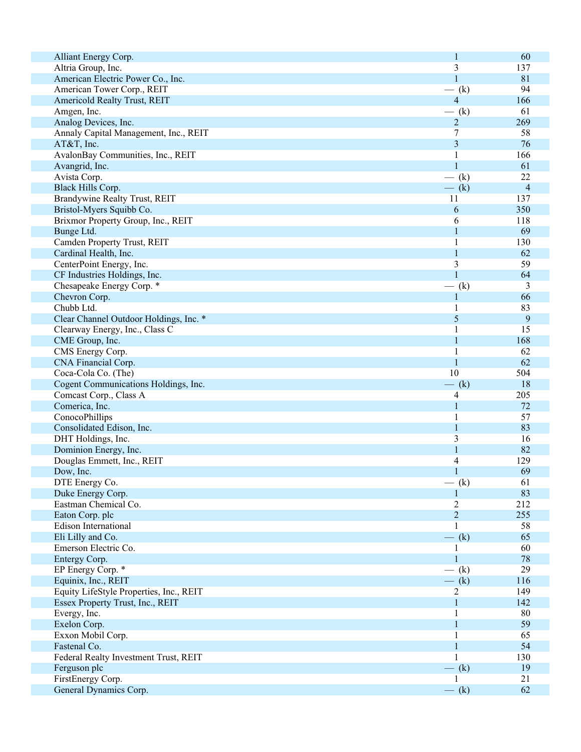| Alliant Energy Corp.                    | 1                | 60             |
|-----------------------------------------|------------------|----------------|
| Altria Group, Inc.                      | 3                | 137            |
| American Electric Power Co., Inc.       | $\mathbf{1}$     | 81             |
| American Tower Corp., REIT              | $-$ (k)          | 94             |
| Americold Realty Trust, REIT            | $\overline{4}$   | 166            |
|                                         |                  |                |
| Amgen, Inc.                             | $-$ (k)          | 61             |
| Analog Devices, Inc.                    | 2                | 269            |
| Annaly Capital Management, Inc., REIT   | $\boldsymbol{7}$ | 58             |
| AT&T, Inc.                              | 3                | 76             |
| AvalonBay Communities, Inc., REIT       | 1                | 166            |
|                                         |                  |                |
| Avangrid, Inc.                          | $\mathbf{1}$     | 61             |
| Avista Corp.                            | $-$ (k)          | 22             |
| Black Hills Corp.                       | $-$ (k)          | $\overline{4}$ |
| Brandywine Realty Trust, REIT           | 11               | 137            |
| Bristol-Myers Squibb Co.                | 6                | 350            |
| Brixmor Property Group, Inc., REIT      | 6                | 118            |
|                                         |                  |                |
| Bunge Ltd.                              | 1                | 69             |
| Camden Property Trust, REIT             |                  | 130            |
| Cardinal Health, Inc.                   | 1                | 62             |
| CenterPoint Energy, Inc.                | 3                | 59             |
| CF Industries Holdings, Inc.            | $\mathbf{1}$     | 64             |
|                                         |                  | 3              |
| Chesapeake Energy Corp. *               | $-$ (k)          |                |
| Chevron Corp.                           |                  | 66             |
| Chubb Ltd.                              |                  | 83             |
| Clear Channel Outdoor Holdings, Inc. *  | 5                | 9              |
| Clearway Energy, Inc., Class C          |                  | 15             |
| CME Group, Inc.                         | 1                | 168            |
|                                         |                  |                |
| CMS Energy Corp.                        | 1                | 62             |
| CNA Financial Corp.                     | 1                | 62             |
| Coca-Cola Co. (The)                     | 10               | 504            |
| Cogent Communications Holdings, Inc.    | $-$ (k)          | 18             |
| Comcast Corp., Class A                  | 4                | 205            |
| Comerica, Inc.                          | $\mathbf{1}$     | 72             |
|                                         |                  |                |
| ConocoPhillips                          | 1                | 57             |
| Consolidated Edison, Inc.               | 1                | 83             |
| DHT Holdings, Inc.                      | 3                | 16             |
| Dominion Energy, Inc.                   | 1                | 82             |
| Douglas Emmett, Inc., REIT              | 4                | 129            |
|                                         | 1                | 69             |
| Dow, Inc.                               |                  |                |
| DTE Energy Co.                          | $-$ (k)          | 61             |
| Duke Energy Corp.                       |                  | 83             |
| Eastman Chemical Co.                    | 2                | 212            |
| Eaton Corp. plc                         | $\overline{2}$   | 255            |
| Edison International                    |                  | 58             |
|                                         |                  | 65             |
| Eli Lilly and Co.                       | $-$ (k)          |                |
| Emerson Electric Co.                    |                  | 60             |
| Entergy Corp.                           | 1                | 78             |
| EP Energy Corp. *                       | $-$ (k)          | 29             |
| Equinix, Inc., REIT                     | $-$ (k)          | 116            |
| Equity LifeStyle Properties, Inc., REIT | $\overline{2}$   | 149            |
|                                         |                  |                |
| Essex Property Trust, Inc., REIT        | 1                | 142            |
| Evergy, Inc.                            | 1                | 80             |
| Exelon Corp.                            |                  | 59             |
| Exxon Mobil Corp.                       |                  | 65             |
| Fastenal Co.                            |                  | 54             |
| Federal Realty Investment Trust, REIT   |                  | 130            |
|                                         |                  |                |
| Ferguson plc                            | $-$ (k)          | 19             |
| FirstEnergy Corp.                       | $\mathbf{1}$     | 21             |
| General Dynamics Corp.                  | $-$ (k)          | 62             |
|                                         |                  |                |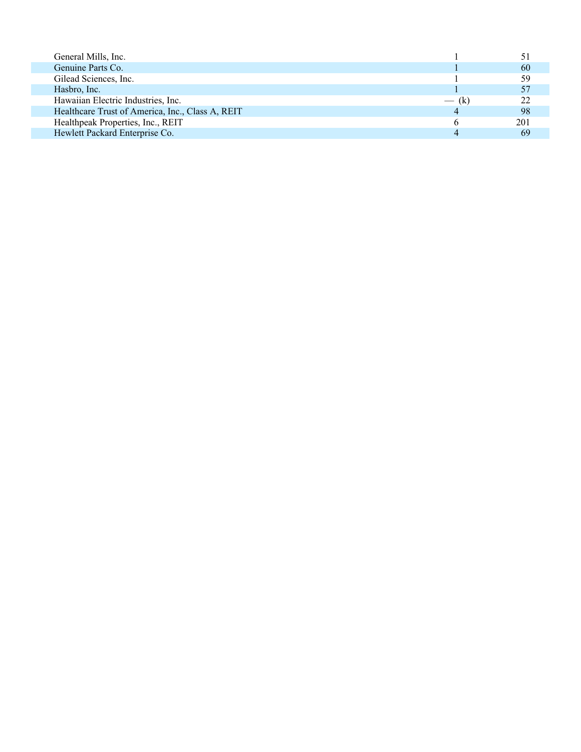| General Mills, Inc.                              |         |     |
|--------------------------------------------------|---------|-----|
| Genuine Parts Co.                                |         | 60  |
| Gilead Sciences, Inc.                            |         | 59  |
| Hasbro, Inc.                                     |         |     |
| Hawaiian Electric Industries, Inc.               | $-$ (k) | つつ  |
| Healthcare Trust of America, Inc., Class A, REIT |         | 98  |
| Healthpeak Properties, Inc., REIT                |         | 201 |
| Hewlett Packard Enterprise Co.                   |         |     |
|                                                  |         |     |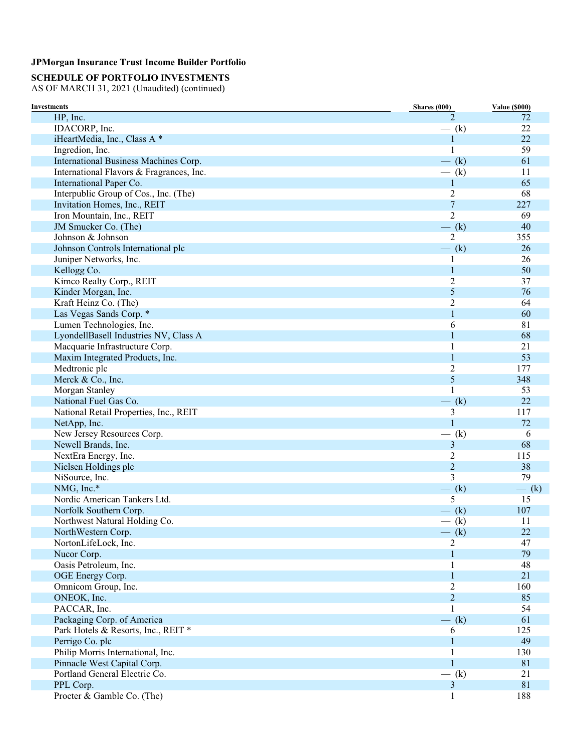## **SCHEDULE OF PORTFOLIO INVESTMENTS**

| Investments                              | <b>Shares</b> (000) | <b>Value (\$000)</b> |
|------------------------------------------|---------------------|----------------------|
| HP, Inc.                                 | $\overline{2}$      | 72                   |
| IDACORP, Inc.                            | $-$ (k)             | 22                   |
| iHeartMedia, Inc., Class A *             | $\mathbf{1}$        | 22                   |
| Ingredion, Inc.                          | 1                   | 59                   |
| International Business Machines Corp.    | $-$ (k)             | 61                   |
| International Flavors & Fragrances, Inc. | $-$ (k)             | 11                   |
| International Paper Co.                  | 1                   | 65                   |
| Interpublic Group of Cos., Inc. (The)    | 2                   | 68                   |
| Invitation Homes, Inc., REIT             | $\overline{7}$      | 227                  |
| Iron Mountain, Inc., REIT                | $\overline{2}$      | 69                   |
| JM Smucker Co. (The)                     | $-$ (k)             | 40                   |
| Johnson & Johnson                        | $\overline{2}$      | 355                  |
| Johnson Controls International plc       | $-$ (k)             | 26                   |
| Juniper Networks, Inc.                   | 1                   | 26                   |
| Kellogg Co.                              | 1                   | 50                   |
| Kimco Realty Corp., REIT                 | $\overline{2}$      | 37                   |
| Kinder Morgan, Inc.                      | 5                   | 76                   |
| Kraft Heinz Co. (The)                    | 2                   | 64                   |
| Las Vegas Sands Corp. *                  | $\mathbf{1}$        | 60                   |
| Lumen Technologies, Inc.                 | 6                   | 81                   |
| LyondellBasell Industries NV, Class A    | $\mathbf{1}$        | 68                   |
| Macquarie Infrastructure Corp.           | 1                   | 21                   |
| Maxim Integrated Products, Inc.          | $\mathbf{1}$        | 53                   |
| Medtronic plc                            | $\overline{c}$      | 177                  |
| Merck & Co., Inc.                        | 5                   | 348                  |
| Morgan Stanley                           | 1                   | 53                   |
| National Fuel Gas Co.                    | $-$ (k)             | 22                   |
| National Retail Properties, Inc., REIT   | 3                   | 117                  |
| NetApp, Inc.                             | $\mathbf{1}$        | 72                   |
| New Jersey Resources Corp.               | $-$ (k)             | 6                    |
| Newell Brands, Inc.                      | 3                   | 68                   |
| NextEra Energy, Inc.                     | $\overline{2}$      | 115                  |
| Nielsen Holdings plc                     | $\overline{c}$      | 38                   |
| NiSource, Inc.                           | 3                   | 79                   |
| NMG, Inc.*                               | $-$ (k)             | $-$ (k)              |
| Nordic American Tankers Ltd.             | 5                   | 15                   |
| Norfolk Southern Corp.                   | $-$ (k)             | 107                  |
| Northwest Natural Holding Co.            | $-$ (k)             | 11                   |
| NorthWestern Corp.                       | $-$ (k)             | 22                   |
| NortonLifeLock, Inc.                     | 2                   | 47                   |
| Nucor Corp.                              | 1                   | 79                   |
| Oasis Petroleum, Inc.                    |                     | 48                   |
| OGE Energy Corp.                         | 1                   | 21                   |
| Omnicom Group, Inc.                      | $\overline{2}$      | 160                  |
| ONEOK, Inc.                              | $\overline{2}$      | 85                   |
| PACCAR, Inc.                             | 1                   | 54                   |
| Packaging Corp. of America               | $-$ (k)             | 61                   |
| Park Hotels & Resorts, Inc., REIT *      | 6                   | 125                  |
| Perrigo Co. plc                          | 1                   | 49                   |
| Philip Morris International, Inc.        | 1                   | 130                  |
| Pinnacle West Capital Corp.              |                     | 81                   |
| Portland General Electric Co.            | $-$ (k)             | 21                   |
| PPL Corp.                                | 3                   | 81                   |
| Procter & Gamble Co. (The)               |                     | 188                  |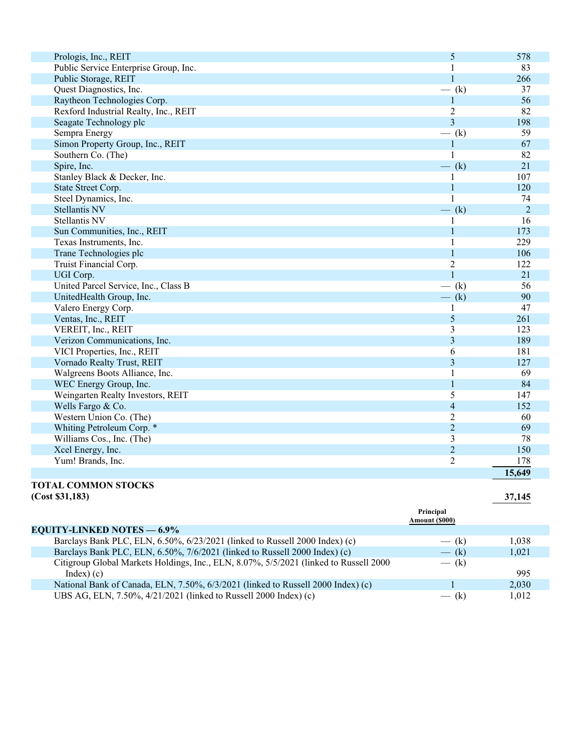| Prologis, Inc., REIT                  | 5              | 578            |
|---------------------------------------|----------------|----------------|
| Public Service Enterprise Group, Inc. | -1             | 83             |
| Public Storage, REIT                  | 1              | 266            |
| Quest Diagnostics, Inc.               | $-$ (k)        | 37             |
| Raytheon Technologies Corp.           |                | 56             |
| Rexford Industrial Realty, Inc., REIT | $\overline{2}$ | 82             |
| Seagate Technology plc                | $\overline{3}$ | 198            |
| Sempra Energy                         | $-$ (k)        | 59             |
| Simon Property Group, Inc., REIT      | $\mathbf{1}$   | 67             |
| Southern Co. (The)                    | $\mathbf{1}$   | 82             |
| Spire, Inc.                           | $-$ (k)        | 21             |
| Stanley Black & Decker, Inc.          | 1              | 107            |
| State Street Corp.                    | 1              | 120            |
| Steel Dynamics, Inc.                  |                | 74             |
| <b>Stellantis NV</b>                  | $-$ (k)        | $\overline{2}$ |
| <b>Stellantis NV</b>                  | 1              | 16             |
| Sun Communities, Inc., REIT           | $\mathbf{1}$   | 173            |
| Texas Instruments, Inc.               |                | 229            |
| Trane Technologies plc                | $\mathbf{1}$   | 106            |
| Truist Financial Corp.                | $\overline{2}$ | 122            |
| UGI Corp.                             | $\mathbf{1}$   | 21             |
| United Parcel Service, Inc., Class B  | $-$ (k)        | 56             |
| UnitedHealth Group, Inc.              | $-$ (k)        | 90             |
| Valero Energy Corp.                   | 1              | 47             |
| Ventas, Inc., REIT                    | 5              | 261            |
| VEREIT, Inc., REIT                    | 3              | 123            |
| Verizon Communications, Inc.          | 3              | 189            |
| VICI Properties, Inc., REIT           | 6              | 181            |
| Vornado Realty Trust, REIT            | 3              | 127            |
| Walgreens Boots Alliance, Inc.        | $\mathbf{1}$   | 69             |
| WEC Energy Group, Inc.                | $\mathbf{1}$   | 84             |
| Weingarten Realty Investors, REIT     | 5              | 147            |
| Wells Fargo & Co.                     | $\overline{4}$ | 152            |
| Western Union Co. (The)               | $\overline{2}$ | 60             |
| Whiting Petroleum Corp. *             | $\overline{2}$ | 69             |
| Williams Cos., Inc. (The)             | 3              | 78             |
| Xcel Energy, Inc.                     | $\overline{2}$ | 150            |
| Yum! Brands, Inc.                     | $\overline{2}$ | 178            |
|                                       |                | 15,649         |

### **TOTAL COMMON STOCKS (Cost \$31,183) 37,145**

|                                                                                       | Principal<br>Amount (\$000) |       |
|---------------------------------------------------------------------------------------|-----------------------------|-------|
| <b>EQUITY-LINKED NOTES — 6.9%</b>                                                     |                             |       |
| Barclays Bank PLC, ELN, 6.50%, 6/23/2021 (linked to Russell 2000 Index) (c)           | $-$ (k)                     | 1.038 |
| Barclays Bank PLC, ELN, 6.50%, 7/6/2021 (linked to Russell 2000 Index) (c)            | $-$ (k)                     | 1.021 |
| Citigroup Global Markets Holdings, Inc., ELN, 8.07%, 5/5/2021 (linked to Russell 2000 | $-$ (k)                     |       |
| $Index)$ (c)                                                                          |                             | 995   |
| National Bank of Canada, ELN, 7.50%, 6/3/2021 (linked to Russell 2000 Index) (c)      |                             | 2.030 |
| UBS AG, ELN, 7.50%, 4/21/2021 (linked to Russell 2000 Index) (c)                      | (k)                         | 1.012 |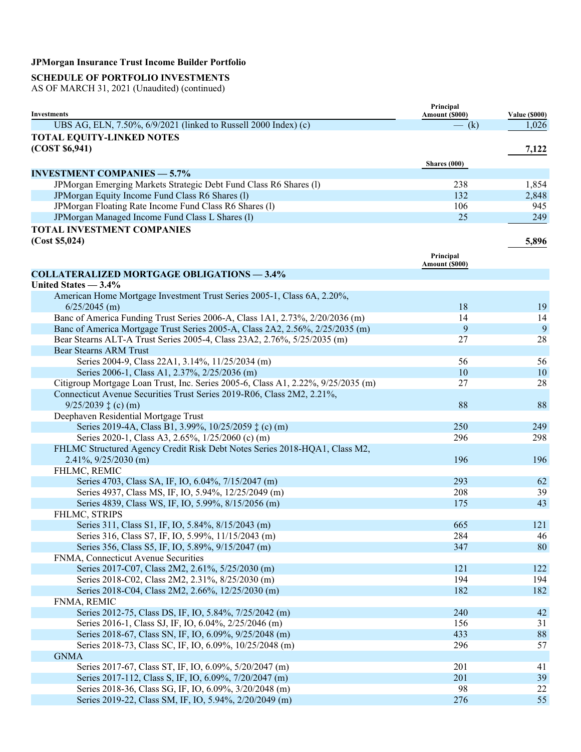## **SCHEDULE OF PORTFOLIO INVESTMENTS**

| <b>Investments</b>                                                                                                    | Principal<br>Amount (\$000) | <b>Value (\$000)</b> |
|-----------------------------------------------------------------------------------------------------------------------|-----------------------------|----------------------|
| UBS AG, ELN, 7.50%, 6/9/2021 (linked to Russell 2000 Index) (c)                                                       | $-$ (k)                     | 1,026                |
| <b>TOTAL EQUITY-LINKED NOTES</b>                                                                                      |                             |                      |
| (COST \$6,941)                                                                                                        |                             | 7,122                |
|                                                                                                                       |                             |                      |
| <b>INVESTMENT COMPANIES — 5.7%</b>                                                                                    | Shares $(000)$              |                      |
|                                                                                                                       | 238                         | 1,854                |
| JPMorgan Emerging Markets Strategic Debt Fund Class R6 Shares (1)<br>JPM organ Equity Income Fund Class R6 Shares (1) | 132                         | 2,848                |
| JPMorgan Floating Rate Income Fund Class R6 Shares (1)                                                                | 106                         | 945                  |
| JPMorgan Managed Income Fund Class L Shares (1)                                                                       | 25                          | 249                  |
|                                                                                                                       |                             |                      |
| <b>TOTAL INVESTMENT COMPANIES</b>                                                                                     |                             |                      |
| (Cost \$5,024)                                                                                                        |                             | 5,896                |
|                                                                                                                       | Principal                   |                      |
|                                                                                                                       | Amount (\$000)              |                      |
| <b>COLLATERALIZED MORTGAGE OBLIGATIONS - 3.4%</b>                                                                     |                             |                      |
| United States - 3.4%                                                                                                  |                             |                      |
| American Home Mortgage Investment Trust Series 2005-1, Class 6A, 2.20%,                                               |                             |                      |
| $6/25/2045$ (m)                                                                                                       | 18                          | 19                   |
| Banc of America Funding Trust Series 2006-A, Class 1A1, 2.73%, 2/20/2036 (m)                                          | 14                          | 14                   |
| Banc of America Mortgage Trust Series 2005-A, Class 2A2, 2.56%, 2/25/2035 (m)                                         | 9                           | 9                    |
| Bear Stearns ALT-A Trust Series 2005-4, Class 23A2, 2.76%, 5/25/2035 (m)                                              | 27                          | 28                   |
| <b>Bear Stearns ARM Trust</b>                                                                                         |                             |                      |
| Series 2004-9, Class 22A1, 3.14%, 11/25/2034 (m)                                                                      | 56                          | 56                   |
| Series 2006-1, Class A1, 2.37%, 2/25/2036 (m)                                                                         | 10                          | 10                   |
| Citigroup Mortgage Loan Trust, Inc. Series 2005-6, Class A1, 2.22%, 9/25/2035 (m)                                     | 27                          | 28                   |
| Connecticut Avenue Securities Trust Series 2019-R06, Class 2M2, 2.21%,                                                |                             |                      |
| $9/25/2039 \t{(c) (m)}$                                                                                               | 88                          | 88                   |
| Deephaven Residential Mortgage Trust                                                                                  |                             |                      |
| Series 2019-4A, Class B1, 3.99%, 10/25/2059 ‡ (c) (m)                                                                 | 250                         | 249                  |
| Series 2020-1, Class A3, 2.65%, 1/25/2060 (c) (m)                                                                     | 296                         | 298                  |
| FHLMC Structured Agency Credit Risk Debt Notes Series 2018-HQA1, Class M2,                                            |                             |                      |
| $2.41\%, 9/25/2030$ (m)                                                                                               | 196                         | 196                  |
| FHLMC, REMIC                                                                                                          |                             |                      |
| Series 4703, Class SA, IF, IO, 6.04%, 7/15/2047 (m)                                                                   | 293                         | 62                   |
| Series 4937, Class MS, IF, IO, 5.94%, 12/25/2049 (m)                                                                  | 208                         | 39                   |
| Series 4839, Class WS, IF, IO, 5.99%, 8/15/2056 (m)                                                                   | 175                         | 43                   |
| FHLMC, STRIPS                                                                                                         |                             |                      |
| Series 311, Class S1, IF, IO, 5.84%, 8/15/2043 (m)                                                                    | 665                         | 121                  |
| Series 316, Class S7, IF, IO, 5.99%, 11/15/2043 (m)                                                                   | 284                         | 46                   |
| Series 356, Class S5, IF, IO, 5.89%, 9/15/2047 (m)                                                                    | 347                         | 80                   |
| FNMA, Connecticut Avenue Securities                                                                                   |                             |                      |
| Series 2017-C07, Class 2M2, 2.61%, 5/25/2030 (m)                                                                      | 121                         | 122                  |
| Series 2018-C02, Class 2M2, 2.31%, 8/25/2030 (m)                                                                      | 194                         | 194                  |
| Series 2018-C04, Class 2M2, 2.66%, 12/25/2030 (m)                                                                     | 182                         | 182                  |
| FNMA, REMIC                                                                                                           |                             |                      |
| Series 2012-75, Class DS, IF, IO, 5.84%, 7/25/2042 (m)                                                                | 240                         | 42                   |
| Series 2016-1, Class SJ, IF, IO, 6.04%, 2/25/2046 (m)                                                                 | 156                         | 31                   |
| Series 2018-67, Class SN, IF, IO, 6.09%, 9/25/2048 (m)                                                                | 433                         | 88                   |
| Series 2018-73, Class SC, IF, IO, 6.09%, 10/25/2048 (m)                                                               | 296                         | 57                   |
| <b>GNMA</b>                                                                                                           |                             |                      |
| Series 2017-67, Class ST, IF, IO, 6.09%, 5/20/2047 (m)                                                                | 201                         | 41                   |
| Series 2017-112, Class S, IF, IO, 6.09%, 7/20/2047 (m)                                                                | 201                         | 39                   |
| Series 2018-36, Class SG, IF, IO, 6.09%, 3/20/2048 (m)                                                                | 98                          | 22                   |
| Series 2019-22, Class SM, IF, IO, 5.94%, 2/20/2049 (m)                                                                | 276                         | 55                   |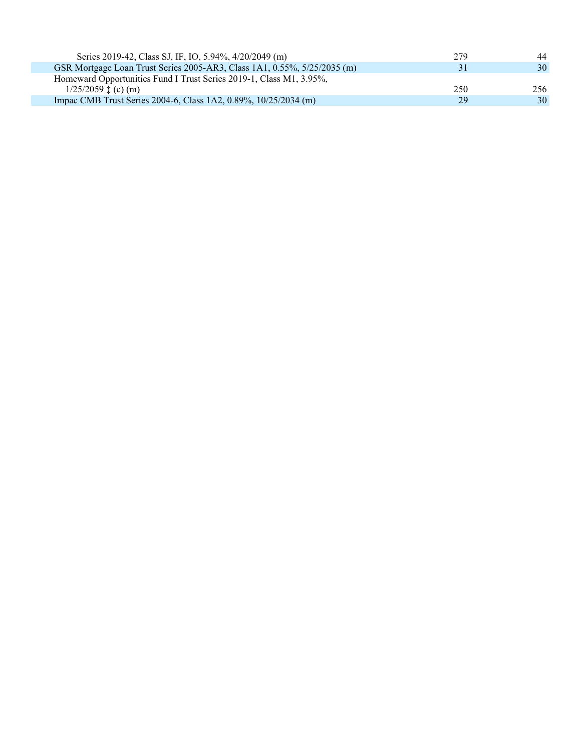| Series 2019-42, Class SJ, IF, IO, 5.94%, 4/20/2049 (m)                   | 279 | 44  |
|--------------------------------------------------------------------------|-----|-----|
| GSR Mortgage Loan Trust Series 2005-AR3, Class 1A1, 0.55%, 5/25/2035 (m) | 31  | 30  |
| Homeward Opportunities Fund I Trust Series 2019-1, Class M1, 3.95%,      |     |     |
| $1/25/2059 \pm (c)$ (m)                                                  | 250 | 256 |
| Impac CMB Trust Series 2004-6, Class 1A2, 0.89%, 10/25/2034 (m)          | 29  | 30  |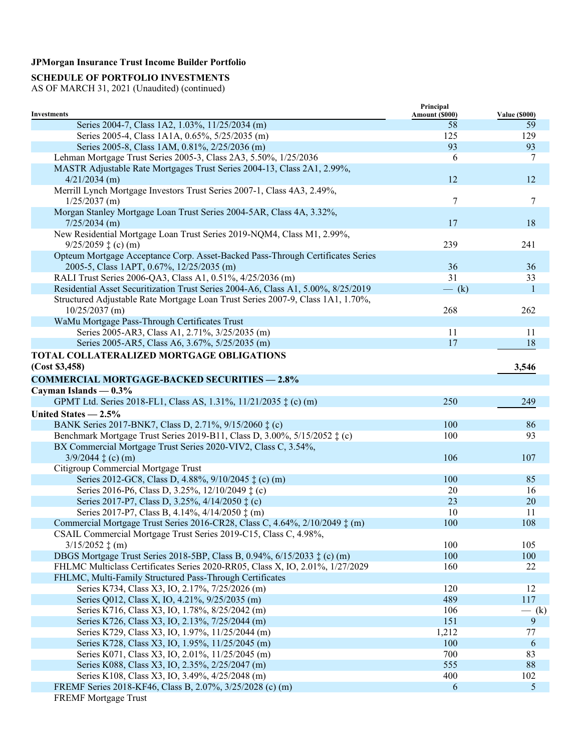## **SCHEDULE OF PORTFOLIO INVESTMENTS**

| Amount (\$000)<br><b>Value (\$000)</b><br>Series 2004-7, Class 1A2, 1.03%, 11/25/2034 (m)<br>58<br>59<br>129<br>Series 2005-4, Class 1A1A, 0.65%, 5/25/2035 (m)<br>125<br>93<br>93<br>Series 2005-8, Class 1AM, 0.81%, 2/25/2036 (m)<br>Lehman Mortgage Trust Series 2005-3, Class 2A3, 5.50%, 1/25/2036<br>6<br>7<br>MASTR Adjustable Rate Mortgages Trust Series 2004-13, Class 2A1, 2.99%,<br>12<br>12<br>$4/21/2034$ (m)<br>Merrill Lynch Mortgage Investors Trust Series 2007-1, Class 4A3, 2.49%,<br>$\tau$<br>7<br>$1/25/2037$ (m)<br>Morgan Stanley Mortgage Loan Trust Series 2004-5AR, Class 4A, 3.32%,<br>18<br>$7/25/2034$ (m)<br>17<br>New Residential Mortgage Loan Trust Series 2019-NQM4, Class M1, 2.99%,<br>$9/25/2059 \tdiv(c)$ (m)<br>239<br>241<br>Opteum Mortgage Acceptance Corp. Asset-Backed Pass-Through Certificates Series<br>36<br>2005-5, Class 1APT, 0.67%, 12/25/2035 (m)<br>36<br>RALI Trust Series 2006-QA3, Class A1, 0.51%, 4/25/2036 (m)<br>31<br>33<br>Residential Asset Securitization Trust Series 2004-A6, Class A1, 5.00%, 8/25/2019<br>$-$ (k)<br>1<br>Structured Adjustable Rate Mortgage Loan Trust Series 2007-9, Class 1A1, 1.70%,<br>$10/25/2037$ (m)<br>268<br>262<br>WaMu Mortgage Pass-Through Certificates Trust<br>Series 2005-AR3, Class A1, 2.71%, 3/25/2035 (m)<br>11<br>11<br>Series 2005-AR5, Class A6, 3.67%, 5/25/2035 (m)<br>17<br>18<br>TOTAL COLLATERALIZED MORTGAGE OBLIGATIONS<br>(Cost \$3,458)<br>3,546<br><b>COMMERCIAL MORTGAGE-BACKED SECURITIES - 2.8%</b><br>Cayman Islands $-0.3%$<br>250<br>GPMT Ltd. Series 2018-FL1, Class AS, 1.31%, 11/21/2035 ‡ (c) (m)<br>249<br>United States - 2.5%<br>BANK Series 2017-BNK7, Class D, 2.71%, 9/15/2060 ‡ (c)<br>100<br>86<br>Benchmark Mortgage Trust Series 2019-B11, Class D, 3.00%, 5/15/2052 ± (c)<br>93<br>100<br>BX Commercial Mortgage Trust Series 2020-VIV2, Class C, 3.54%,<br>106<br>107<br>$3/9/2044 \ddagger$ (c) (m)<br>Citigroup Commercial Mortgage Trust<br>Series 2012-GC8, Class D, 4.88%, 9/10/2045 ‡ (c) (m)<br>100<br>85<br>Series 2016-P6, Class D, 3.25%, 12/10/2049 ‡ (c)<br>20<br>16<br>Series 2017-P7, Class D, 3.25%, 4/14/2050 $\ddagger$ (c)<br>23<br>20<br>10<br>11<br>Series 2017-P7, Class B, 4.14%, 4/14/2050 $\ddagger$ (m)<br>Commercial Mortgage Trust Series 2016-CR28, Class C, 4.64%, 2/10/2049 $\ddagger$ (m)<br>100<br>108<br>CSAIL Commercial Mortgage Trust Series 2019-C15, Class C, 4.98%,<br>$3/15/2052 \text{ } \ddagger \text{ }(m)$<br>100<br>105<br>DBGS Mortgage Trust Series 2018-5BP, Class B, 0.94%, 6/15/2033 ‡ (c) (m)<br>100<br>100<br>FHLMC Multiclass Certificates Series 2020-RR05, Class X, IO, 2.01%, 1/27/2029<br>22<br>160<br>FHLMC, Multi-Family Structured Pass-Through Certificates<br>Series K734, Class X3, IO, 2.17%, 7/25/2026 (m)<br>120<br>12<br>Series Q012, Class X, IO, 4.21%, 9/25/2035 (m)<br>489<br>117<br>Series K716, Class X3, IO, 1.78%, 8/25/2042 (m)<br>106<br>$-$ (k)<br>$\overline{9}$<br>151<br>Series K726, Class X3, IO, 2.13%, 7/25/2044 (m)<br>Series K729, Class X3, IO, 1.97%, 11/25/2044 (m)<br>1,212<br>77<br>100<br>Series K728, Class X3, IO, 1.95%, 11/25/2045 (m)<br>6<br>Series K071, Class X3, IO, 2.01%, 11/25/2045 (m)<br>700<br>83<br>88<br>Series K088, Class X3, IO, 2.35%, 2/25/2047 (m)<br>555<br>Series K108, Class X3, IO, 3.49%, 4/25/2048 (m)<br>102<br>400<br>FREMF Series 2018-KF46, Class B, 2.07%, 3/25/2028 (c) (m)<br>$\mathfrak{S}$<br>6 | <b>Investments</b>          | Principal |  |
|--------------------------------------------------------------------------------------------------------------------------------------------------------------------------------------------------------------------------------------------------------------------------------------------------------------------------------------------------------------------------------------------------------------------------------------------------------------------------------------------------------------------------------------------------------------------------------------------------------------------------------------------------------------------------------------------------------------------------------------------------------------------------------------------------------------------------------------------------------------------------------------------------------------------------------------------------------------------------------------------------------------------------------------------------------------------------------------------------------------------------------------------------------------------------------------------------------------------------------------------------------------------------------------------------------------------------------------------------------------------------------------------------------------------------------------------------------------------------------------------------------------------------------------------------------------------------------------------------------------------------------------------------------------------------------------------------------------------------------------------------------------------------------------------------------------------------------------------------------------------------------------------------------------------------------------------------------------------------------------------------------------------------------------------------------------------------------------------------------------------------------------------------------------------------------------------------------------------------------------------------------------------------------------------------------------------------------------------------------------------------------------------------------------------------------------------------------------------------------------------------------------------------------------------------------------------------------------------------------------------------------------------------------------------------------------------------------------------------------------------------------------------------------------------------------------------------------------------------------------------------------------------------------------------------------------------------------------------------------------------------------------------------------------------------------------------------------------------------------------------------------------------------------------------------------------------------------------------------------------------------------------------------------------------------------------------------------------------------------------------------------------------------------------------------------------------------------------------------------------|-----------------------------|-----------|--|
|                                                                                                                                                                                                                                                                                                                                                                                                                                                                                                                                                                                                                                                                                                                                                                                                                                                                                                                                                                                                                                                                                                                                                                                                                                                                                                                                                                                                                                                                                                                                                                                                                                                                                                                                                                                                                                                                                                                                                                                                                                                                                                                                                                                                                                                                                                                                                                                                                                                                                                                                                                                                                                                                                                                                                                                                                                                                                                                                                                                                                                                                                                                                                                                                                                                                                                                                                                                                                                                                                      |                             |           |  |
|                                                                                                                                                                                                                                                                                                                                                                                                                                                                                                                                                                                                                                                                                                                                                                                                                                                                                                                                                                                                                                                                                                                                                                                                                                                                                                                                                                                                                                                                                                                                                                                                                                                                                                                                                                                                                                                                                                                                                                                                                                                                                                                                                                                                                                                                                                                                                                                                                                                                                                                                                                                                                                                                                                                                                                                                                                                                                                                                                                                                                                                                                                                                                                                                                                                                                                                                                                                                                                                                                      |                             |           |  |
|                                                                                                                                                                                                                                                                                                                                                                                                                                                                                                                                                                                                                                                                                                                                                                                                                                                                                                                                                                                                                                                                                                                                                                                                                                                                                                                                                                                                                                                                                                                                                                                                                                                                                                                                                                                                                                                                                                                                                                                                                                                                                                                                                                                                                                                                                                                                                                                                                                                                                                                                                                                                                                                                                                                                                                                                                                                                                                                                                                                                                                                                                                                                                                                                                                                                                                                                                                                                                                                                                      |                             |           |  |
|                                                                                                                                                                                                                                                                                                                                                                                                                                                                                                                                                                                                                                                                                                                                                                                                                                                                                                                                                                                                                                                                                                                                                                                                                                                                                                                                                                                                                                                                                                                                                                                                                                                                                                                                                                                                                                                                                                                                                                                                                                                                                                                                                                                                                                                                                                                                                                                                                                                                                                                                                                                                                                                                                                                                                                                                                                                                                                                                                                                                                                                                                                                                                                                                                                                                                                                                                                                                                                                                                      |                             |           |  |
|                                                                                                                                                                                                                                                                                                                                                                                                                                                                                                                                                                                                                                                                                                                                                                                                                                                                                                                                                                                                                                                                                                                                                                                                                                                                                                                                                                                                                                                                                                                                                                                                                                                                                                                                                                                                                                                                                                                                                                                                                                                                                                                                                                                                                                                                                                                                                                                                                                                                                                                                                                                                                                                                                                                                                                                                                                                                                                                                                                                                                                                                                                                                                                                                                                                                                                                                                                                                                                                                                      |                             |           |  |
|                                                                                                                                                                                                                                                                                                                                                                                                                                                                                                                                                                                                                                                                                                                                                                                                                                                                                                                                                                                                                                                                                                                                                                                                                                                                                                                                                                                                                                                                                                                                                                                                                                                                                                                                                                                                                                                                                                                                                                                                                                                                                                                                                                                                                                                                                                                                                                                                                                                                                                                                                                                                                                                                                                                                                                                                                                                                                                                                                                                                                                                                                                                                                                                                                                                                                                                                                                                                                                                                                      |                             |           |  |
|                                                                                                                                                                                                                                                                                                                                                                                                                                                                                                                                                                                                                                                                                                                                                                                                                                                                                                                                                                                                                                                                                                                                                                                                                                                                                                                                                                                                                                                                                                                                                                                                                                                                                                                                                                                                                                                                                                                                                                                                                                                                                                                                                                                                                                                                                                                                                                                                                                                                                                                                                                                                                                                                                                                                                                                                                                                                                                                                                                                                                                                                                                                                                                                                                                                                                                                                                                                                                                                                                      |                             |           |  |
|                                                                                                                                                                                                                                                                                                                                                                                                                                                                                                                                                                                                                                                                                                                                                                                                                                                                                                                                                                                                                                                                                                                                                                                                                                                                                                                                                                                                                                                                                                                                                                                                                                                                                                                                                                                                                                                                                                                                                                                                                                                                                                                                                                                                                                                                                                                                                                                                                                                                                                                                                                                                                                                                                                                                                                                                                                                                                                                                                                                                                                                                                                                                                                                                                                                                                                                                                                                                                                                                                      |                             |           |  |
|                                                                                                                                                                                                                                                                                                                                                                                                                                                                                                                                                                                                                                                                                                                                                                                                                                                                                                                                                                                                                                                                                                                                                                                                                                                                                                                                                                                                                                                                                                                                                                                                                                                                                                                                                                                                                                                                                                                                                                                                                                                                                                                                                                                                                                                                                                                                                                                                                                                                                                                                                                                                                                                                                                                                                                                                                                                                                                                                                                                                                                                                                                                                                                                                                                                                                                                                                                                                                                                                                      |                             |           |  |
|                                                                                                                                                                                                                                                                                                                                                                                                                                                                                                                                                                                                                                                                                                                                                                                                                                                                                                                                                                                                                                                                                                                                                                                                                                                                                                                                                                                                                                                                                                                                                                                                                                                                                                                                                                                                                                                                                                                                                                                                                                                                                                                                                                                                                                                                                                                                                                                                                                                                                                                                                                                                                                                                                                                                                                                                                                                                                                                                                                                                                                                                                                                                                                                                                                                                                                                                                                                                                                                                                      |                             |           |  |
|                                                                                                                                                                                                                                                                                                                                                                                                                                                                                                                                                                                                                                                                                                                                                                                                                                                                                                                                                                                                                                                                                                                                                                                                                                                                                                                                                                                                                                                                                                                                                                                                                                                                                                                                                                                                                                                                                                                                                                                                                                                                                                                                                                                                                                                                                                                                                                                                                                                                                                                                                                                                                                                                                                                                                                                                                                                                                                                                                                                                                                                                                                                                                                                                                                                                                                                                                                                                                                                                                      |                             |           |  |
|                                                                                                                                                                                                                                                                                                                                                                                                                                                                                                                                                                                                                                                                                                                                                                                                                                                                                                                                                                                                                                                                                                                                                                                                                                                                                                                                                                                                                                                                                                                                                                                                                                                                                                                                                                                                                                                                                                                                                                                                                                                                                                                                                                                                                                                                                                                                                                                                                                                                                                                                                                                                                                                                                                                                                                                                                                                                                                                                                                                                                                                                                                                                                                                                                                                                                                                                                                                                                                                                                      |                             |           |  |
|                                                                                                                                                                                                                                                                                                                                                                                                                                                                                                                                                                                                                                                                                                                                                                                                                                                                                                                                                                                                                                                                                                                                                                                                                                                                                                                                                                                                                                                                                                                                                                                                                                                                                                                                                                                                                                                                                                                                                                                                                                                                                                                                                                                                                                                                                                                                                                                                                                                                                                                                                                                                                                                                                                                                                                                                                                                                                                                                                                                                                                                                                                                                                                                                                                                                                                                                                                                                                                                                                      |                             |           |  |
|                                                                                                                                                                                                                                                                                                                                                                                                                                                                                                                                                                                                                                                                                                                                                                                                                                                                                                                                                                                                                                                                                                                                                                                                                                                                                                                                                                                                                                                                                                                                                                                                                                                                                                                                                                                                                                                                                                                                                                                                                                                                                                                                                                                                                                                                                                                                                                                                                                                                                                                                                                                                                                                                                                                                                                                                                                                                                                                                                                                                                                                                                                                                                                                                                                                                                                                                                                                                                                                                                      |                             |           |  |
|                                                                                                                                                                                                                                                                                                                                                                                                                                                                                                                                                                                                                                                                                                                                                                                                                                                                                                                                                                                                                                                                                                                                                                                                                                                                                                                                                                                                                                                                                                                                                                                                                                                                                                                                                                                                                                                                                                                                                                                                                                                                                                                                                                                                                                                                                                                                                                                                                                                                                                                                                                                                                                                                                                                                                                                                                                                                                                                                                                                                                                                                                                                                                                                                                                                                                                                                                                                                                                                                                      |                             |           |  |
|                                                                                                                                                                                                                                                                                                                                                                                                                                                                                                                                                                                                                                                                                                                                                                                                                                                                                                                                                                                                                                                                                                                                                                                                                                                                                                                                                                                                                                                                                                                                                                                                                                                                                                                                                                                                                                                                                                                                                                                                                                                                                                                                                                                                                                                                                                                                                                                                                                                                                                                                                                                                                                                                                                                                                                                                                                                                                                                                                                                                                                                                                                                                                                                                                                                                                                                                                                                                                                                                                      |                             |           |  |
|                                                                                                                                                                                                                                                                                                                                                                                                                                                                                                                                                                                                                                                                                                                                                                                                                                                                                                                                                                                                                                                                                                                                                                                                                                                                                                                                                                                                                                                                                                                                                                                                                                                                                                                                                                                                                                                                                                                                                                                                                                                                                                                                                                                                                                                                                                                                                                                                                                                                                                                                                                                                                                                                                                                                                                                                                                                                                                                                                                                                                                                                                                                                                                                                                                                                                                                                                                                                                                                                                      |                             |           |  |
|                                                                                                                                                                                                                                                                                                                                                                                                                                                                                                                                                                                                                                                                                                                                                                                                                                                                                                                                                                                                                                                                                                                                                                                                                                                                                                                                                                                                                                                                                                                                                                                                                                                                                                                                                                                                                                                                                                                                                                                                                                                                                                                                                                                                                                                                                                                                                                                                                                                                                                                                                                                                                                                                                                                                                                                                                                                                                                                                                                                                                                                                                                                                                                                                                                                                                                                                                                                                                                                                                      |                             |           |  |
|                                                                                                                                                                                                                                                                                                                                                                                                                                                                                                                                                                                                                                                                                                                                                                                                                                                                                                                                                                                                                                                                                                                                                                                                                                                                                                                                                                                                                                                                                                                                                                                                                                                                                                                                                                                                                                                                                                                                                                                                                                                                                                                                                                                                                                                                                                                                                                                                                                                                                                                                                                                                                                                                                                                                                                                                                                                                                                                                                                                                                                                                                                                                                                                                                                                                                                                                                                                                                                                                                      |                             |           |  |
|                                                                                                                                                                                                                                                                                                                                                                                                                                                                                                                                                                                                                                                                                                                                                                                                                                                                                                                                                                                                                                                                                                                                                                                                                                                                                                                                                                                                                                                                                                                                                                                                                                                                                                                                                                                                                                                                                                                                                                                                                                                                                                                                                                                                                                                                                                                                                                                                                                                                                                                                                                                                                                                                                                                                                                                                                                                                                                                                                                                                                                                                                                                                                                                                                                                                                                                                                                                                                                                                                      |                             |           |  |
|                                                                                                                                                                                                                                                                                                                                                                                                                                                                                                                                                                                                                                                                                                                                                                                                                                                                                                                                                                                                                                                                                                                                                                                                                                                                                                                                                                                                                                                                                                                                                                                                                                                                                                                                                                                                                                                                                                                                                                                                                                                                                                                                                                                                                                                                                                                                                                                                                                                                                                                                                                                                                                                                                                                                                                                                                                                                                                                                                                                                                                                                                                                                                                                                                                                                                                                                                                                                                                                                                      |                             |           |  |
|                                                                                                                                                                                                                                                                                                                                                                                                                                                                                                                                                                                                                                                                                                                                                                                                                                                                                                                                                                                                                                                                                                                                                                                                                                                                                                                                                                                                                                                                                                                                                                                                                                                                                                                                                                                                                                                                                                                                                                                                                                                                                                                                                                                                                                                                                                                                                                                                                                                                                                                                                                                                                                                                                                                                                                                                                                                                                                                                                                                                                                                                                                                                                                                                                                                                                                                                                                                                                                                                                      |                             |           |  |
|                                                                                                                                                                                                                                                                                                                                                                                                                                                                                                                                                                                                                                                                                                                                                                                                                                                                                                                                                                                                                                                                                                                                                                                                                                                                                                                                                                                                                                                                                                                                                                                                                                                                                                                                                                                                                                                                                                                                                                                                                                                                                                                                                                                                                                                                                                                                                                                                                                                                                                                                                                                                                                                                                                                                                                                                                                                                                                                                                                                                                                                                                                                                                                                                                                                                                                                                                                                                                                                                                      |                             |           |  |
|                                                                                                                                                                                                                                                                                                                                                                                                                                                                                                                                                                                                                                                                                                                                                                                                                                                                                                                                                                                                                                                                                                                                                                                                                                                                                                                                                                                                                                                                                                                                                                                                                                                                                                                                                                                                                                                                                                                                                                                                                                                                                                                                                                                                                                                                                                                                                                                                                                                                                                                                                                                                                                                                                                                                                                                                                                                                                                                                                                                                                                                                                                                                                                                                                                                                                                                                                                                                                                                                                      |                             |           |  |
|                                                                                                                                                                                                                                                                                                                                                                                                                                                                                                                                                                                                                                                                                                                                                                                                                                                                                                                                                                                                                                                                                                                                                                                                                                                                                                                                                                                                                                                                                                                                                                                                                                                                                                                                                                                                                                                                                                                                                                                                                                                                                                                                                                                                                                                                                                                                                                                                                                                                                                                                                                                                                                                                                                                                                                                                                                                                                                                                                                                                                                                                                                                                                                                                                                                                                                                                                                                                                                                                                      |                             |           |  |
|                                                                                                                                                                                                                                                                                                                                                                                                                                                                                                                                                                                                                                                                                                                                                                                                                                                                                                                                                                                                                                                                                                                                                                                                                                                                                                                                                                                                                                                                                                                                                                                                                                                                                                                                                                                                                                                                                                                                                                                                                                                                                                                                                                                                                                                                                                                                                                                                                                                                                                                                                                                                                                                                                                                                                                                                                                                                                                                                                                                                                                                                                                                                                                                                                                                                                                                                                                                                                                                                                      |                             |           |  |
|                                                                                                                                                                                                                                                                                                                                                                                                                                                                                                                                                                                                                                                                                                                                                                                                                                                                                                                                                                                                                                                                                                                                                                                                                                                                                                                                                                                                                                                                                                                                                                                                                                                                                                                                                                                                                                                                                                                                                                                                                                                                                                                                                                                                                                                                                                                                                                                                                                                                                                                                                                                                                                                                                                                                                                                                                                                                                                                                                                                                                                                                                                                                                                                                                                                                                                                                                                                                                                                                                      |                             |           |  |
|                                                                                                                                                                                                                                                                                                                                                                                                                                                                                                                                                                                                                                                                                                                                                                                                                                                                                                                                                                                                                                                                                                                                                                                                                                                                                                                                                                                                                                                                                                                                                                                                                                                                                                                                                                                                                                                                                                                                                                                                                                                                                                                                                                                                                                                                                                                                                                                                                                                                                                                                                                                                                                                                                                                                                                                                                                                                                                                                                                                                                                                                                                                                                                                                                                                                                                                                                                                                                                                                                      |                             |           |  |
|                                                                                                                                                                                                                                                                                                                                                                                                                                                                                                                                                                                                                                                                                                                                                                                                                                                                                                                                                                                                                                                                                                                                                                                                                                                                                                                                                                                                                                                                                                                                                                                                                                                                                                                                                                                                                                                                                                                                                                                                                                                                                                                                                                                                                                                                                                                                                                                                                                                                                                                                                                                                                                                                                                                                                                                                                                                                                                                                                                                                                                                                                                                                                                                                                                                                                                                                                                                                                                                                                      |                             |           |  |
|                                                                                                                                                                                                                                                                                                                                                                                                                                                                                                                                                                                                                                                                                                                                                                                                                                                                                                                                                                                                                                                                                                                                                                                                                                                                                                                                                                                                                                                                                                                                                                                                                                                                                                                                                                                                                                                                                                                                                                                                                                                                                                                                                                                                                                                                                                                                                                                                                                                                                                                                                                                                                                                                                                                                                                                                                                                                                                                                                                                                                                                                                                                                                                                                                                                                                                                                                                                                                                                                                      |                             |           |  |
|                                                                                                                                                                                                                                                                                                                                                                                                                                                                                                                                                                                                                                                                                                                                                                                                                                                                                                                                                                                                                                                                                                                                                                                                                                                                                                                                                                                                                                                                                                                                                                                                                                                                                                                                                                                                                                                                                                                                                                                                                                                                                                                                                                                                                                                                                                                                                                                                                                                                                                                                                                                                                                                                                                                                                                                                                                                                                                                                                                                                                                                                                                                                                                                                                                                                                                                                                                                                                                                                                      |                             |           |  |
|                                                                                                                                                                                                                                                                                                                                                                                                                                                                                                                                                                                                                                                                                                                                                                                                                                                                                                                                                                                                                                                                                                                                                                                                                                                                                                                                                                                                                                                                                                                                                                                                                                                                                                                                                                                                                                                                                                                                                                                                                                                                                                                                                                                                                                                                                                                                                                                                                                                                                                                                                                                                                                                                                                                                                                                                                                                                                                                                                                                                                                                                                                                                                                                                                                                                                                                                                                                                                                                                                      |                             |           |  |
|                                                                                                                                                                                                                                                                                                                                                                                                                                                                                                                                                                                                                                                                                                                                                                                                                                                                                                                                                                                                                                                                                                                                                                                                                                                                                                                                                                                                                                                                                                                                                                                                                                                                                                                                                                                                                                                                                                                                                                                                                                                                                                                                                                                                                                                                                                                                                                                                                                                                                                                                                                                                                                                                                                                                                                                                                                                                                                                                                                                                                                                                                                                                                                                                                                                                                                                                                                                                                                                                                      |                             |           |  |
|                                                                                                                                                                                                                                                                                                                                                                                                                                                                                                                                                                                                                                                                                                                                                                                                                                                                                                                                                                                                                                                                                                                                                                                                                                                                                                                                                                                                                                                                                                                                                                                                                                                                                                                                                                                                                                                                                                                                                                                                                                                                                                                                                                                                                                                                                                                                                                                                                                                                                                                                                                                                                                                                                                                                                                                                                                                                                                                                                                                                                                                                                                                                                                                                                                                                                                                                                                                                                                                                                      |                             |           |  |
|                                                                                                                                                                                                                                                                                                                                                                                                                                                                                                                                                                                                                                                                                                                                                                                                                                                                                                                                                                                                                                                                                                                                                                                                                                                                                                                                                                                                                                                                                                                                                                                                                                                                                                                                                                                                                                                                                                                                                                                                                                                                                                                                                                                                                                                                                                                                                                                                                                                                                                                                                                                                                                                                                                                                                                                                                                                                                                                                                                                                                                                                                                                                                                                                                                                                                                                                                                                                                                                                                      |                             |           |  |
|                                                                                                                                                                                                                                                                                                                                                                                                                                                                                                                                                                                                                                                                                                                                                                                                                                                                                                                                                                                                                                                                                                                                                                                                                                                                                                                                                                                                                                                                                                                                                                                                                                                                                                                                                                                                                                                                                                                                                                                                                                                                                                                                                                                                                                                                                                                                                                                                                                                                                                                                                                                                                                                                                                                                                                                                                                                                                                                                                                                                                                                                                                                                                                                                                                                                                                                                                                                                                                                                                      |                             |           |  |
|                                                                                                                                                                                                                                                                                                                                                                                                                                                                                                                                                                                                                                                                                                                                                                                                                                                                                                                                                                                                                                                                                                                                                                                                                                                                                                                                                                                                                                                                                                                                                                                                                                                                                                                                                                                                                                                                                                                                                                                                                                                                                                                                                                                                                                                                                                                                                                                                                                                                                                                                                                                                                                                                                                                                                                                                                                                                                                                                                                                                                                                                                                                                                                                                                                                                                                                                                                                                                                                                                      |                             |           |  |
|                                                                                                                                                                                                                                                                                                                                                                                                                                                                                                                                                                                                                                                                                                                                                                                                                                                                                                                                                                                                                                                                                                                                                                                                                                                                                                                                                                                                                                                                                                                                                                                                                                                                                                                                                                                                                                                                                                                                                                                                                                                                                                                                                                                                                                                                                                                                                                                                                                                                                                                                                                                                                                                                                                                                                                                                                                                                                                                                                                                                                                                                                                                                                                                                                                                                                                                                                                                                                                                                                      |                             |           |  |
|                                                                                                                                                                                                                                                                                                                                                                                                                                                                                                                                                                                                                                                                                                                                                                                                                                                                                                                                                                                                                                                                                                                                                                                                                                                                                                                                                                                                                                                                                                                                                                                                                                                                                                                                                                                                                                                                                                                                                                                                                                                                                                                                                                                                                                                                                                                                                                                                                                                                                                                                                                                                                                                                                                                                                                                                                                                                                                                                                                                                                                                                                                                                                                                                                                                                                                                                                                                                                                                                                      |                             |           |  |
|                                                                                                                                                                                                                                                                                                                                                                                                                                                                                                                                                                                                                                                                                                                                                                                                                                                                                                                                                                                                                                                                                                                                                                                                                                                                                                                                                                                                                                                                                                                                                                                                                                                                                                                                                                                                                                                                                                                                                                                                                                                                                                                                                                                                                                                                                                                                                                                                                                                                                                                                                                                                                                                                                                                                                                                                                                                                                                                                                                                                                                                                                                                                                                                                                                                                                                                                                                                                                                                                                      |                             |           |  |
|                                                                                                                                                                                                                                                                                                                                                                                                                                                                                                                                                                                                                                                                                                                                                                                                                                                                                                                                                                                                                                                                                                                                                                                                                                                                                                                                                                                                                                                                                                                                                                                                                                                                                                                                                                                                                                                                                                                                                                                                                                                                                                                                                                                                                                                                                                                                                                                                                                                                                                                                                                                                                                                                                                                                                                                                                                                                                                                                                                                                                                                                                                                                                                                                                                                                                                                                                                                                                                                                                      |                             |           |  |
|                                                                                                                                                                                                                                                                                                                                                                                                                                                                                                                                                                                                                                                                                                                                                                                                                                                                                                                                                                                                                                                                                                                                                                                                                                                                                                                                                                                                                                                                                                                                                                                                                                                                                                                                                                                                                                                                                                                                                                                                                                                                                                                                                                                                                                                                                                                                                                                                                                                                                                                                                                                                                                                                                                                                                                                                                                                                                                                                                                                                                                                                                                                                                                                                                                                                                                                                                                                                                                                                                      |                             |           |  |
|                                                                                                                                                                                                                                                                                                                                                                                                                                                                                                                                                                                                                                                                                                                                                                                                                                                                                                                                                                                                                                                                                                                                                                                                                                                                                                                                                                                                                                                                                                                                                                                                                                                                                                                                                                                                                                                                                                                                                                                                                                                                                                                                                                                                                                                                                                                                                                                                                                                                                                                                                                                                                                                                                                                                                                                                                                                                                                                                                                                                                                                                                                                                                                                                                                                                                                                                                                                                                                                                                      |                             |           |  |
|                                                                                                                                                                                                                                                                                                                                                                                                                                                                                                                                                                                                                                                                                                                                                                                                                                                                                                                                                                                                                                                                                                                                                                                                                                                                                                                                                                                                                                                                                                                                                                                                                                                                                                                                                                                                                                                                                                                                                                                                                                                                                                                                                                                                                                                                                                                                                                                                                                                                                                                                                                                                                                                                                                                                                                                                                                                                                                                                                                                                                                                                                                                                                                                                                                                                                                                                                                                                                                                                                      |                             |           |  |
|                                                                                                                                                                                                                                                                                                                                                                                                                                                                                                                                                                                                                                                                                                                                                                                                                                                                                                                                                                                                                                                                                                                                                                                                                                                                                                                                                                                                                                                                                                                                                                                                                                                                                                                                                                                                                                                                                                                                                                                                                                                                                                                                                                                                                                                                                                                                                                                                                                                                                                                                                                                                                                                                                                                                                                                                                                                                                                                                                                                                                                                                                                                                                                                                                                                                                                                                                                                                                                                                                      |                             |           |  |
|                                                                                                                                                                                                                                                                                                                                                                                                                                                                                                                                                                                                                                                                                                                                                                                                                                                                                                                                                                                                                                                                                                                                                                                                                                                                                                                                                                                                                                                                                                                                                                                                                                                                                                                                                                                                                                                                                                                                                                                                                                                                                                                                                                                                                                                                                                                                                                                                                                                                                                                                                                                                                                                                                                                                                                                                                                                                                                                                                                                                                                                                                                                                                                                                                                                                                                                                                                                                                                                                                      |                             |           |  |
|                                                                                                                                                                                                                                                                                                                                                                                                                                                                                                                                                                                                                                                                                                                                                                                                                                                                                                                                                                                                                                                                                                                                                                                                                                                                                                                                                                                                                                                                                                                                                                                                                                                                                                                                                                                                                                                                                                                                                                                                                                                                                                                                                                                                                                                                                                                                                                                                                                                                                                                                                                                                                                                                                                                                                                                                                                                                                                                                                                                                                                                                                                                                                                                                                                                                                                                                                                                                                                                                                      |                             |           |  |
|                                                                                                                                                                                                                                                                                                                                                                                                                                                                                                                                                                                                                                                                                                                                                                                                                                                                                                                                                                                                                                                                                                                                                                                                                                                                                                                                                                                                                                                                                                                                                                                                                                                                                                                                                                                                                                                                                                                                                                                                                                                                                                                                                                                                                                                                                                                                                                                                                                                                                                                                                                                                                                                                                                                                                                                                                                                                                                                                                                                                                                                                                                                                                                                                                                                                                                                                                                                                                                                                                      |                             |           |  |
|                                                                                                                                                                                                                                                                                                                                                                                                                                                                                                                                                                                                                                                                                                                                                                                                                                                                                                                                                                                                                                                                                                                                                                                                                                                                                                                                                                                                                                                                                                                                                                                                                                                                                                                                                                                                                                                                                                                                                                                                                                                                                                                                                                                                                                                                                                                                                                                                                                                                                                                                                                                                                                                                                                                                                                                                                                                                                                                                                                                                                                                                                                                                                                                                                                                                                                                                                                                                                                                                                      |                             |           |  |
|                                                                                                                                                                                                                                                                                                                                                                                                                                                                                                                                                                                                                                                                                                                                                                                                                                                                                                                                                                                                                                                                                                                                                                                                                                                                                                                                                                                                                                                                                                                                                                                                                                                                                                                                                                                                                                                                                                                                                                                                                                                                                                                                                                                                                                                                                                                                                                                                                                                                                                                                                                                                                                                                                                                                                                                                                                                                                                                                                                                                                                                                                                                                                                                                                                                                                                                                                                                                                                                                                      |                             |           |  |
|                                                                                                                                                                                                                                                                                                                                                                                                                                                                                                                                                                                                                                                                                                                                                                                                                                                                                                                                                                                                                                                                                                                                                                                                                                                                                                                                                                                                                                                                                                                                                                                                                                                                                                                                                                                                                                                                                                                                                                                                                                                                                                                                                                                                                                                                                                                                                                                                                                                                                                                                                                                                                                                                                                                                                                                                                                                                                                                                                                                                                                                                                                                                                                                                                                                                                                                                                                                                                                                                                      |                             |           |  |
|                                                                                                                                                                                                                                                                                                                                                                                                                                                                                                                                                                                                                                                                                                                                                                                                                                                                                                                                                                                                                                                                                                                                                                                                                                                                                                                                                                                                                                                                                                                                                                                                                                                                                                                                                                                                                                                                                                                                                                                                                                                                                                                                                                                                                                                                                                                                                                                                                                                                                                                                                                                                                                                                                                                                                                                                                                                                                                                                                                                                                                                                                                                                                                                                                                                                                                                                                                                                                                                                                      |                             |           |  |
|                                                                                                                                                                                                                                                                                                                                                                                                                                                                                                                                                                                                                                                                                                                                                                                                                                                                                                                                                                                                                                                                                                                                                                                                                                                                                                                                                                                                                                                                                                                                                                                                                                                                                                                                                                                                                                                                                                                                                                                                                                                                                                                                                                                                                                                                                                                                                                                                                                                                                                                                                                                                                                                                                                                                                                                                                                                                                                                                                                                                                                                                                                                                                                                                                                                                                                                                                                                                                                                                                      | <b>FREMF Mortgage Trust</b> |           |  |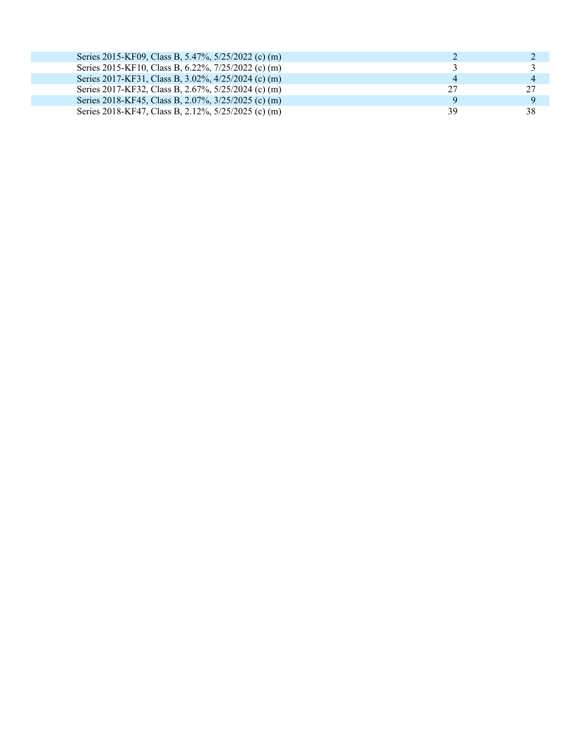| Series 2015-KF09, Class B, 5.47%, 5/25/2022 (c) (m) |                |
|-----------------------------------------------------|----------------|
| Series 2015-KF10, Class B, 6.22%, 7/25/2022 (c) (m) |                |
| Series 2017-KF31, Class B, 3.02%, 4/25/2024 (c) (m) | $\overline{4}$ |
| Series 2017-KF32, Class B, 2.67%, 5/25/2024 (c) (m) | 27             |
| Series 2018-KF45, Class B, 2.07%, 3/25/2025 (c) (m) |                |
| Series 2018-KF47, Class B, 2.12%, 5/25/2025 (c) (m) | 38             |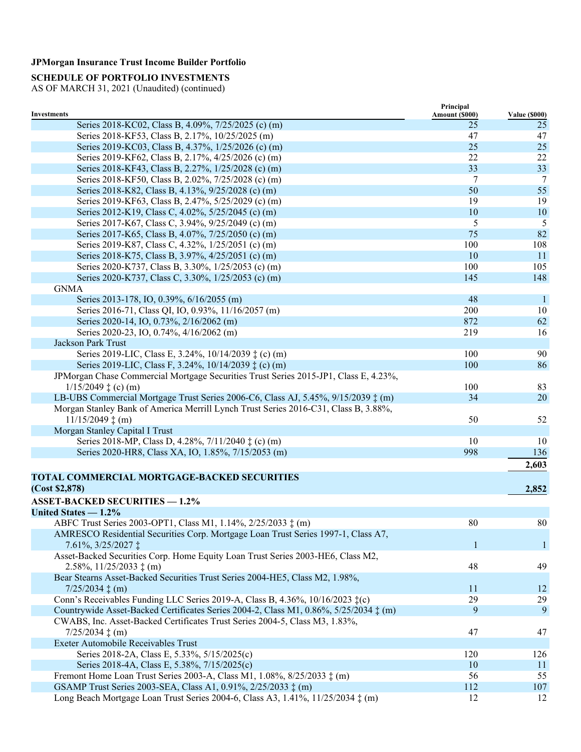## **SCHEDULE OF PORTFOLIO INVESTMENTS**

|                                                                                            | Principal             |                      |
|--------------------------------------------------------------------------------------------|-----------------------|----------------------|
| <b>Investments</b>                                                                         | <b>Amount (\$000)</b> | <b>Value (\$000)</b> |
| Series 2018-KC02, Class B, 4.09%, 7/25/2025 (c) (m)                                        | 25                    | 25                   |
| Series 2018-KF53, Class B, 2.17%, 10/25/2025 (m)                                           | 47                    | 47                   |
| Series 2019-KC03, Class B, 4.37%, 1/25/2026 (c) (m)                                        | 25                    | 25                   |
| Series 2019-KF62, Class B, 2.17%, 4/25/2026 (c) (m)                                        | 22                    | 22                   |
| Series 2018-KF43, Class B, 2.27%, 1/25/2028 (c) (m)                                        | 33                    | 33                   |
| Series 2018-KF50, Class B, 2.02%, 7/25/2028 (c) (m)                                        | 7                     | 7                    |
| Series 2018-K82, Class B, 4.13%, 9/25/2028 (c) (m)                                         | 50                    | 55                   |
| Series 2019-KF63, Class B, 2.47%, 5/25/2029 (c) (m)                                        | 19                    | 19                   |
| Series 2012-K19, Class C, 4.02%, 5/25/2045 (c) (m)                                         | 10                    | 10                   |
| Series 2017-K67, Class C, 3.94%, 9/25/2049 (c) (m)                                         | 5                     | 5                    |
| Series 2017-K65, Class B, 4.07%, 7/25/2050 (c) (m)                                         | 75                    | 82                   |
| Series 2019-K87, Class C, 4.32%, 1/25/2051 (c) (m)                                         | 100                   | 108                  |
| Series 2018-K75, Class B, 3.97%, 4/25/2051 (c) (m)                                         | 10                    | 11                   |
| Series 2020-K737, Class B, 3.30%, 1/25/2053 (c) (m)                                        | 100                   | 105                  |
| Series 2020-K737, Class C, 3.30%, 1/25/2053 (c) (m)                                        | 145                   | 148                  |
| <b>GNMA</b>                                                                                |                       |                      |
| Series 2013-178, IO, 0.39%, 6/16/2055 (m)                                                  | 48                    | $\mathbf{1}$         |
| Series 2016-71, Class QI, IO, 0.93%, 11/16/2057 (m)                                        | 200                   | 10                   |
| Series 2020-14, IO, 0.73%, 2/16/2062 (m)                                                   | 872                   | 62                   |
| Series 2020-23, IO, 0.74%, 4/16/2062 (m)                                                   | 219                   | 16                   |
| Jackson Park Trust                                                                         |                       |                      |
| Series 2019-LIC, Class E, 3.24%, 10/14/2039 ‡ (c) (m)                                      | 100                   | 90                   |
| Series 2019-LIC, Class F, 3.24%, 10/14/2039 ‡ (c) (m)                                      | 100                   | 86                   |
| JPMorgan Chase Commercial Mortgage Securities Trust Series 2015-JP1, Class E, 4.23%,       |                       |                      |
| $1/15/2049 \ddagger$ (c) (m)                                                               | 100                   | 83                   |
| LB-UBS Commercial Mortgage Trust Series 2006-C6, Class AJ, 5.45%, 9/15/2039 $\ddagger$ (m) | 34                    | 20                   |
| Morgan Stanley Bank of America Merrill Lynch Trust Series 2016-C31, Class B, 3.88%,        |                       |                      |
| $11/15/2049 \ddagger (m)$                                                                  | 50                    | 52                   |
| Morgan Stanley Capital I Trust                                                             |                       |                      |
| Series 2018-MP, Class D, 4.28%, 7/11/2040 $\ddagger$ (c) (m)                               | 10                    | 10                   |
| Series 2020-HR8, Class XA, IO, 1.85%, 7/15/2053 (m)                                        | 998                   | 136                  |
|                                                                                            |                       | 2,603                |
|                                                                                            |                       |                      |
| <b>TOTAL COMMERCIAL MORTGAGE-BACKED SECURITIES</b>                                         |                       |                      |
| (Cost \$2,878)                                                                             |                       | 2,852                |
| <b>ASSET-BACKED SECURITIES - 1.2%</b>                                                      |                       |                      |
| United States - 1.2%                                                                       |                       |                      |
| ABFC Trust Series 2003-OPT1, Class M1, 1.14%, 2/25/2033 $\ddagger$ (m)                     | 80                    | 80                   |
| AMRESCO Residential Securities Corp. Mortgage Loan Trust Series 1997-1, Class A7,          |                       |                      |
| 7.61%, 3/25/2027 $\ddagger$                                                                | 1                     | $\mathbf{1}$         |
| Asset-Backed Securities Corp. Home Equity Loan Trust Series 2003-HE6, Class M2,            |                       |                      |
| $2.58\%, 11/25/2033 \pm (m)$                                                               | 48                    | 49                   |
| Bear Stearns Asset-Backed Securities Trust Series 2004-HE5, Class M2, 1.98%,               |                       |                      |
|                                                                                            | 11                    | 12                   |
| Conn's Receivables Funding LLC Series 2019-A, Class B, 4.36%, 10/16/2023 ‡(c)              | 29                    | 29                   |
| Countrywide Asset-Backed Certificates Series 2004-2, Class M1, 0.86%, 5/25/2034 : (m)      | 9                     | 9                    |
| CWABS, Inc. Asset-Backed Certificates Trust Series 2004-5, Class M3, 1.83%,                |                       |                      |
| $7/25/2034 \pm (m)$                                                                        | 47                    | 47                   |
| Exeter Automobile Receivables Trust                                                        |                       |                      |
| Series 2018-2A, Class E, 5.33%, 5/15/2025(c)                                               | 120                   | 126                  |
| Series 2018-4A, Class E, 5.38%, 7/15/2025(c)                                               | 10                    | 11                   |
| Fremont Home Loan Trust Series 2003-A, Class M1, 1.08%, 8/25/2033 ‡ (m)                    | 56                    | 55                   |
| GSAMP Trust Series 2003-SEA, Class A1, 0.91%, 2/25/2033 ‡ (m)                              | 112                   | 107                  |
| Long Beach Mortgage Loan Trust Series 2004-6, Class A3, 1.41%, 11/25/2034 $\ddagger$ (m)   | 12                    | 12                   |
|                                                                                            |                       |                      |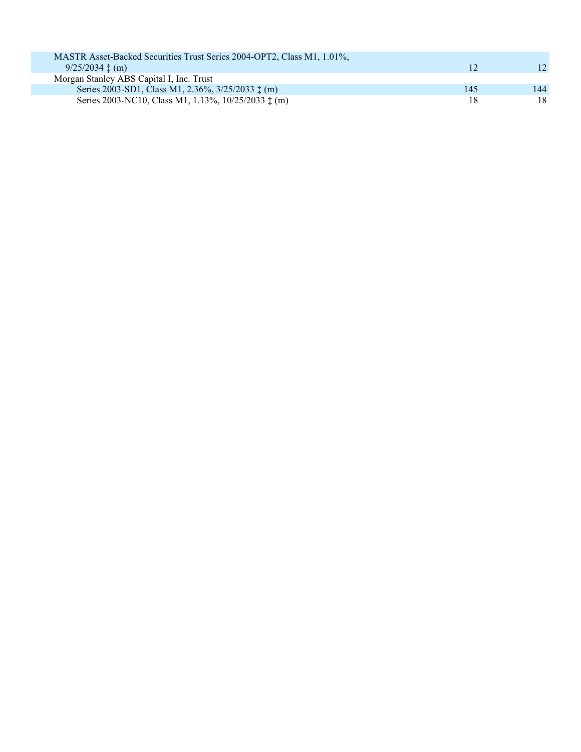| MASTR Asset-Backed Securities Trust Series 2004-OPT2, Class M1, 1.01%, |     |     |
|------------------------------------------------------------------------|-----|-----|
| $9/25/2034 \pm (m)$                                                    | 12  | 12. |
| Morgan Stanley ABS Capital I, Inc. Trust                               |     |     |
| Series 2003-SD1, Class M1, 2.36%, 3/25/2033 $\ddagger$ (m)             | 145 | 144 |
| Series 2003-NC10, Class M1, 1.13%, 10/25/2033 ‡ (m)                    | 18  | 18  |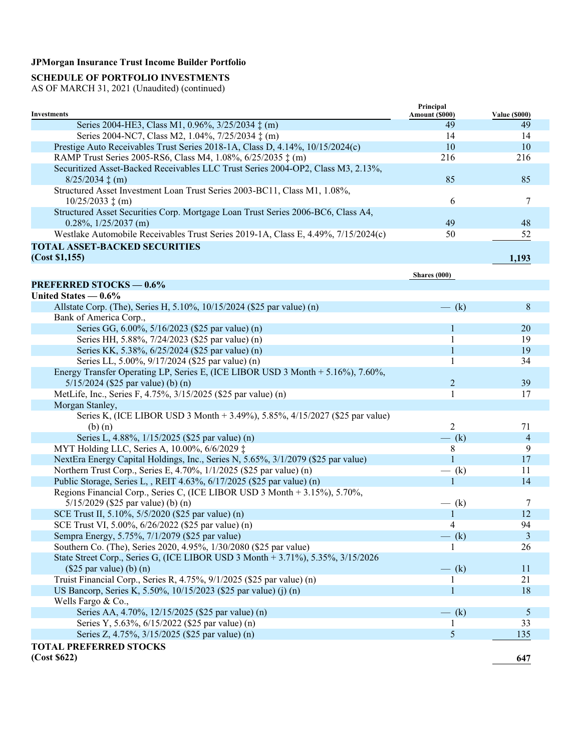## **SCHEDULE OF PORTFOLIO INVESTMENTS**

|                                                                                    | Principal      |                      |
|------------------------------------------------------------------------------------|----------------|----------------------|
| <b>Investments</b>                                                                 | Amount (\$000) | <b>Value (\$000)</b> |
| Series 2004-HE3, Class M1, 0.96%, 3/25/2034 ‡ (m)                                  | 49             | 49<br>14             |
| Series 2004-NC7, Class M2, 1.04%, 7/25/2034 $\ddagger$ (m)                         | 14             |                      |
| Prestige Auto Receivables Trust Series 2018-1A, Class D, 4.14%, 10/15/2024(c)      | 10             | 10                   |
| RAMP Trust Series 2005-RS6, Class M4, 1.08%, 6/25/2035 ‡ (m)                       | 216            | 216                  |
| Securitized Asset-Backed Receivables LLC Trust Series 2004-OP2, Class M3, 2.13%,   |                |                      |
| $8/25/2034 \pm (m)$                                                                | 85             | 85                   |
| Structured Asset Investment Loan Trust Series 2003-BC11, Class M1, 1.08%,          |                |                      |
| $10/25/2033 \t{+}$ (m)                                                             | 6              | 7                    |
| Structured Asset Securities Corp. Mortgage Loan Trust Series 2006-BC6, Class A4,   |                |                      |
| $0.28\%, 1/25/2037$ (m)                                                            | 49             | 48                   |
| Westlake Automobile Receivables Trust Series 2019-1A, Class E, 4.49%, 7/15/2024(c) | 50             | 52                   |
| <b>TOTAL ASSET-BACKED SECURITIES</b>                                               |                |                      |
| (Cost \$1,155)                                                                     |                | 1,193                |
|                                                                                    |                |                      |
| <b>PREFERRED STOCKS - 0.6%</b>                                                     | Shares $(000)$ |                      |
| United States $-0.6\%$                                                             |                |                      |
|                                                                                    |                | 8                    |
| Allstate Corp. (The), Series H, 5.10%, 10/15/2024 (\$25 par value) (n)             | $-$ (k)        |                      |
| Bank of America Corp.,                                                             | 1              |                      |
| Series GG, 6.00%, 5/16/2023 (\$25 par value) (n)                                   |                | 20<br>19             |
| Series HH, 5.88%, 7/24/2023 (\$25 par value) (n)                                   |                |                      |
| Series KK, 5.38%, 6/25/2024 (\$25 par value) (n)                                   |                | 19                   |
| Series LL, 5.00%, 9/17/2024 (\$25 par value) (n)                                   |                | 34                   |
| Energy Transfer Operating LP, Series E, (ICE LIBOR USD 3 Month + 5.16%), 7.60%,    |                |                      |
| $5/15/2024$ (\$25 par value) (b) (n)                                               | $\overline{2}$ | 39                   |
| MetLife, Inc., Series F, 4.75%, 3/15/2025 (\$25 par value) (n)                     | 1              | 17                   |
| Morgan Stanley,                                                                    |                |                      |
| Series K, (ICE LIBOR USD 3 Month + 3.49%), 5.85%, 4/15/2027 (\$25 par value)       |                |                      |
| $(b)$ $(n)$                                                                        | 2              | 71                   |
| Series L, 4.88%, 1/15/2025 (\$25 par value) (n)                                    | $-$ (k)        | $\overline{4}$       |
| MYT Holding LLC, Series A, 10.00%, 6/6/2029 ‡                                      | 8              | 9                    |
| NextEra Energy Capital Holdings, Inc., Series N, 5.65%, 3/1/2079 (\$25 par value)  |                | 17                   |
| Northern Trust Corp., Series E, 4.70%, 1/1/2025 (\$25 par value) (n)               | $-$ (k)        | 11                   |
| Public Storage, Series L, , REIT 4.63%, 6/17/2025 (\$25 par value) (n)             |                | 14                   |
| Regions Financial Corp., Series C, (ICE LIBOR USD 3 Month + 3.15%), 5.70%,         |                |                      |
| $5/15/2029$ (\$25 par value) (b) (n)                                               | $-$ (k)        | 7                    |
| SCE Trust II, 5.10%, 5/5/2020 (\$25 par value) (n)                                 | 1              | 12                   |
| SCE Trust VI, 5.00%, 6/26/2022 (\$25 par value) (n)                                | 4              | 94                   |
| Sempra Energy, 5.75%, 7/1/2079 (\$25 par value)                                    | $-$ (k)        | 3                    |
| Southern Co. (The), Series 2020, 4.95%, 1/30/2080 (\$25 par value)                 |                | 26                   |
| State Street Corp., Series G, (ICE LIBOR USD 3 Month + 3.71%), 5.35%, 3/15/2026    |                |                      |
| $($25\text{ par value})$ (b) (n)                                                   | $-$ (k)        | 11                   |
| Truist Financial Corp., Series R, 4.75%, 9/1/2025 (\$25 par value) (n)             |                | 21                   |
| US Bancorp, Series K, 5.50%, 10/15/2023 (\$25 par value) (j) (n)                   |                | 18                   |
| Wells Fargo & Co.,                                                                 |                |                      |
| Series AA, 4.70%, 12/15/2025 (\$25 par value) (n)                                  | $-$ (k)        | 5                    |
| Series Y, 5.63%, 6/15/2022 (\$25 par value) (n)                                    |                | 33                   |
| Series Z, 4.75%, 3/15/2025 (\$25 par value) (n)                                    | 5              | 135                  |
| <b>TOTAL PREFERRED STOCKS</b>                                                      |                |                      |
| (Cost \$622)                                                                       |                | 647                  |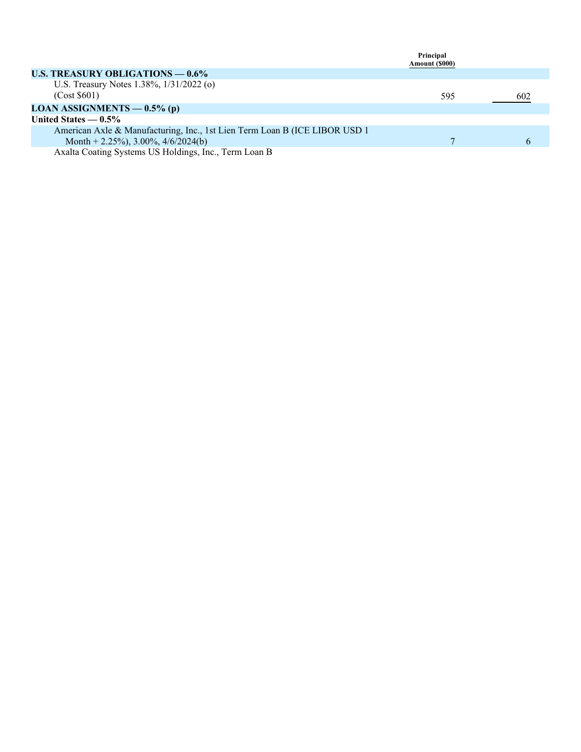|                                                                             | Principal      |     |
|-----------------------------------------------------------------------------|----------------|-----|
|                                                                             | Amount (\$000) |     |
| U.S. TREASURY OBLIGATIONS $-0.6\%$                                          |                |     |
| U.S. Treasury Notes 1.38%, 1/31/2022 (o)                                    |                |     |
| (Cost \$601)                                                                | 595            | 602 |
| LOAN ASSIGNMENTS $-0.5\%$ (p)                                               |                |     |
| United States $-0.5\%$                                                      |                |     |
| American Axle & Manufacturing, Inc., 1st Lien Term Loan B (ICE LIBOR USD 1) |                |     |
| Month + 2.25%), 3.00%, 4/6/2024(b)                                          |                |     |
| Axalta Coating Systems US Holdings, Inc., Term Loan B                       |                |     |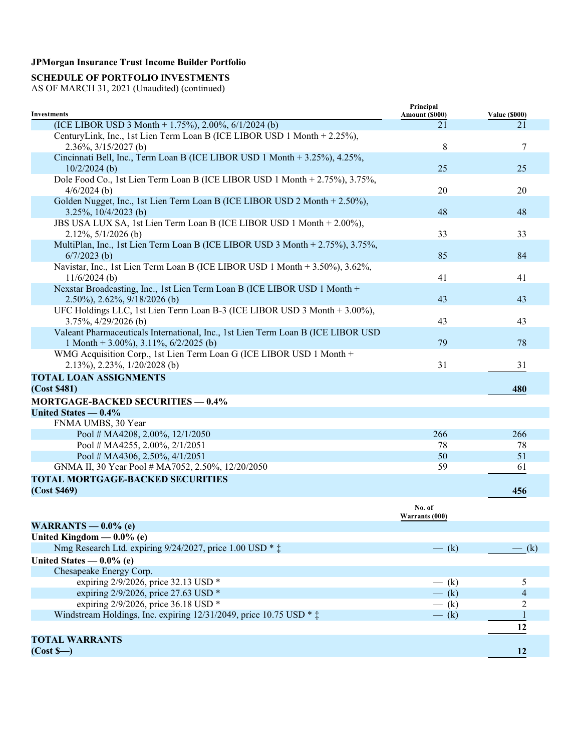## **SCHEDULE OF PORTFOLIO INVESTMENTS**

| <b>Investments</b>                                                                                                 | Principal<br>Amount (\$000) | <b>Value (\$000)</b> |
|--------------------------------------------------------------------------------------------------------------------|-----------------------------|----------------------|
| (ICE LIBOR USD 3 Month + 1.75%), 2.00%, $6/1/2024$ (b)                                                             | 21                          | 21                   |
| CenturyLink, Inc., 1st Lien Term Loan B (ICE LIBOR USD 1 Month + 2.25%),                                           |                             |                      |
| $2.36\%, \frac{3}{15}/2027$ (b)                                                                                    | 8                           | 7                    |
| Cincinnati Bell, Inc., Term Loan B (ICE LIBOR USD 1 Month + 3.25%), 4.25%,                                         |                             |                      |
| $10/2/2024$ (b)                                                                                                    | 25                          | 25                   |
| Dole Food Co., 1st Lien Term Loan B (ICE LIBOR USD 1 Month + 2.75%), 3.75%,                                        |                             |                      |
| $4/6/2024$ (b)                                                                                                     | 20                          | 20                   |
| Golden Nugget, Inc., 1st Lien Term Loan B (ICE LIBOR USD 2 Month + 2.50%),<br>3.25%, $10/4/2023$ (b)               | 48                          | 48                   |
| JBS USA LUX SA, 1st Lien Term Loan B (ICE LIBOR USD 1 Month + 2.00%),<br>$2.12\%, \frac{5}{12026}$ (b)             | 33                          | 33                   |
| MultiPlan, Inc., 1st Lien Term Loan B (ICE LIBOR USD 3 Month + 2.75%), 3.75%,<br>$6/7/2023$ (b)                    | 85                          | 84                   |
| Navistar, Inc., 1st Lien Term Loan B (ICE LIBOR USD 1 Month + 3.50%), 3.62%,<br>$11/6/2024$ (b)                    | 41                          | 41                   |
| Nexstar Broadcasting, Inc., 1st Lien Term Loan B (ICE LIBOR USD 1 Month +<br>$2.50\%$ , $2.62\%$ , $9/18/2026$ (b) | 43                          | 43                   |
| UFC Holdings LLC, 1st Lien Term Loan B-3 (ICE LIBOR USD 3 Month + 3.00%),<br>3.75%, 4/29/2026 (b)                  | 43                          | 43                   |
| Valeant Pharmaceuticals International, Inc., 1st Lien Term Loan B (ICE LIBOR USD                                   |                             |                      |
| 1 Month + 3.00%), 3.11%, $6/2/2025$ (b)                                                                            | 79                          | 78                   |
| WMG Acquisition Corp., 1st Lien Term Loan G (ICE LIBOR USD 1 Month +<br>$2.13\%, 2.23\%, 1/20/2028$ (b)            | 31                          | 31                   |
| <b>TOTAL LOAN ASSIGNMENTS</b>                                                                                      |                             |                      |
| (Cost \$481)                                                                                                       |                             | 480                  |
| <b>MORTGAGE-BACKED SECURITIES - 0.4%</b>                                                                           |                             |                      |
| United States - 0.4%                                                                                               |                             |                      |
| FNMA UMBS, 30 Year                                                                                                 |                             |                      |
| Pool # MA4208, 2.00%, 12/1/2050                                                                                    | 266                         | 266                  |
| Pool # MA4255, 2.00%, $2/1/2051$                                                                                   | 78                          | 78                   |
| Pool # MA4306, 2.50%, $4/1/2051$                                                                                   | 50                          | 51                   |
| GNMA II, 30 Year Pool # MA7052, 2.50%, 12/20/2050                                                                  | 59                          | 61                   |
| <b>TOTAL MORTGAGE-BACKED SECURITIES</b><br>(Cost \$469)                                                            |                             | 456                  |
|                                                                                                                    | No. of<br>Warrants (000)    |                      |
| WARRANTS $-$ 0.0% (e)                                                                                              |                             |                      |
| United Kingdom $-$ 0.0% (e)                                                                                        |                             |                      |
| Nmg Research Ltd. expiring 9/24/2027, price 1.00 USD * $\ddagger$                                                  | $-$ (k)                     | $-$ (k)              |
| United States $-0.0\%$ (e)                                                                                         |                             |                      |
| Chesapeake Energy Corp.                                                                                            |                             |                      |
| expiring 2/9/2026, price 32.13 USD *                                                                               | $-$ (k)                     | 5                    |
| expiring 2/9/2026, price 27.63 USD *                                                                               | $-$ (k)                     | 4                    |
| expiring 2/9/2026, price 36.18 USD *                                                                               | $-$ (k)                     | 2                    |
| Windstream Holdings, Inc. expiring $12/31/2049$ , price $10.75$ USD $*$ $\ddagger$                                 | $-$ (k)                     |                      |
|                                                                                                                    |                             | 12                   |
| <b>TOTAL WARRANTS</b>                                                                                              |                             |                      |
| $(Cost S-)$                                                                                                        |                             | 12                   |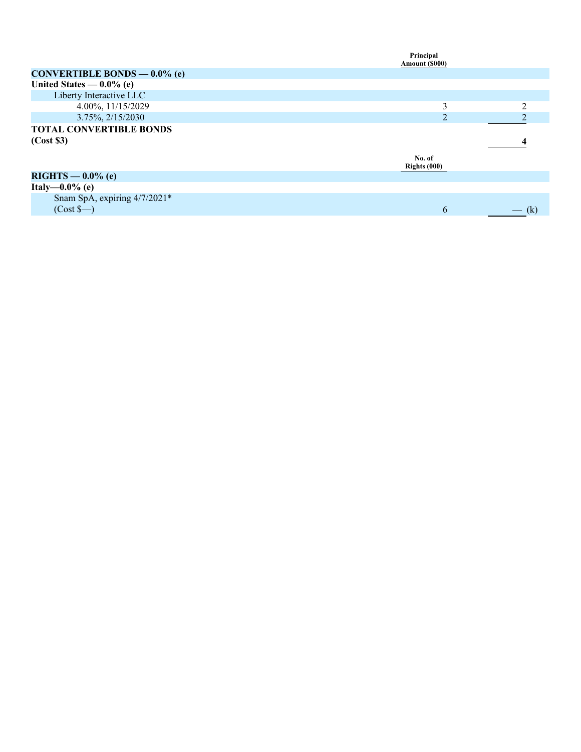|                                | Principal<br>Amount (\$000) |  |
|--------------------------------|-----------------------------|--|
| CONVERTIBLE BONDS $-0.0\%$ (e) |                             |  |
| United States $-0.0\%$ (e)     |                             |  |
| Liberty Interactive LLC        |                             |  |
| 4.00%, 11/15/2029              | $\mathbf{3}$                |  |
| 3.75%, 2/15/2030               | 2                           |  |
| <b>TOTAL CONVERTIBLE BONDS</b> |                             |  |
| (Cost \$3)                     |                             |  |
|                                | No. of<br>Rights $(000)$    |  |
| $RIGHTS - 0.0\%$ (e)           |                             |  |
| Italy- $-0.0\%$ (e)            |                             |  |
|                                |                             |  |
| Snam SpA, expiring 4/7/2021*   |                             |  |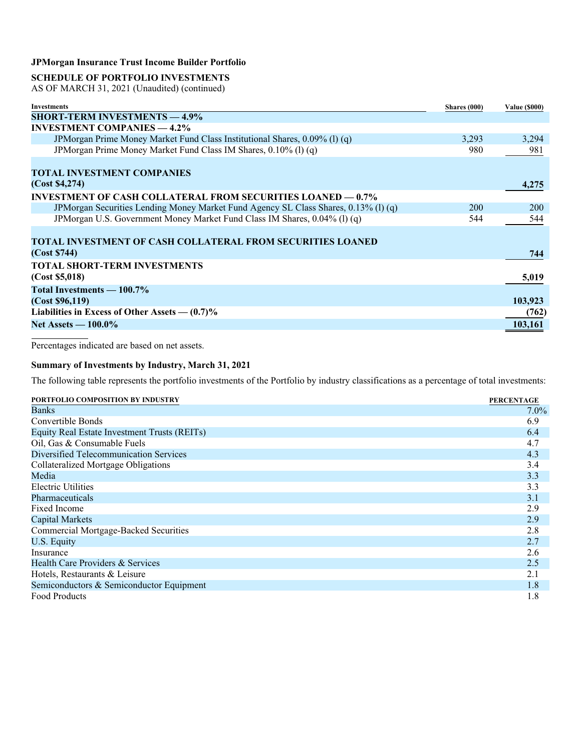### **SCHEDULE OF PORTFOLIO INVESTMENTS**

AS OF MARCH 31, 2021 (Unaudited) (continued)

| Investments                                                                         | Shares (000) | <b>Value (\$000)</b> |
|-------------------------------------------------------------------------------------|--------------|----------------------|
| <b>SHORT-TERM INVESTMENTS - 4.9%</b>                                                |              |                      |
| <b>INVESTMENT COMPANIES — 4.2%</b>                                                  |              |                      |
| JPMorgan Prime Money Market Fund Class Institutional Shares, 0.09% (1) (q)          | 3,293        | 3,294                |
| JPMorgan Prime Money Market Fund Class IM Shares, 0.10% (1) (q)                     | 980          | 981                  |
|                                                                                     |              |                      |
| <b>TOTAL INVESTMENT COMPANIES</b>                                                   |              |                      |
| (Cost \$4,274)                                                                      |              | 4,275                |
| <b>INVESTMENT OF CASH COLLATERAL FROM SECURITIES LOANED — 0.7%</b>                  |              |                      |
| JPMorgan Securities Lending Money Market Fund Agency SL Class Shares, 0.13% (1) (q) | 200          | <b>200</b>           |
| JPMorgan U.S. Government Money Market Fund Class IM Shares, 0.04% (l) (q)           | 544          | 544                  |
|                                                                                     |              |                      |
| <b>TOTAL INVESTMENT OF CASH COLLATERAL FROM SECURITIES LOANED</b>                   |              |                      |
| (Cost \$744)                                                                        |              | 744                  |
| <b>TOTAL SHORT-TERM INVESTMENTS</b>                                                 |              |                      |
| (Cost \$5,018)                                                                      |              | 5,019                |
| Total Investments — 100.7%                                                          |              |                      |
| (Cost \$96,119)                                                                     |              | 103,923              |
| Liabilities in Excess of Other Assets $-$ (0.7)%                                    |              | (762)                |
| Net Assets $-100.0\%$                                                               |              | 103,161              |

Percentages indicated are based on net assets.

#### **Summary of Investments by Industry, March 31, 2021**

The following table represents the portfolio investments of the Portfolio by industry classifications as a percentage of total investments:

| PORTFOLIO COMPOSITION BY INDUSTRY            | <b>PERCENTAGE</b> |
|----------------------------------------------|-------------------|
| Banks                                        | $7.0\%$           |
| Convertible Bonds                            | 6.9               |
| Equity Real Estate Investment Trusts (REITs) | 6.4               |
| Oil, Gas & Consumable Fuels                  | 4.7               |
| Diversified Telecommunication Services       | 4.3               |
| Collateralized Mortgage Obligations          | 3.4               |
| Media                                        | 3.3               |
| Electric Utilities                           | 3.3               |
| <b>Pharmaceuticals</b>                       | 3.1               |
| Fixed Income                                 | 2.9               |
| <b>Capital Markets</b>                       | 2.9               |
| <b>Commercial Mortgage-Backed Securities</b> | 2.8               |
| U.S. Equity                                  | 2.7               |
| Insurance                                    | 2.6               |
| Health Care Providers & Services             | 2.5               |
| Hotels, Restaurants & Leisure                | 2.1               |
| Semiconductors & Semiconductor Equipment     | 1.8               |
| <b>Food Products</b>                         | 1.8               |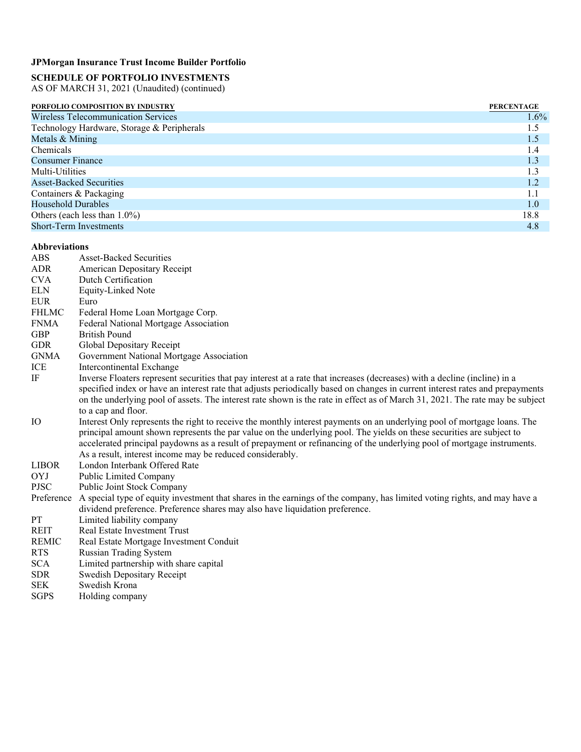# **SCHEDULE OF PORTFOLIO INVESTMENTS**

AS OF MARCH 31, 2021 (Unaudited) (continued)

| PORFOLIO COMPOSITION BY INDUSTRY           | <b>PERCENTAGE</b> |
|--------------------------------------------|-------------------|
| Wireless Telecommunication Services        | $1.6\%$           |
| Technology Hardware, Storage & Peripherals | 1.5               |
| Metals & Mining                            | 1.5               |
| <b>Chemicals</b>                           | 1.4               |
| <b>Consumer Finance</b>                    | 1.3               |
| Multi-Utilities                            | 1.3               |
| <b>Asset-Backed Securities</b>             | 1.2               |
| Containers & Packaging                     | 1.1               |
| Household Durables                         | 1.0               |
| Others (each less than $1.0\%$ )           | 18.8              |
| <b>Short-Term Investments</b>              | 4.8               |

#### **Abbreviations**

| <b>ABS</b>   | <b>Asset-Backed Securities</b>                                                                                                                                                                                                                                                                                                                                                                                                            |
|--------------|-------------------------------------------------------------------------------------------------------------------------------------------------------------------------------------------------------------------------------------------------------------------------------------------------------------------------------------------------------------------------------------------------------------------------------------------|
| <b>ADR</b>   | American Depositary Receipt                                                                                                                                                                                                                                                                                                                                                                                                               |
| <b>CVA</b>   | Dutch Certification                                                                                                                                                                                                                                                                                                                                                                                                                       |
| <b>ELN</b>   | <b>Equity-Linked Note</b>                                                                                                                                                                                                                                                                                                                                                                                                                 |
| <b>EUR</b>   | Euro                                                                                                                                                                                                                                                                                                                                                                                                                                      |
| <b>FHLMC</b> | Federal Home Loan Mortgage Corp.                                                                                                                                                                                                                                                                                                                                                                                                          |
| <b>FNMA</b>  | Federal National Mortgage Association                                                                                                                                                                                                                                                                                                                                                                                                     |
| <b>GBP</b>   | <b>British Pound</b>                                                                                                                                                                                                                                                                                                                                                                                                                      |
| <b>GDR</b>   | Global Depositary Receipt                                                                                                                                                                                                                                                                                                                                                                                                                 |
| <b>GNMA</b>  | Government National Mortgage Association                                                                                                                                                                                                                                                                                                                                                                                                  |
| ICE          | Intercontinental Exchange                                                                                                                                                                                                                                                                                                                                                                                                                 |
| IF           | Inverse Floaters represent securities that pay interest at a rate that increases (decreases) with a decline (incline) in a<br>specified index or have an interest rate that adjusts periodically based on changes in current interest rates and prepayments<br>on the underlying pool of assets. The interest rate shown is the rate in effect as of March 31, 2021. The rate may be subject<br>to a cap and floor.                       |
| IO           | Interest Only represents the right to receive the monthly interest payments on an underlying pool of mortgage loans. The<br>principal amount shown represents the par value on the underlying pool. The yields on these securities are subject to<br>accelerated principal paydowns as a result of prepayment or refinancing of the underlying pool of mortgage instruments.<br>As a result, interest income may be reduced considerably. |
| <b>LIBOR</b> | London Interbank Offered Rate                                                                                                                                                                                                                                                                                                                                                                                                             |
| OYJ          | Public Limited Company                                                                                                                                                                                                                                                                                                                                                                                                                    |
| <b>PJSC</b>  | Public Joint Stock Company                                                                                                                                                                                                                                                                                                                                                                                                                |
| Preference   | A special type of equity investment that shares in the earnings of the company, has limited voting rights, and may have a<br>dividend preference. Preference shares may also have liquidation preference.                                                                                                                                                                                                                                 |
| PT           | Limited liability company                                                                                                                                                                                                                                                                                                                                                                                                                 |
| <b>REIT</b>  | Real Estate Investment Trust                                                                                                                                                                                                                                                                                                                                                                                                              |
| <b>REMIC</b> | Real Estate Mortgage Investment Conduit                                                                                                                                                                                                                                                                                                                                                                                                   |
| <b>RTS</b>   | <b>Russian Trading System</b>                                                                                                                                                                                                                                                                                                                                                                                                             |
| <b>SCA</b>   | Limited partnership with share capital                                                                                                                                                                                                                                                                                                                                                                                                    |
| <b>SDR</b>   | <b>Swedish Depositary Receipt</b>                                                                                                                                                                                                                                                                                                                                                                                                         |
| <b>SEK</b>   | Swedish Krona                                                                                                                                                                                                                                                                                                                                                                                                                             |
| <b>SGPS</b>  | Holding company                                                                                                                                                                                                                                                                                                                                                                                                                           |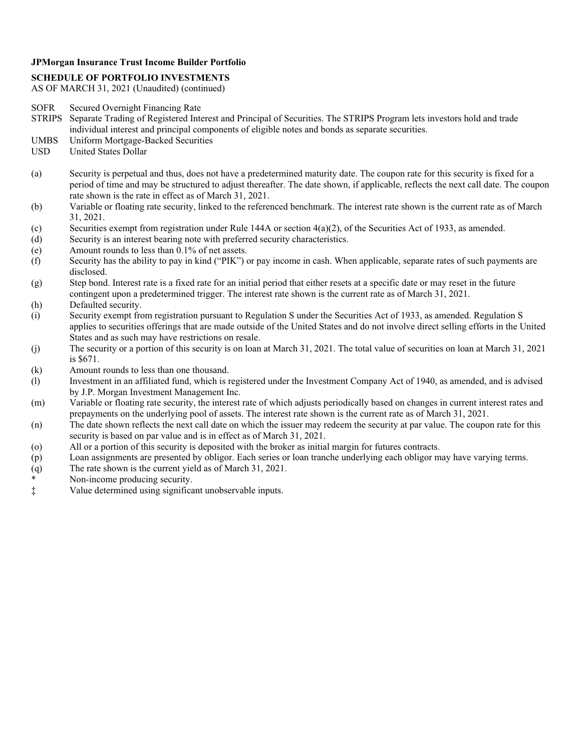#### **SCHEDULE OF PORTFOLIO INVESTMENTS**

- SOFR Secured Overnight Financing Rate
- STRIPS Separate Trading of Registered Interest and Principal of Securities. The STRIPS Program lets investors hold and trade individual interest and principal components of eligible notes and bonds as separate securities.
- UMBS Uniform Mortgage-Backed Securities
- USD United States Dollar
- (a) Security is perpetual and thus, does not have a predetermined maturity date. The coupon rate for this security is fixed for a period of time and may be structured to adjust thereafter. The date shown, if applicable, reflects the next call date. The coupon rate shown is the rate in effect as of March 31, 2021.
- (b) Variable or floating rate security, linked to the referenced benchmark. The interest rate shown is the current rate as of March 31, 2021.
- (c) Securities exempt from registration under Rule 144A or section  $4(a)(2)$ , of the Securities Act of 1933, as amended.
- (d) Security is an interest bearing note with preferred security characteristics.
- (e) Amount rounds to less than 0.1% of net assets.
- (f) Security has the ability to pay in kind ("PIK") or pay income in cash. When applicable, separate rates of such payments are disclosed.
- (g) Step bond. Interest rate is a fixed rate for an initial period that either resets at a specific date or may reset in the future contingent upon a predetermined trigger. The interest rate shown is the current rate as of March 31, 2021.
- (h) Defaulted security.
- (i) Security exempt from registration pursuant to Regulation S under the Securities Act of 1933, as amended. Regulation S applies to securities offerings that are made outside of the United States and do not involve direct selling efforts in the United States and as such may have restrictions on resale.
- (j) The security or a portion of this security is on loan at March 31, 2021. The total value of securities on loan at March 31, 2021 is \$671.
- (k) Amount rounds to less than one thousand.
- (l) Investment in an affiliated fund, which is registered under the Investment Company Act of 1940, as amended, and is advised by J.P. Morgan Investment Management Inc.
- (m) Variable or floating rate security, the interest rate of which adjusts periodically based on changes in current interest rates and prepayments on the underlying pool of assets. The interest rate shown is the current rate as of March 31, 2021.
- (n) The date shown reflects the next call date on which the issuer may redeem the security at par value. The coupon rate for this security is based on par value and is in effect as of March 31, 2021.
- (o) All or a portion of this security is deposited with the broker as initial margin for futures contracts.
- (p) Loan assignments are presented by obligor. Each series or loan tranche underlying each obligor may have varying terms.
- (q) The rate shown is the current yield as of March 31, 2021.
- Non-income producing security.
- ‡ Value determined using significant unobservable inputs.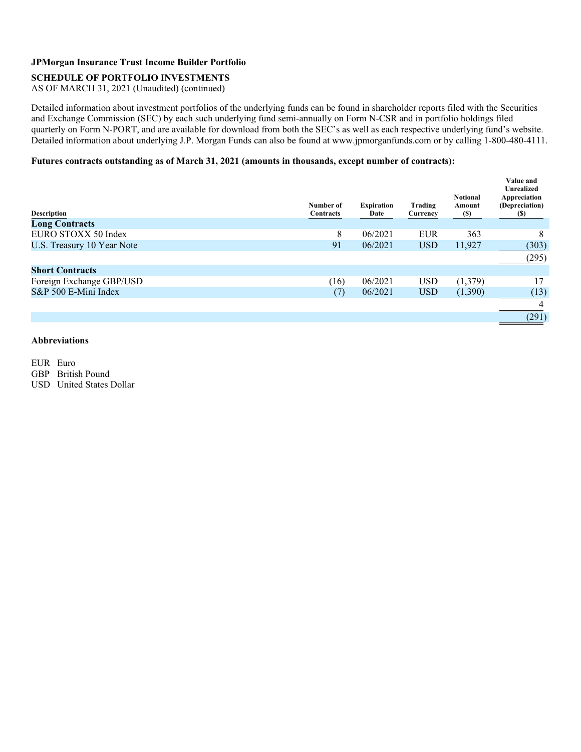#### **SCHEDULE OF PORTFOLIO INVESTMENTS**

AS OF MARCH 31, 2021 (Unaudited) (continued)

Detailed information about investment portfolios of the underlying funds can be found in shareholder reports filed with the Securities and Exchange Commission (SEC) by each such underlying fund semi-annually on Form N-CSR and in portfolio holdings filed quarterly on Form N-PORT, and are available for download from both the SEC's as well as each respective underlying fund's website. Detailed information about underlying J.P. Morgan Funds can also be found at www.jpmorganfunds.com or by calling 1-800-480-4111.

#### **Futures contracts outstanding as of March 31, 2021 (amounts in thousands, except number of contracts):**

| <b>Description</b>         | Number of<br>Contracts | <b>Expiration</b><br>Date | Trading<br>Currency | <b>Notional</b><br>Amount<br><b>(\$)</b> | Value and<br><b>Unrealized</b><br>Appreciation<br>(Depreciation)<br>(S) |
|----------------------------|------------------------|---------------------------|---------------------|------------------------------------------|-------------------------------------------------------------------------|
| <b>Long Contracts</b>      |                        |                           |                     |                                          |                                                                         |
| EURO STOXX 50 Index        | 8                      | 06/2021                   | <b>EUR</b>          | 363                                      | 8                                                                       |
| U.S. Treasury 10 Year Note | 91                     | 06/2021                   | <b>USD</b>          | 11,927                                   | (303)                                                                   |
|                            |                        |                           |                     |                                          | (295)                                                                   |
| <b>Short Contracts</b>     |                        |                           |                     |                                          |                                                                         |
| Foreign Exchange GBP/USD   | (16)                   | 06/2021                   | <b>USD</b>          | (1,379)                                  | 17                                                                      |
| S&P 500 E-Mini Index       | (7)                    | 06/2021                   | <b>USD</b>          | (1,390)                                  | (13)                                                                    |
|                            |                        |                           |                     |                                          | 4                                                                       |
|                            |                        |                           |                     |                                          | (291)                                                                   |
|                            |                        |                           |                     |                                          |                                                                         |

#### **Abbreviations**

EUR Euro GBP British Pound USD United States Dollar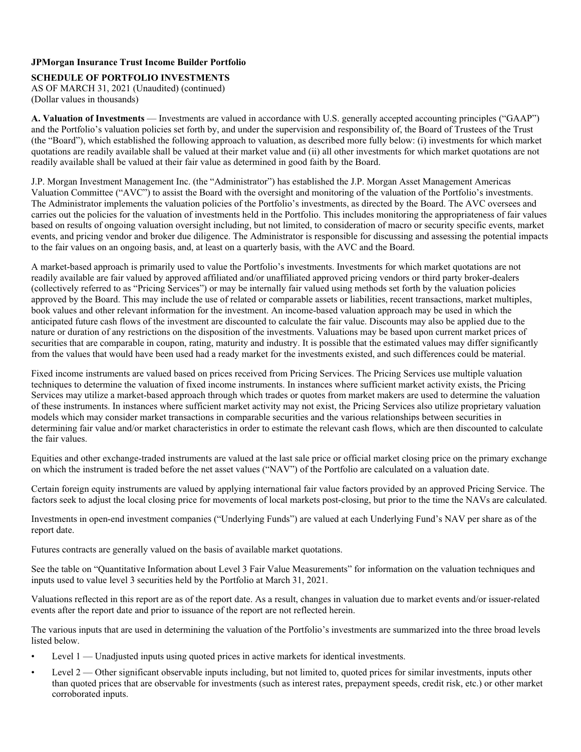**SCHEDULE OF PORTFOLIO INVESTMENTS** 

AS OF MARCH 31, 2021 (Unaudited) (continued) (Dollar values in thousands)

**A. Valuation of Investments** — Investments are valued in accordance with U.S. generally accepted accounting principles ("GAAP") and the Portfolio's valuation policies set forth by, and under the supervision and responsibility of, the Board of Trustees of the Trust (the "Board"), which established the following approach to valuation, as described more fully below: (i) investments for which market quotations are readily available shall be valued at their market value and (ii) all other investments for which market quotations are not readily available shall be valued at their fair value as determined in good faith by the Board.

J.P. Morgan Investment Management Inc. (the "Administrator") has established the J.P. Morgan Asset Management Americas Valuation Committee ("AVC") to assist the Board with the oversight and monitoring of the valuation of the Portfolio's investments. The Administrator implements the valuation policies of the Portfolio's investments, as directed by the Board. The AVC oversees and carries out the policies for the valuation of investments held in the Portfolio. This includes monitoring the appropriateness of fair values based on results of ongoing valuation oversight including, but not limited, to consideration of macro or security specific events, market events, and pricing vendor and broker due diligence. The Administrator is responsible for discussing and assessing the potential impacts to the fair values on an ongoing basis, and, at least on a quarterly basis, with the AVC and the Board.

A market-based approach is primarily used to value the Portfolio's investments. Investments for which market quotations are not readily available are fair valued by approved affiliated and/or unaffiliated approved pricing vendors or third party broker-dealers (collectively referred to as "Pricing Services") or may be internally fair valued using methods set forth by the valuation policies approved by the Board. This may include the use of related or comparable assets or liabilities, recent transactions, market multiples, book values and other relevant information for the investment. An income-based valuation approach may be used in which the anticipated future cash flows of the investment are discounted to calculate the fair value. Discounts may also be applied due to the nature or duration of any restrictions on the disposition of the investments. Valuations may be based upon current market prices of securities that are comparable in coupon, rating, maturity and industry. It is possible that the estimated values may differ significantly from the values that would have been used had a ready market for the investments existed, and such differences could be material.

Fixed income instruments are valued based on prices received from Pricing Services. The Pricing Services use multiple valuation techniques to determine the valuation of fixed income instruments. In instances where sufficient market activity exists, the Pricing Services may utilize a market-based approach through which trades or quotes from market makers are used to determine the valuation of these instruments. In instances where sufficient market activity may not exist, the Pricing Services also utilize proprietary valuation models which may consider market transactions in comparable securities and the various relationships between securities in determining fair value and/or market characteristics in order to estimate the relevant cash flows, which are then discounted to calculate the fair values.

Equities and other exchange-traded instruments are valued at the last sale price or official market closing price on the primary exchange on which the instrument is traded before the net asset values ("NAV") of the Portfolio are calculated on a valuation date.

Certain foreign equity instruments are valued by applying international fair value factors provided by an approved Pricing Service. The factors seek to adjust the local closing price for movements of local markets post-closing, but prior to the time the NAVs are calculated.

Investments in open-end investment companies ("Underlying Funds") are valued at each Underlying Fund's NAV per share as of the report date.

Futures contracts are generally valued on the basis of available market quotations.

See the table on "Quantitative Information about Level 3 Fair Value Measurements" for information on the valuation techniques and inputs used to value level 3 securities held by the Portfolio at March 31, 2021.

Valuations reflected in this report are as of the report date. As a result, changes in valuation due to market events and/or issuer-related events after the report date and prior to issuance of the report are not reflected herein.

The various inputs that are used in determining the valuation of the Portfolio's investments are summarized into the three broad levels listed below.

- Level 1 Unadjusted inputs using quoted prices in active markets for identical investments.
- Level 2 Other significant observable inputs including, but not limited to, quoted prices for similar investments, inputs other than quoted prices that are observable for investments (such as interest rates, prepayment speeds, credit risk, etc.) or other market corroborated inputs.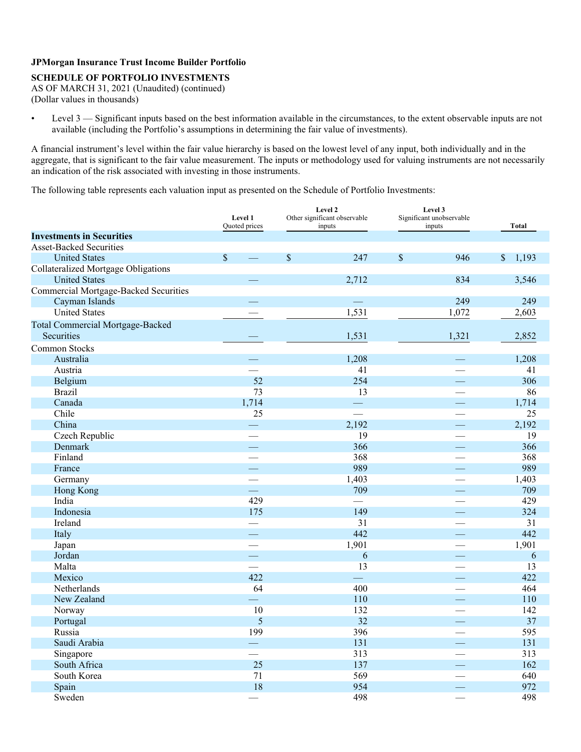#### **SCHEDULE OF PORTFOLIO INVESTMENTS**

AS OF MARCH 31, 2021 (Unaudited) (continued) (Dollar values in thousands)

• Level 3 — Significant inputs based on the best information available in the circumstances, to the extent observable inputs are not available (including the Portfolio's assumptions in determining the fair value of investments).

A financial instrument's level within the fair value hierarchy is based on the lowest level of any input, both individually and in the aggregate, that is significant to the fair value measurement. The inputs or methodology used for valuing instruments are not necessarily an indication of the risk associated with investing in those instruments.

The following table represents each valuation input as presented on the Schedule of Portfolio Investments:

|                                              | Level 1<br><b>Ouoted</b> prices | Level 2<br>Other significant observable<br>inputs |                          |             | Level 3<br>Significant unobservable<br>inputs |                      |  |  |
|----------------------------------------------|---------------------------------|---------------------------------------------------|--------------------------|-------------|-----------------------------------------------|----------------------|--|--|
| <b>Investments in Securities</b>             |                                 |                                                   |                          |             |                                               |                      |  |  |
| <b>Asset-Backed Securities</b>               |                                 |                                                   |                          |             |                                               |                      |  |  |
| <b>United States</b>                         | $\mathbb{S}$<br>$\frac{1}{1}$   | $\mathbb{S}$                                      | 247                      | $\sqrt{\ }$ | 946                                           | $\sqrt{\ }$<br>1,193 |  |  |
| <b>Collateralized Mortgage Obligations</b>   |                                 |                                                   |                          |             |                                               |                      |  |  |
| <b>United States</b>                         |                                 |                                                   | 2,712                    |             | 834                                           | 3,546                |  |  |
| <b>Commercial Mortgage-Backed Securities</b> |                                 |                                                   |                          |             |                                               |                      |  |  |
| Cayman Islands                               | <u>a a</u>                      |                                                   | $\equiv$                 |             | 249                                           | 249                  |  |  |
| <b>United States</b>                         |                                 |                                                   | 1,531                    |             | 1,072                                         | 2,603                |  |  |
| <b>Total Commercial Mortgage-Backed</b>      |                                 |                                                   |                          |             |                                               |                      |  |  |
| Securities                                   |                                 |                                                   | 1,531                    |             | 1,321                                         | 2,852                |  |  |
| <b>Common Stocks</b>                         |                                 |                                                   |                          |             |                                               |                      |  |  |
| Australia                                    | $\qquad \qquad \qquad$          |                                                   | 1,208                    |             | $\overline{\phantom{a}}$                      | 1,208                |  |  |
| Austria                                      |                                 |                                                   | 41                       |             |                                               | 41                   |  |  |
| Belgium                                      | 52                              |                                                   | 254                      |             | <u>e a</u>                                    | 306                  |  |  |
| <b>Brazil</b>                                | 73                              |                                                   | 13                       |             | $\overline{\phantom{a}}$                      | 86                   |  |  |
| Canada                                       | 1,714                           |                                                   | $\overline{\phantom{m}}$ |             |                                               | 1,714                |  |  |
| Chile                                        | 25                              |                                                   | $\overline{\phantom{a}}$ |             |                                               | 25                   |  |  |
| China                                        |                                 |                                                   | 2,192                    |             |                                               | 2,192                |  |  |
| Czech Republic                               | $\overline{\phantom{0}}$        |                                                   | 19                       |             | $\overline{\phantom{a}}$                      | 19                   |  |  |
| <b>Denmark</b>                               |                                 |                                                   | 366                      |             |                                               | 366                  |  |  |
| Finland                                      |                                 |                                                   | 368                      |             |                                               | 368                  |  |  |
| France                                       |                                 |                                                   | 989                      |             |                                               | 989                  |  |  |
| Germany                                      |                                 |                                                   | 1,403                    |             |                                               | 1,403                |  |  |
| Hong Kong                                    |                                 |                                                   | 709                      |             | $\overline{\phantom{a}}$                      | 709                  |  |  |
| India                                        | 429                             |                                                   | $\frac{1}{2}$            |             |                                               | 429                  |  |  |
| Indonesia                                    | 175                             |                                                   | 149                      |             | <u>—</u>                                      | 324                  |  |  |
| Ireland                                      |                                 |                                                   | 31                       |             |                                               | 31                   |  |  |
| Italy                                        | $\overline{\phantom{a}}$        |                                                   | 442                      |             | ш,                                            | 442                  |  |  |
| Japan                                        |                                 |                                                   | 1,901                    |             | $\overline{\phantom{a}}$                      | 1,901                |  |  |
| Jordan                                       |                                 |                                                   | 6                        |             |                                               | 6                    |  |  |
| Malta                                        | $\overline{\phantom{a}}$        |                                                   | 13                       |             |                                               | 13                   |  |  |
| Mexico                                       | 422                             |                                                   | $\equiv$                 |             |                                               | 422                  |  |  |
| <b>Netherlands</b>                           | 64                              |                                                   | 400                      |             |                                               | 464                  |  |  |
| New Zealand                                  | $\sim 10$                       |                                                   | 110                      |             |                                               | 110                  |  |  |
| Norway                                       | 10                              |                                                   | 132                      |             |                                               | 142                  |  |  |
| Portugal                                     | 5                               |                                                   | 32                       |             | $\overline{\phantom{0}}$                      | 37                   |  |  |
| Russia                                       | 199                             |                                                   | 396                      |             |                                               | 595                  |  |  |
| Saudi Arabia                                 | $\equiv$                        |                                                   | 131                      |             | $\overline{\phantom{0}}$                      | 131                  |  |  |
| Singapore                                    | $\overline{\phantom{0}}$        |                                                   | 313                      |             | $\overline{\phantom{0}}$                      | 313                  |  |  |
| South Africa                                 | 25                              |                                                   | 137                      |             |                                               | 162                  |  |  |
| South Korea                                  | 71                              |                                                   | 569                      |             |                                               | 640                  |  |  |
| Spain                                        | 18                              |                                                   | 954                      |             |                                               | 972                  |  |  |
| Sweden                                       |                                 |                                                   | 498                      |             |                                               | 498                  |  |  |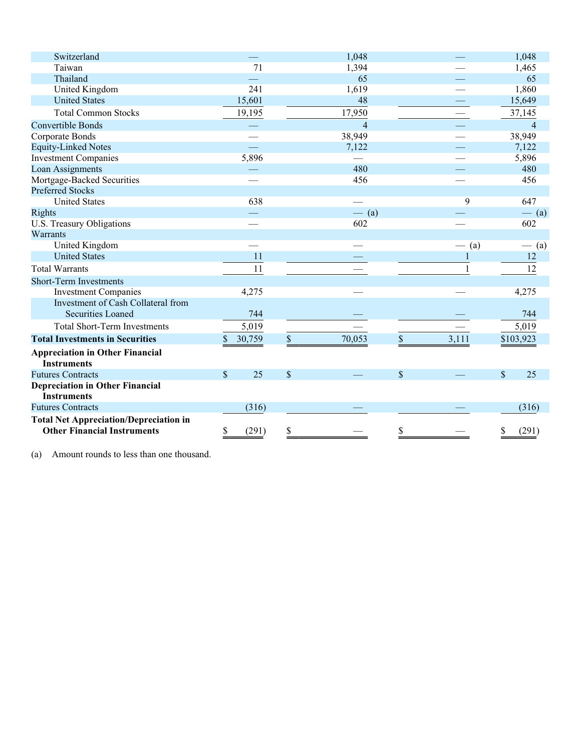| Switzerland                                                                         |              | 1,048          |             | 1,048          |
|-------------------------------------------------------------------------------------|--------------|----------------|-------------|----------------|
| Taiwan                                                                              | 71           | 1,394          |             | 1,465          |
| Thailand                                                                            |              | 65             |             | 65             |
| <b>United Kingdom</b>                                                               | 241          | 1,619          |             | 1,860          |
| <b>United States</b>                                                                | 15,601       | 48             |             | 15,649         |
| <b>Total Common Stocks</b>                                                          | 19,195       | 17,950         |             | 37,145         |
| <b>Convertible Bonds</b>                                                            |              | $\overline{4}$ |             | $\overline{4}$ |
| Corporate Bonds                                                                     |              | 38,949         |             | 38,949         |
| <b>Equity-Linked Notes</b>                                                          |              | 7,122          |             | 7,122          |
| <b>Investment Companies</b>                                                         | 5,896        |                |             | 5,896          |
| Loan Assignments                                                                    |              | 480            |             | 480            |
| Mortgage-Backed Securities                                                          |              | 456            |             | 456            |
| <b>Preferred Stocks</b>                                                             |              |                |             |                |
| <b>United States</b>                                                                | 638          |                | 9           | 647            |
| Rights                                                                              |              | $-$ (a)        |             | $-$ (a)        |
| U.S. Treasury Obligations                                                           |              | 602            |             | 602            |
| Warrants                                                                            |              |                |             |                |
| United Kingdom                                                                      |              |                | (a)         | $-$ (a)        |
| <b>United States</b>                                                                | 11           |                |             | 12             |
| <b>Total Warrants</b>                                                               | 11           |                |             | 12             |
| <b>Short-Term Investments</b>                                                       |              |                |             |                |
| <b>Investment Companies</b>                                                         | 4,275        |                |             | 4,275          |
| Investment of Cash Collateral from                                                  |              |                |             |                |
| <b>Securities Loaned</b>                                                            | 744          |                |             | 744            |
| <b>Total Short-Term Investments</b>                                                 | 5,019        |                |             | 5,019          |
| <b>Total Investments in Securities</b>                                              | \$<br>30,759 | 70,053<br>\$   | 3,111<br>\$ | \$103,923      |
| <b>Appreciation in Other Financial</b><br><b>Instruments</b>                        |              |                |             |                |
| <b>Futures Contracts</b>                                                            | \$<br>25     | $\mathbb{S}$   | \$          | \$<br>25       |
| <b>Depreciation in Other Financial</b><br><b>Instruments</b>                        |              |                |             |                |
| <b>Futures Contracts</b>                                                            | (316)        |                |             | (316)          |
| <b>Total Net Appreciation/Depreciation in</b><br><b>Other Financial Instruments</b> | (291)<br>\$  | \$             | \$          | \$<br>(291)    |
|                                                                                     |              |                |             |                |

(a) Amount rounds to less than one thousand.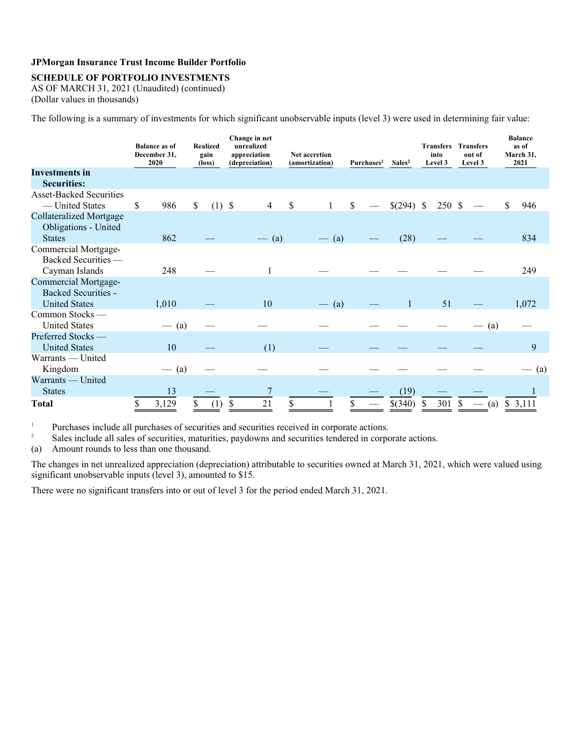#### **SCHEDULE OF PORTFOLIO INVESTMENTS**

AS OF MARCH 31, 2021 (Unaudited) (continued) (Dollar values in thousands)

The following is a summary of investments for which significant unobservable inputs (level 3) were used in determining fair value:

|                                                               | <b>Realized</b><br><b>Balance as of</b><br>December 31,<br>gain<br>2020<br>(loss) |         | Change in net<br>unrealized<br>appreciation<br><b>Net accretion</b><br>(depreciation)<br>(amortization)<br>Purchases <sup>1</sup> |          |    |         | Sales <sup>2</sup> | into<br>Level 3                 |    | <b>Transfers Transfers</b><br>out of<br>Level 3 |   | <b>Balance</b><br>as of<br>March 31,<br>2021 |               |                                 |    |         |
|---------------------------------------------------------------|-----------------------------------------------------------------------------------|---------|-----------------------------------------------------------------------------------------------------------------------------------|----------|----|---------|--------------------|---------------------------------|----|-------------------------------------------------|---|----------------------------------------------|---------------|---------------------------------|----|---------|
| <b>Investments in</b>                                         |                                                                                   |         |                                                                                                                                   |          |    |         |                    |                                 |    |                                                 |   |                                              |               |                                 |    |         |
| <b>Securities:</b>                                            |                                                                                   |         |                                                                                                                                   |          |    |         |                    |                                 |    |                                                 |   |                                              |               |                                 |    |         |
| <b>Asset-Backed Securities</b>                                |                                                                                   |         |                                                                                                                                   |          |    |         |                    |                                 |    |                                                 |   |                                              |               |                                 |    |         |
| — United States                                               | \$                                                                                | 986     | \$                                                                                                                                | $(1)$ \$ |    | 4       | <sup>\$</sup>      | 1                               | \$ | $$(294)$ \;                                     |   | 250 \$                                       |               |                                 | \$ | 946     |
| <b>Collateralized Mortgage</b><br><b>Obligations</b> - United |                                                                                   |         |                                                                                                                                   |          |    |         |                    |                                 |    |                                                 |   |                                              |               |                                 |    |         |
| <b>States</b>                                                 |                                                                                   | 862     |                                                                                                                                   |          |    | $-$ (a) |                    | (a)<br>$\overline{\phantom{a}}$ |    | (28)                                            |   |                                              |               |                                 |    | 834     |
| Commercial Mortgage-                                          |                                                                                   |         |                                                                                                                                   |          |    |         |                    |                                 |    |                                                 |   |                                              |               |                                 |    |         |
| Backed Securities -                                           |                                                                                   |         |                                                                                                                                   |          |    |         |                    |                                 |    |                                                 |   |                                              |               |                                 |    |         |
| Cayman Islands                                                |                                                                                   | 248     |                                                                                                                                   |          |    |         |                    |                                 |    |                                                 |   |                                              |               |                                 |    | 249     |
| <b>Commercial Mortgage-</b>                                   |                                                                                   |         |                                                                                                                                   |          |    |         |                    |                                 |    |                                                 |   |                                              |               |                                 |    |         |
| <b>Backed Securities -</b>                                    |                                                                                   |         |                                                                                                                                   |          |    |         |                    |                                 |    |                                                 |   |                                              |               |                                 |    |         |
| <b>United States</b>                                          |                                                                                   | 1,010   |                                                                                                                                   |          |    | 10      |                    | $-$ (a)                         |    | $\mathbf{1}$                                    |   | 51                                           |               |                                 |    | 1,072   |
| Common Stocks-                                                |                                                                                   |         |                                                                                                                                   |          |    |         |                    |                                 |    |                                                 |   |                                              |               |                                 |    |         |
| <b>United States</b>                                          |                                                                                   | $-$ (a) |                                                                                                                                   |          |    |         |                    |                                 |    |                                                 |   |                                              |               | $-$ (a)                         |    |         |
| Preferred Stocks-                                             |                                                                                   |         |                                                                                                                                   |          |    |         |                    |                                 |    |                                                 |   |                                              |               |                                 |    |         |
| <b>United States</b>                                          |                                                                                   | 10      |                                                                                                                                   |          |    | (1)     |                    |                                 |    |                                                 |   |                                              |               |                                 |    | 9       |
| Warrants — United                                             |                                                                                   |         |                                                                                                                                   |          |    |         |                    |                                 |    |                                                 |   |                                              |               |                                 |    |         |
| Kingdom                                                       |                                                                                   | $-$ (a) |                                                                                                                                   |          |    |         |                    |                                 |    |                                                 |   |                                              |               |                                 |    | $-$ (a) |
| Warrants — United                                             |                                                                                   |         |                                                                                                                                   |          |    |         |                    |                                 |    |                                                 |   |                                              |               |                                 |    |         |
| <b>States</b>                                                 |                                                                                   | 13      |                                                                                                                                   |          |    |         |                    |                                 |    | (19)                                            |   |                                              |               |                                 |    |         |
| Total                                                         | \$                                                                                | 3,129   | \$                                                                                                                                | (1)      | \$ | 21      | \$                 |                                 | \$ | \$(340)                                         | S | 301                                          | <sup>\$</sup> | (a)<br>$\overline{\phantom{a}}$ |    | \$3,111 |

Purchases include all purchases of securities and securities received in corporate actions. 1

Sales include all sales of securities, maturities, paydowns and securities tendered in corporate actions. 2

(a) Amount rounds to less than one thousand.

The changes in net unrealized appreciation (depreciation) attributable to securities owned at March 31, 2021, which were valued using significant unobservable inputs (level 3), amounted to \$15.

There were no significant transfers into or out of level 3 for the period ended March 31, 2021.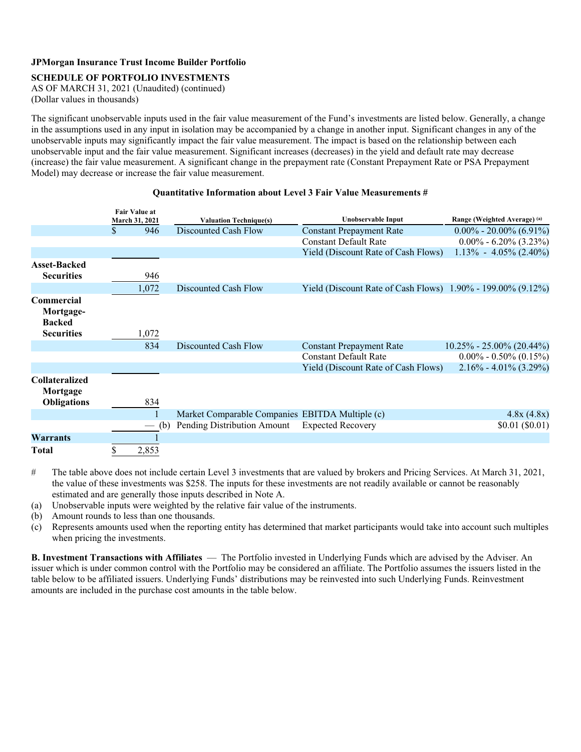#### **SCHEDULE OF PORTFOLIO INVESTMENTS**

AS OF MARCH 31, 2021 (Unaudited) (continued) (Dollar values in thousands)

The significant unobservable inputs used in the fair value measurement of the Fund's investments are listed below. Generally, a change in the assumptions used in any input in isolation may be accompanied by a change in another input. Significant changes in any of the unobservable inputs may significantly impact the fair value measurement. The impact is based on the relationship between each unobservable input and the fair value measurement. Significant increases (decreases) in the yield and default rate may decrease (increase) the fair value measurement. A significant change in the prepayment rate (Constant Prepayment Rate or PSA Prepayment Model) may decrease or increase the fair value measurement.

|                                                         | <b>Fair Value at</b> |                          |                                                 |                                                                |                               |
|---------------------------------------------------------|----------------------|--------------------------|-------------------------------------------------|----------------------------------------------------------------|-------------------------------|
|                                                         |                      | March 31, 2021           | <b>Valuation Technique(s)</b>                   | <b>Unobservable Input</b>                                      | Range (Weighted Average) (a)  |
|                                                         | S.                   | 946                      | Discounted Cash Flow                            | <b>Constant Prepayment Rate</b>                                | $0.00\%$ - 20.00% (6.91%)     |
|                                                         |                      |                          |                                                 | <b>Constant Default Rate</b>                                   | $0.00\% - 6.20\% (3.23\%)$    |
|                                                         |                      |                          |                                                 | Yield (Discount Rate of Cash Flows)                            | $1.13\% - 4.05\% (2.40\%)$    |
| <b>Asset-Backed</b><br><b>Securities</b>                |                      | 946                      |                                                 |                                                                |                               |
|                                                         |                      | 1,072                    | Discounted Cash Flow                            | Yield (Discount Rate of Cash Flows) $1.90\%$ - 199.00% (9.12%) |                               |
| Commercial<br>Mortgage-<br><b>Backed</b>                |                      |                          |                                                 |                                                                |                               |
| <b>Securities</b>                                       |                      | 1,072                    |                                                 |                                                                |                               |
|                                                         |                      | 834                      | Discounted Cash Flow                            | <b>Constant Prepayment Rate</b>                                | $10.25\% - 25.00\% (20.44\%)$ |
|                                                         |                      |                          |                                                 | <b>Constant Default Rate</b>                                   | $0.00\% - 0.50\% (0.15\%)$    |
|                                                         |                      |                          |                                                 | <b>Yield (Discount Rate of Cash Flows)</b>                     | $2.16\% - 4.01\%$ (3.29%)     |
| <b>Collateralized</b><br>Mortgage<br><b>Obligations</b> |                      | 834                      |                                                 |                                                                |                               |
|                                                         |                      | 1                        | Market Comparable Companies EBITDA Multiple (c) |                                                                | 4.8x(4.8x)                    |
|                                                         |                      | (b)<br>$\longrightarrow$ | Pending Distribution Amount                     | <b>Expected Recovery</b>                                       | \$0.01 (\$0.01)               |
| <b>Warrants</b>                                         |                      |                          |                                                 |                                                                |                               |
| Total                                                   |                      | 2,853                    |                                                 |                                                                |                               |

#### **Quantitative Information about Level 3 Fair Value Measurements #**

# The table above does not include certain Level 3 investments that are valued by brokers and Pricing Services. At March 31, 2021, the value of these investments was \$258. The inputs for these investments are not readily available or cannot be reasonably estimated and are generally those inputs described in Note A.

- (a) Unobservable inputs were weighted by the relative fair value of the instruments.
- (b) Amount rounds to less than one thousands.
- (c) Represents amounts used when the reporting entity has determined that market participants would take into account such multiples when pricing the investments.

**B. Investment Transactions with Affiliates** — The Portfolio invested in Underlying Funds which are advised by the Adviser. An issuer which is under common control with the Portfolio may be considered an affiliate. The Portfolio assumes the issuers listed in the table below to be affiliated issuers. Underlying Funds' distributions may be reinvested into such Underlying Funds. Reinvestment amounts are included in the purchase cost amounts in the table below.